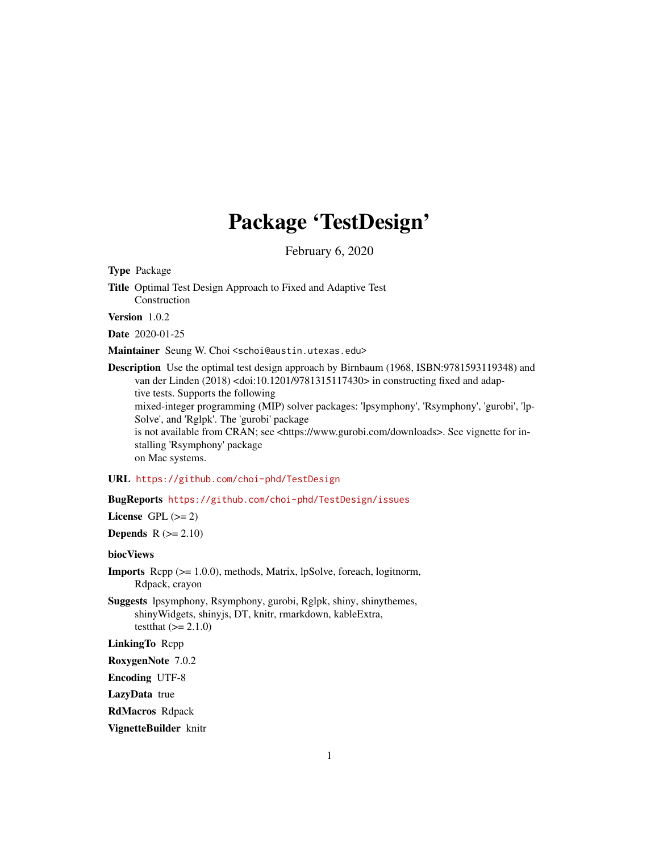# Package 'TestDesign'

February 6, 2020

Type Package

Title Optimal Test Design Approach to Fixed and Adaptive Test Construction

Version 1.0.2

Date 2020-01-25

Maintainer Seung W. Choi <schoi@austin.utexas.edu>

Description Use the optimal test design approach by Birnbaum (1968, ISBN:9781593119348) and van der Linden (2018) <doi:10.1201/9781315117430> in constructing fixed and adaptive tests. Supports the following mixed-integer programming (MIP) solver packages: 'lpsymphony', 'Rsymphony', 'gurobi', 'lp-Solve', and 'Rglpk'. The 'gurobi' package is not available from CRAN; see <https://www.gurobi.com/downloads>. See vignette for installing 'Rsymphony' package on Mac systems.

# URL <https://github.com/choi-phd/TestDesign>

## BugReports <https://github.com/choi-phd/TestDesign/issues>

License GPL  $(>= 2)$ 

Depends  $R$  ( $>= 2.10$ )

#### biocViews

Imports Rcpp (>= 1.0.0), methods, Matrix, lpSolve, foreach, logitnorm, Rdpack, crayon

Suggests lpsymphony, Rsymphony, gurobi, Rglpk, shiny, shinythemes, shinyWidgets, shinyjs, DT, knitr, rmarkdown, kableExtra, testthat  $(>= 2.1.0)$ 

LinkingTo Rcpp

RoxygenNote 7.0.2

Encoding UTF-8

LazyData true

RdMacros Rdpack

VignetteBuilder knitr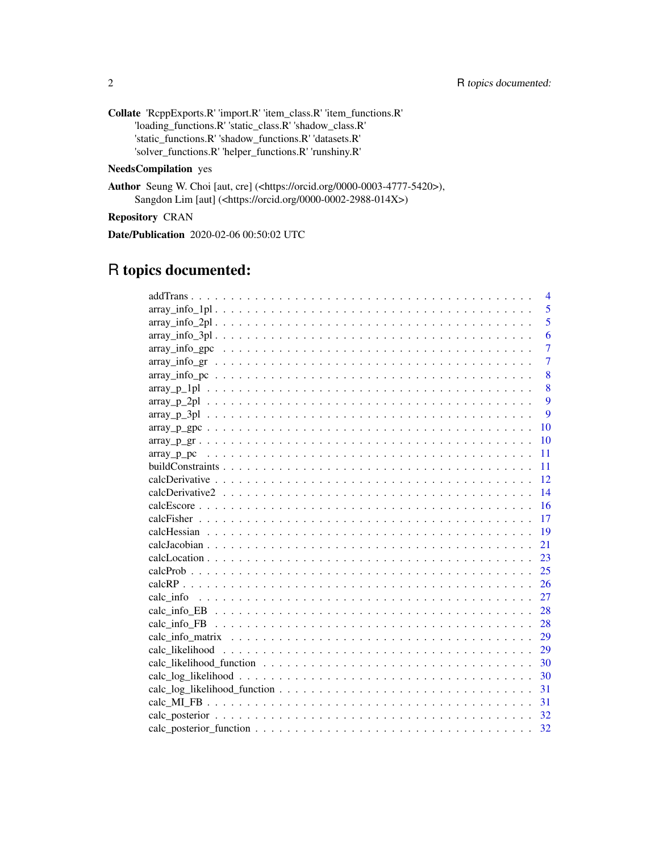| <b>Collate</b> 'ReppExports.R' 'import.R' 'item_class.R' 'item_functions.R' |
|-----------------------------------------------------------------------------|
| 'loading functions.R' 'static class.R' 'shadow class.R'                     |
| 'static functions.R' 'shadow functions.R' 'datasets.R'                      |
| 'solver_functions.R' 'helper_functions.R' 'runshiny.R'                      |

# NeedsCompilation yes

Author Seung W. Choi [aut, cre] (<https://orcid.org/0000-0003-4777-5420>), Sangdon Lim [aut] (<https://orcid.org/0000-0002-2988-014X>)

Repository CRAN

Date/Publication 2020-02-06 00:50:02 UTC

# R topics documented:

| $\overline{4}$ |                |
|----------------|----------------|
| 5              |                |
|                | 5              |
|                | 6              |
|                | $\overline{7}$ |
|                | $\overline{7}$ |
|                | 8              |
| 8              |                |
| 9              |                |
|                | 9              |
| 10             |                |
| 10             |                |
| 11             |                |
| 11             |                |
| 12             |                |
| 14             |                |
| 16             |                |
| 17             |                |
| 19             |                |
| 21             |                |
| 23             |                |
| 25             |                |
| 26             |                |
| 27             |                |
| - 28           |                |
|                |                |
|                |                |
| 29             |                |
| 30             |                |
| 30             |                |
| 31             |                |
| 31             |                |
|                |                |
| 32             |                |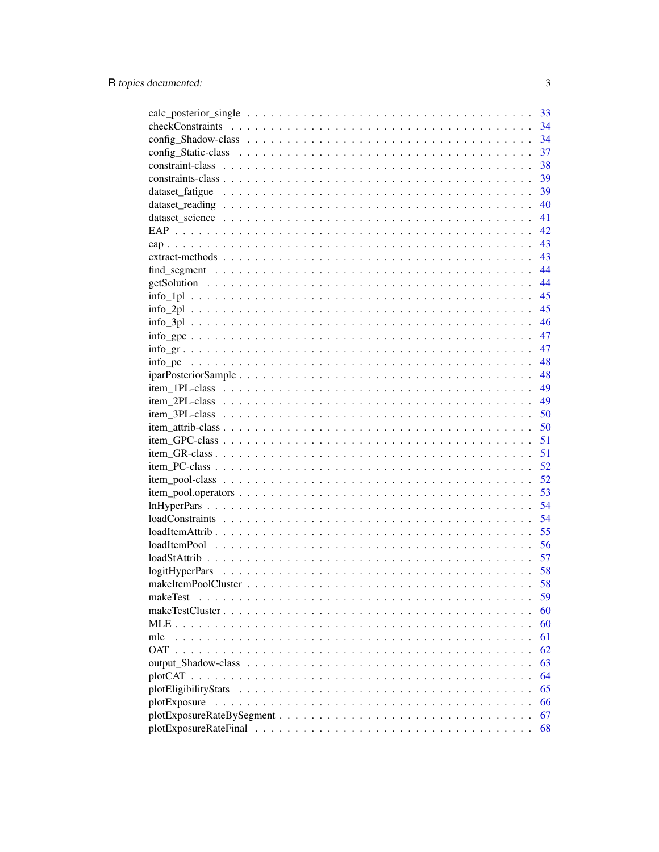|                  | 33 |
|------------------|----|
|                  | 34 |
|                  | 34 |
|                  | 37 |
|                  | 38 |
|                  | 39 |
|                  | 39 |
|                  | 40 |
|                  | 41 |
|                  | 42 |
|                  | 43 |
|                  | 43 |
|                  | 44 |
|                  | 44 |
|                  | 45 |
|                  | 45 |
|                  | 46 |
|                  | 47 |
|                  | 47 |
|                  | 48 |
|                  | 48 |
|                  | 49 |
|                  | 49 |
|                  | 50 |
|                  | 50 |
|                  | 51 |
|                  | 51 |
|                  | 52 |
|                  | 52 |
|                  | 53 |
|                  | 54 |
|                  | 54 |
|                  | 55 |
|                  | 56 |
|                  | 57 |
|                  | 58 |
|                  | 58 |
| makeTest         | 59 |
| makeTestCluster. | 60 |
| $MLE \dots$      | 60 |
| mle              | 61 |
| <b>OAT</b>       | 62 |
|                  | 63 |
|                  | 64 |
|                  | 65 |
| plotExposure     | 66 |
|                  | 67 |
|                  | 68 |

 $\overline{3}$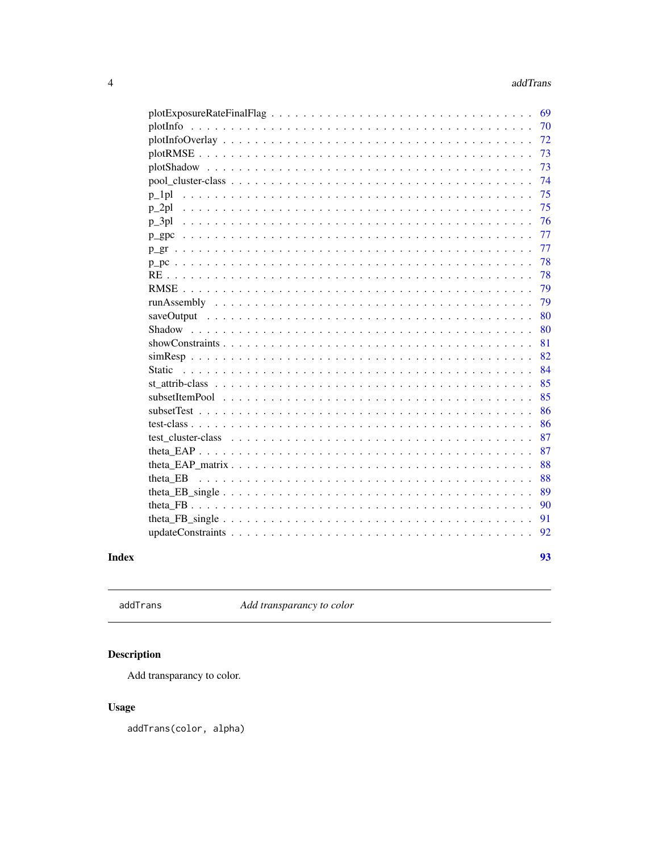<span id="page-3-0"></span>

|                                                                                                                                                      | 69 |
|------------------------------------------------------------------------------------------------------------------------------------------------------|----|
|                                                                                                                                                      | 70 |
| $plotInfoOverlay \ldots \ldots \ldots \ldots \ldots \ldots \ldots \ldots \ldots \ldots \ldots \ldots \ldots$                                         | 72 |
|                                                                                                                                                      | 73 |
|                                                                                                                                                      | 73 |
|                                                                                                                                                      | 74 |
| $p_l$                                                                                                                                                | 75 |
| $p_2$<br>.                                                                                                                                           | 75 |
| p 3pl                                                                                                                                                | 76 |
| $p\_gpc$                                                                                                                                             | 77 |
|                                                                                                                                                      | 77 |
|                                                                                                                                                      | 78 |
|                                                                                                                                                      | 78 |
|                                                                                                                                                      | 79 |
|                                                                                                                                                      | 79 |
|                                                                                                                                                      | 80 |
| Shadow                                                                                                                                               | 80 |
|                                                                                                                                                      | 81 |
|                                                                                                                                                      | 82 |
| Static                                                                                                                                               | 84 |
|                                                                                                                                                      | 85 |
|                                                                                                                                                      | 85 |
|                                                                                                                                                      | 86 |
|                                                                                                                                                      | 86 |
| test cluster-class $\ldots$ , $\ldots$ , $\ldots$ , $\ldots$ , $\ldots$ , $\ldots$ , $\ldots$ , $\ldots$ , $\ldots$ , $\ldots$ , $\ldots$ , $\ldots$ | 87 |
|                                                                                                                                                      | 87 |
|                                                                                                                                                      | 88 |
| theta EB                                                                                                                                             | 88 |
|                                                                                                                                                      | 89 |
|                                                                                                                                                      | 90 |
|                                                                                                                                                      | 91 |
|                                                                                                                                                      | 92 |
|                                                                                                                                                      |    |
|                                                                                                                                                      | 93 |

# **Index**

 $addTrans$ 

Add transparancy to color

# Description

Add transparancy to color.

# **Usage**

addTrans(color, alpha)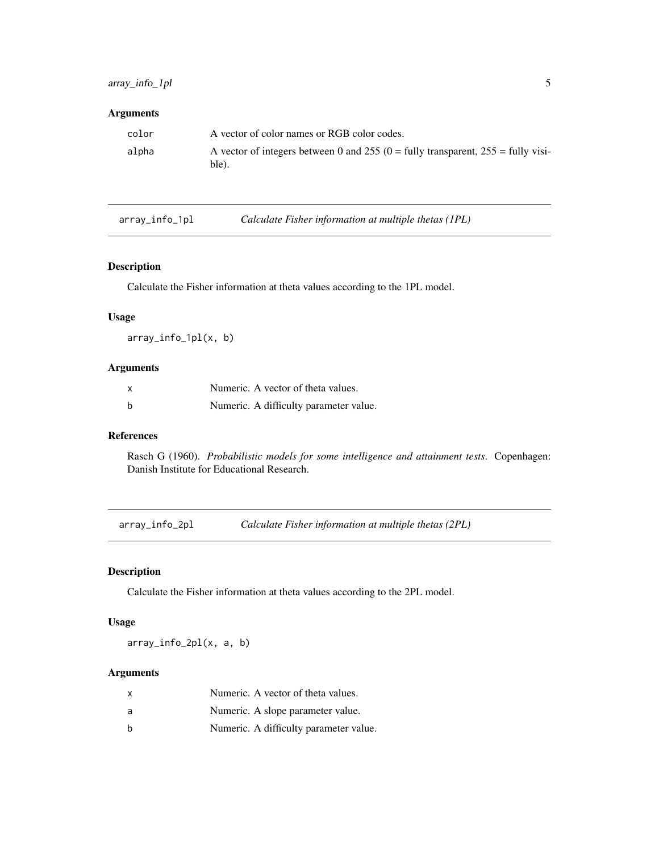# <span id="page-4-0"></span>Arguments

| color | A vector of color names or RGB color codes.                                                 |
|-------|---------------------------------------------------------------------------------------------|
| alpha | A vector of integers between 0 and 255 (0 = fully transparent, $255$ = fully visi-<br>ble). |

| array_info_1pl | Calculate Fisher information at multiple thetas (1PL) |
|----------------|-------------------------------------------------------|
|                |                                                       |

# Description

Calculate the Fisher information at theta values according to the 1PL model.

# Usage

array\_info\_1pl(x, b)

# Arguments

| $\boldsymbol{\mathsf{x}}$ | Numeric. A vector of theta values.     |
|---------------------------|----------------------------------------|
| b                         | Numeric. A difficulty parameter value. |

## References

Rasch G (1960). *Probabilistic models for some intelligence and attainment tests*. Copenhagen: Danish Institute for Educational Research.

array\_info\_2pl *Calculate Fisher information at multiple thetas (2PL)*

# Description

Calculate the Fisher information at theta values according to the 2PL model.

# Usage

array\_info\_2pl(x, a, b)

| x | Numeric. A vector of theta values.     |
|---|----------------------------------------|
| a | Numeric. A slope parameter value.      |
| b | Numeric. A difficulty parameter value. |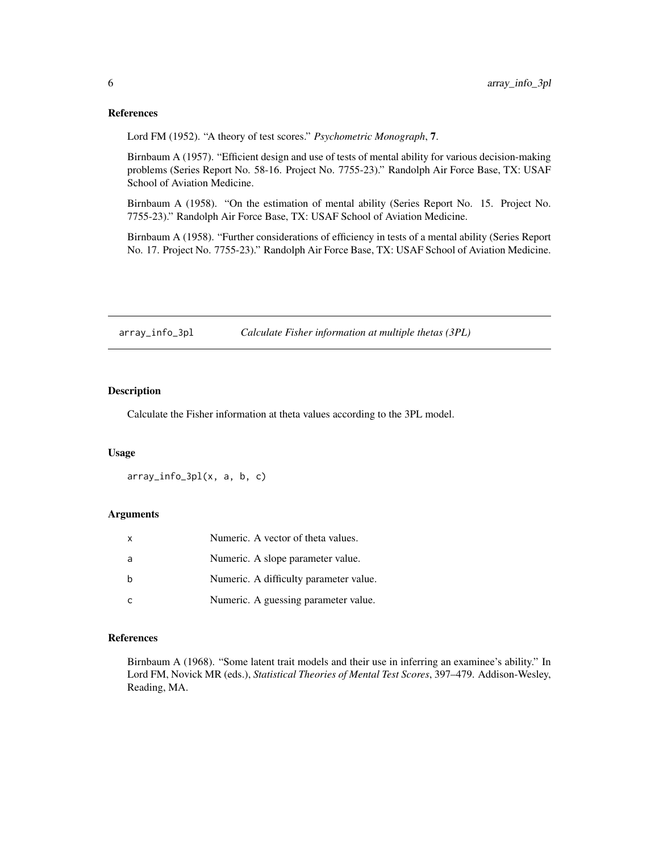#### <span id="page-5-0"></span>References

Lord FM (1952). "A theory of test scores." *Psychometric Monograph*, 7.

Birnbaum A (1957). "Efficient design and use of tests of mental ability for various decision-making problems (Series Report No. 58-16. Project No. 7755-23)." Randolph Air Force Base, TX: USAF School of Aviation Medicine.

Birnbaum A (1958). "On the estimation of mental ability (Series Report No. 15. Project No. 7755-23)." Randolph Air Force Base, TX: USAF School of Aviation Medicine.

Birnbaum A (1958). "Further considerations of efficiency in tests of a mental ability (Series Report No. 17. Project No. 7755-23)." Randolph Air Force Base, TX: USAF School of Aviation Medicine.

array\_info\_3pl *Calculate Fisher information at multiple thetas (3PL)*

# Description

Calculate the Fisher information at theta values according to the 3PL model.

#### Usage

array\_info\_3pl(x, a, b, c)

## Arguments

| X   | Numeric. A vector of theta values.     |
|-----|----------------------------------------|
| - a | Numeric. A slope parameter value.      |
|     | Numeric. A difficulty parameter value. |
|     | Numeric. A guessing parameter value.   |

# References

Birnbaum A (1968). "Some latent trait models and their use in inferring an examinee's ability." In Lord FM, Novick MR (eds.), *Statistical Theories of Mental Test Scores*, 397–479. Addison-Wesley, Reading, MA.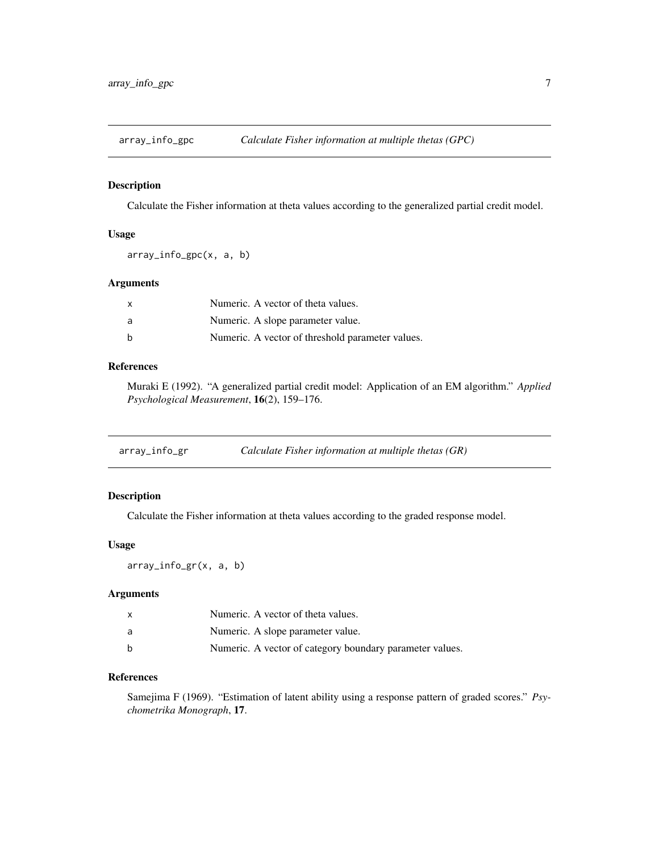<span id="page-6-0"></span>

Calculate the Fisher information at theta values according to the generalized partial credit model.

### Usage

array\_info\_gpc(x, a, b)

## Arguments

| $\mathsf{x}$ | Numeric. A vector of theta values.               |
|--------------|--------------------------------------------------|
| a            | Numeric. A slope parameter value.                |
| b            | Numeric. A vector of threshold parameter values. |

# References

Muraki E (1992). "A generalized partial credit model: Application of an EM algorithm." *Applied Psychological Measurement*, 16(2), 159–176.

| array_info_gr | Calculate Fisher information at multiple thetas (GR) |  |
|---------------|------------------------------------------------------|--|
|               |                                                      |  |

# Description

Calculate the Fisher information at theta values according to the graded response model.

#### Usage

array\_info\_gr(x, a, b)

### Arguments

| x | Numeric. A vector of theta values.                       |
|---|----------------------------------------------------------|
| a | Numeric. A slope parameter value.                        |
| h | Numeric. A vector of category boundary parameter values. |

# References

Samejima F (1969). "Estimation of latent ability using a response pattern of graded scores." *Psychometrika Monograph*, 17.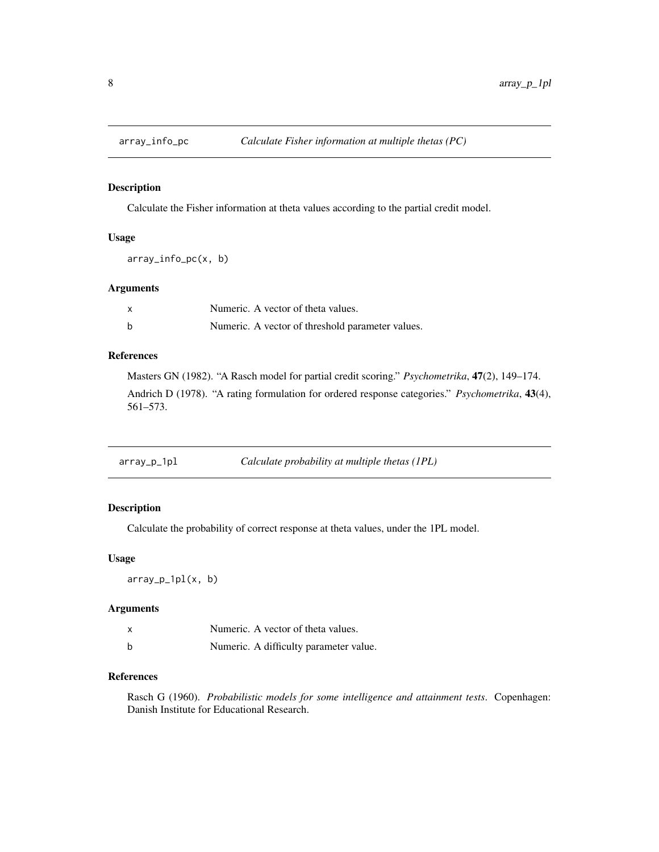<span id="page-7-0"></span>

Calculate the Fisher information at theta values according to the partial credit model.

# Usage

array\_info\_pc(x, b)

### Arguments

| x | Numeric. A vector of theta values.               |
|---|--------------------------------------------------|
| b | Numeric. A vector of threshold parameter values. |

# References

Masters GN (1982). "A Rasch model for partial credit scoring." *Psychometrika*, 47(2), 149–174. Andrich D (1978). "A rating formulation for ordered response categories." *Psychometrika*, 43(4), 561–573.

| array_p_1pl | Calculate probability at multiple thetas (1PL) |
|-------------|------------------------------------------------|
|-------------|------------------------------------------------|

# Description

Calculate the probability of correct response at theta values, under the 1PL model.

# Usage

array\_p\_1pl(x, b)

# Arguments

|   | Numeric. A vector of theta values.     |
|---|----------------------------------------|
| b | Numeric. A difficulty parameter value. |

# References

Rasch G (1960). *Probabilistic models for some intelligence and attainment tests*. Copenhagen: Danish Institute for Educational Research.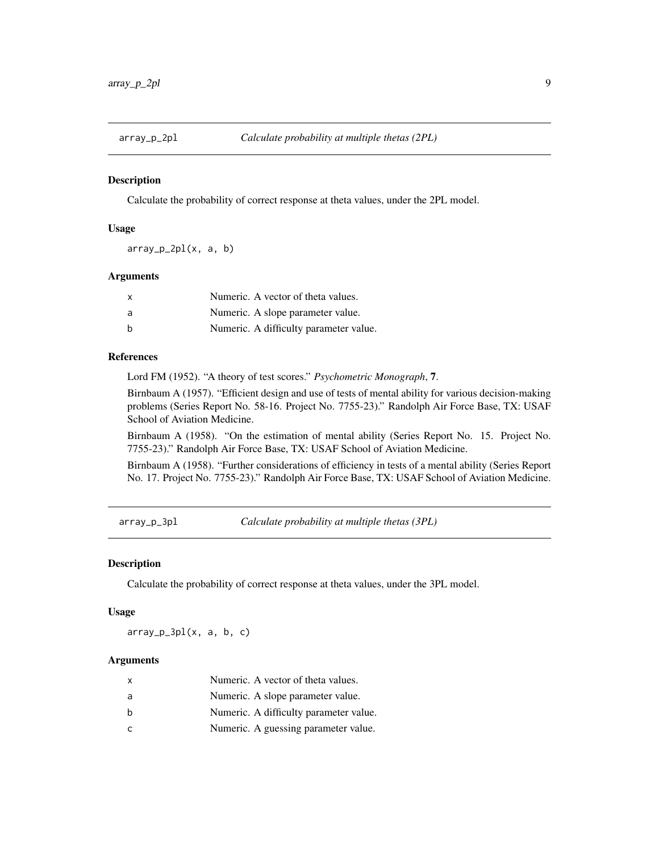<span id="page-8-0"></span>

Calculate the probability of correct response at theta values, under the 2PL model.

### Usage

 $array_p_2p_2p_1(x, a, b)$ 

#### Arguments

| $\mathsf{x}$ | Numeric. A vector of theta values.     |
|--------------|----------------------------------------|
| a            | Numeric. A slope parameter value.      |
| h            | Numeric. A difficulty parameter value. |

#### References

Lord FM (1952). "A theory of test scores." *Psychometric Monograph*, 7.

Birnbaum A (1957). "Efficient design and use of tests of mental ability for various decision-making problems (Series Report No. 58-16. Project No. 7755-23)." Randolph Air Force Base, TX: USAF School of Aviation Medicine.

Birnbaum A (1958). "On the estimation of mental ability (Series Report No. 15. Project No. 7755-23)." Randolph Air Force Base, TX: USAF School of Aviation Medicine.

Birnbaum A (1958). "Further considerations of efficiency in tests of a mental ability (Series Report No. 17. Project No. 7755-23)." Randolph Air Force Base, TX: USAF School of Aviation Medicine.

array\_p\_3pl *Calculate probability at multiple thetas (3PL)*

#### Description

Calculate the probability of correct response at theta values, under the 3PL model.

#### Usage

 $array_p_3pl(x, a, b, c)$ 

| X | Numeric. A vector of theta values.     |
|---|----------------------------------------|
| a | Numeric. A slope parameter value.      |
| h | Numeric. A difficulty parameter value. |
| C | Numeric. A guessing parameter value.   |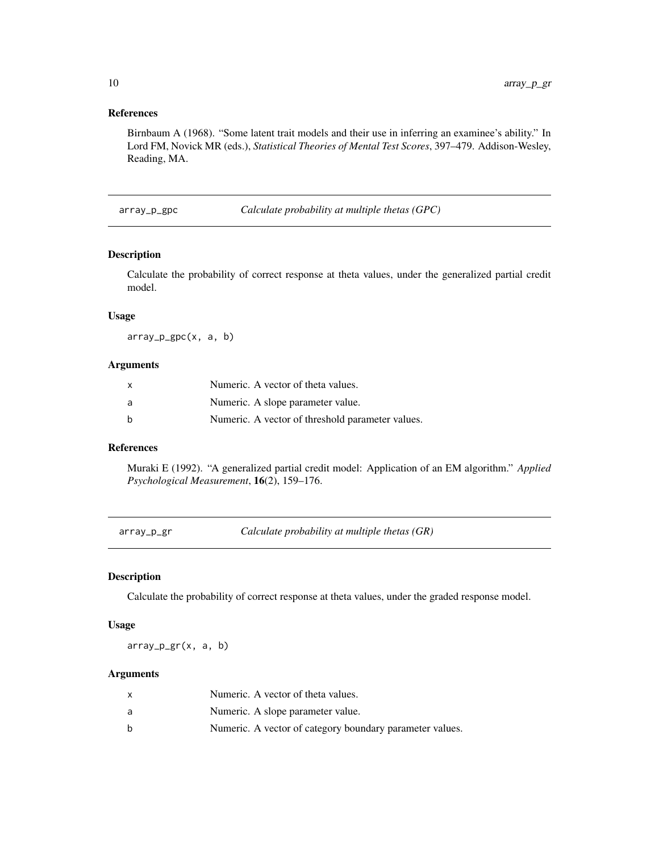# References

Birnbaum A (1968). "Some latent trait models and their use in inferring an examinee's ability." In Lord FM, Novick MR (eds.), *Statistical Theories of Mental Test Scores*, 397–479. Addison-Wesley, Reading, MA.

array\_p\_gpc *Calculate probability at multiple thetas (GPC)*

## Description

Calculate the probability of correct response at theta values, under the generalized partial credit model.

# Usage

array\_p\_gpc(x, a, b)

#### Arguments

| $\mathsf{x}$ | Numeric. A vector of theta values.               |
|--------------|--------------------------------------------------|
| a            | Numeric. A slope parameter value.                |
| b            | Numeric. A vector of threshold parameter values. |

### References

Muraki E (1992). "A generalized partial credit model: Application of an EM algorithm." *Applied Psychological Measurement*, 16(2), 159–176.

array\_p\_gr *Calculate probability at multiple thetas (GR)*

### Description

Calculate the probability of correct response at theta values, under the graded response model.

#### Usage

array\_p\_gr(x, a, b)

|   | Numeric. A vector of theta values.                       |
|---|----------------------------------------------------------|
| a | Numeric. A slope parameter value.                        |
| h | Numeric. A vector of category boundary parameter values. |

<span id="page-9-0"></span>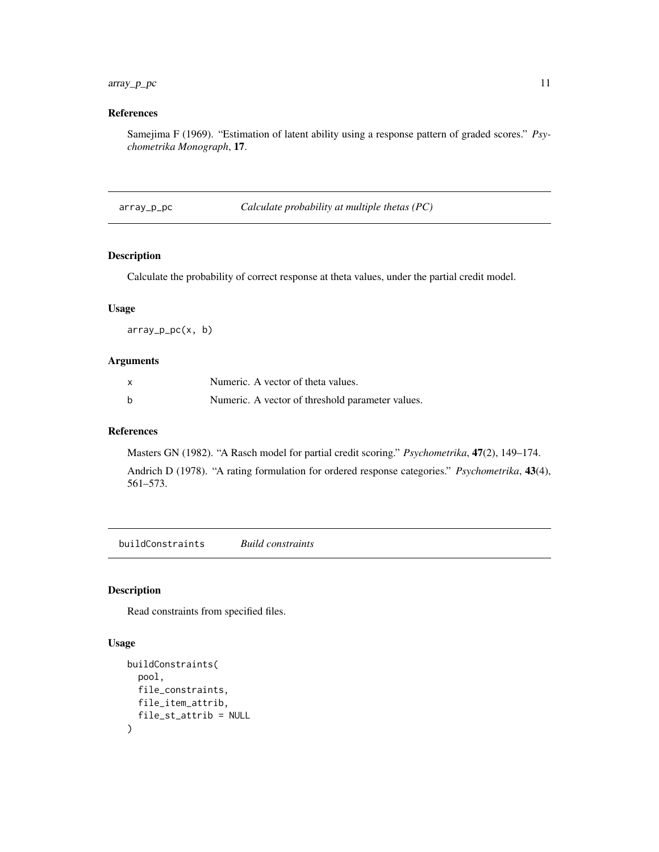# <span id="page-10-0"></span>array\_p\_pc 11

# References

Samejima F (1969). "Estimation of latent ability using a response pattern of graded scores." *Psychometrika Monograph*, 17.

array\_p\_pc *Calculate probability at multiple thetas (PC)*

### Description

Calculate the probability of correct response at theta values, under the partial credit model.

#### Usage

array\_p\_pc(x, b)

### Arguments

| X | Numeric. A vector of theta values.               |
|---|--------------------------------------------------|
|   | Numeric. A vector of threshold parameter values. |

### References

Masters GN (1982). "A Rasch model for partial credit scoring." *Psychometrika*, 47(2), 149–174.

Andrich D (1978). "A rating formulation for ordered response categories." *Psychometrika*, 43(4), 561–573.

buildConstraints *Build constraints*

#### Description

Read constraints from specified files.

#### Usage

```
buildConstraints(
  pool,
  file_constraints,
  file_item_attrib,
  file_st_attrib = NULL
\mathcal{E}
```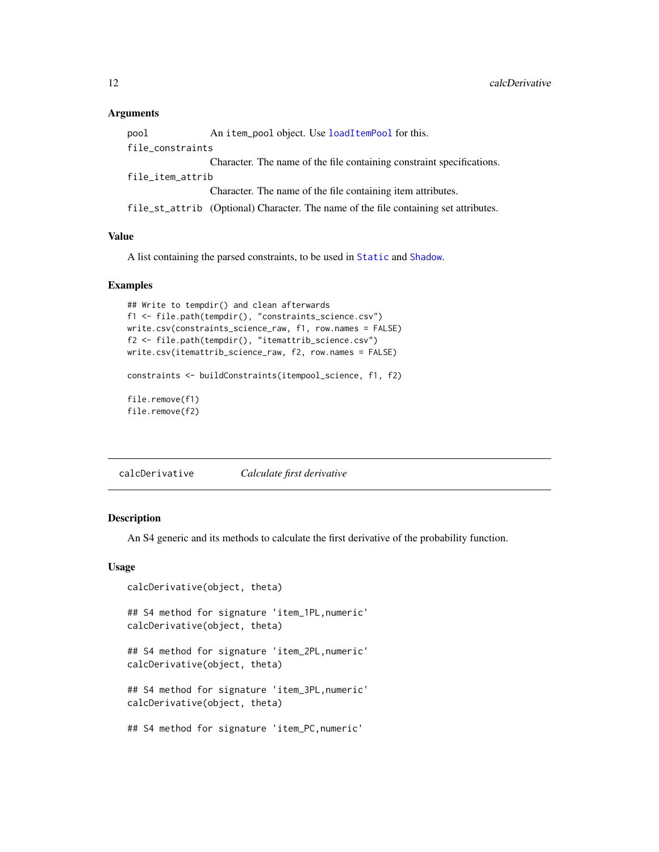#### <span id="page-11-0"></span>Arguments

| pool             | An item_pool object. Use loadItemPool for this.                                      |
|------------------|--------------------------------------------------------------------------------------|
| file_constraints |                                                                                      |
|                  | Character. The name of the file containing constraint specifications.                |
| file_item_attrib |                                                                                      |
|                  | Character. The name of the file containing item attributes.                          |
|                  | file_st_attrib (Optional) Character. The name of the file containing set attributes. |

# Value

A list containing the parsed constraints, to be used in [Static](#page-83-1) and [Shadow](#page-79-1).

### Examples

```
## Write to tempdir() and clean afterwards
f1 <- file.path(tempdir(), "constraints_science.csv")
write.csv(constraints_science_raw, f1, row.names = FALSE)
f2 <- file.path(tempdir(), "itemattrib_science.csv")
write.csv(itemattrib_science_raw, f2, row.names = FALSE)
constraints <- buildConstraints(itempool_science, f1, f2)
file.remove(f1)
file.remove(f2)
```
calcDerivative *Calculate first derivative*

#### Description

An S4 generic and its methods to calculate the first derivative of the probability function.

#### Usage

```
calcDerivative(object, theta)
## S4 method for signature 'item_1PL,numeric'
calcDerivative(object, theta)
## S4 method for signature 'item_2PL,numeric'
calcDerivative(object, theta)
## S4 method for signature 'item_3PL,numeric'
calcDerivative(object, theta)
## S4 method for signature 'item_PC,numeric'
```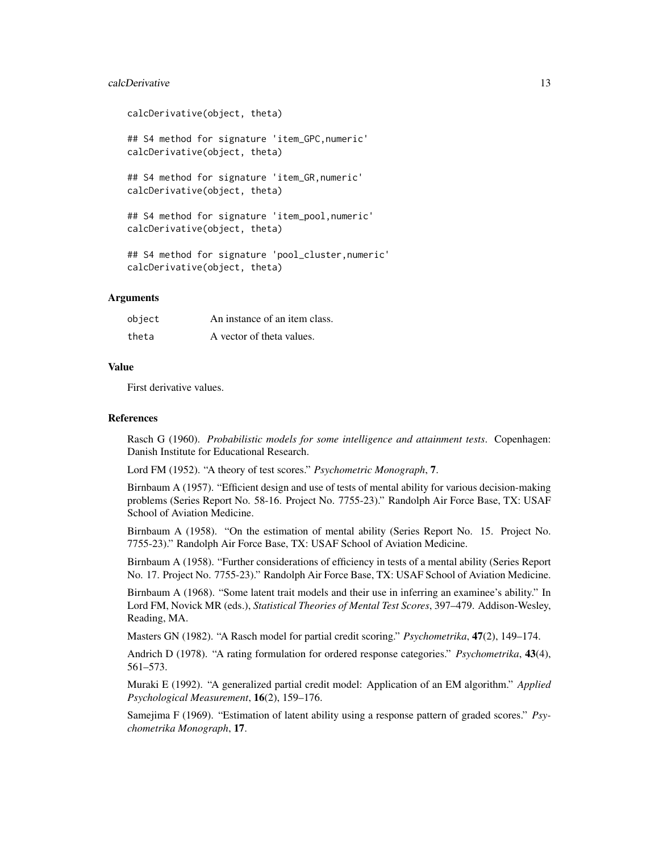#### calcDerivative 13

```
calcDerivative(object, theta)
## S4 method for signature 'item_GPC,numeric'
calcDerivative(object, theta)
## S4 method for signature 'item_GR,numeric'
calcDerivative(object, theta)
## S4 method for signature 'item_pool,numeric'
calcDerivative(object, theta)
## S4 method for signature 'pool_cluster,numeric'
calcDerivative(object, theta)
```
#### Arguments

| object | An instance of an item class. |
|--------|-------------------------------|
| theta  | A vector of theta values.     |

# Value

First derivative values.

#### References

Rasch G (1960). *Probabilistic models for some intelligence and attainment tests*. Copenhagen: Danish Institute for Educational Research.

Lord FM (1952). "A theory of test scores." *Psychometric Monograph*, 7.

Birnbaum A (1957). "Efficient design and use of tests of mental ability for various decision-making problems (Series Report No. 58-16. Project No. 7755-23)." Randolph Air Force Base, TX: USAF School of Aviation Medicine.

Birnbaum A (1958). "On the estimation of mental ability (Series Report No. 15. Project No. 7755-23)." Randolph Air Force Base, TX: USAF School of Aviation Medicine.

Birnbaum A (1958). "Further considerations of efficiency in tests of a mental ability (Series Report No. 17. Project No. 7755-23)." Randolph Air Force Base, TX: USAF School of Aviation Medicine.

Birnbaum A (1968). "Some latent trait models and their use in inferring an examinee's ability." In Lord FM, Novick MR (eds.), *Statistical Theories of Mental Test Scores*, 397–479. Addison-Wesley, Reading, MA.

Masters GN (1982). "A Rasch model for partial credit scoring." *Psychometrika*, 47(2), 149–174.

Andrich D (1978). "A rating formulation for ordered response categories." *Psychometrika*, 43(4), 561–573.

Muraki E (1992). "A generalized partial credit model: Application of an EM algorithm." *Applied Psychological Measurement*, 16(2), 159–176.

Samejima F (1969). "Estimation of latent ability using a response pattern of graded scores." *Psychometrika Monograph*, 17.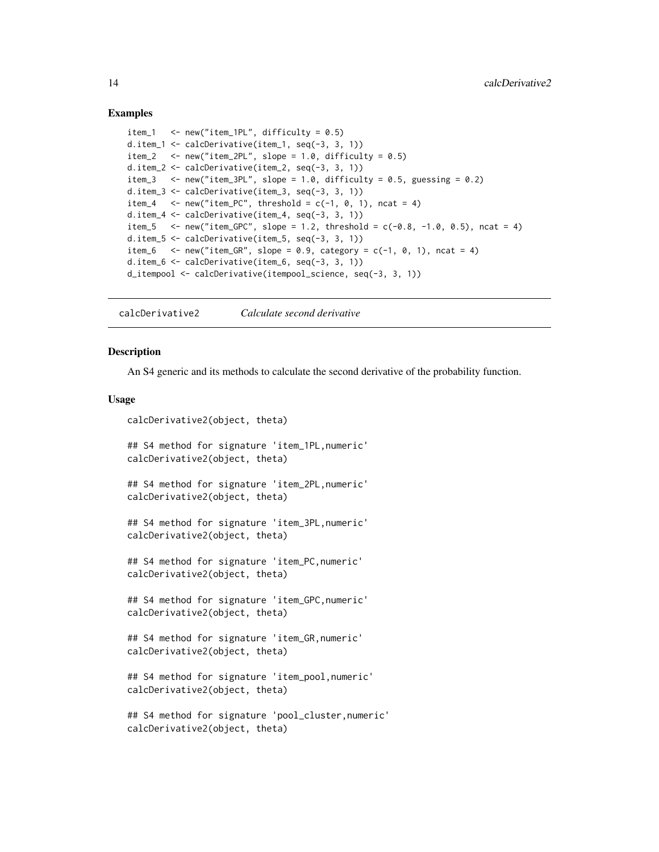#### Examples

```
item_1 <- new("item_1PL", difficulty = 0.5)
d.item_1 <- calcDerivative(item_1, seq(-3, 3, 1))
item_2 \le - new("item_2PL", slope = 1.0, difficulty = 0.5)
d.item_2 <- calcDerivative(item_2, seq(-3, 3, 1))
item_3 \le new("item_3PL", slope = 1.0, difficulty = 0.5, guessing = 0.2)
d.item_3 <- calcDerivative(item_3, seq(-3, 3, 1))
item_4 \leq new("item_PC", threshold = c(-1, 0, 1), ncat = 4)
d.item_4 <- calcDerivative(item_4, seq(-3, 3, 1))
item_5 <- new("item_GPC", slope = 1.2, threshold = c(-0.8, -1.0, 0.5), ncat = 4)
d.item_5 <- calcDerivative(item_5, seq(-3, 3, 1))
item_6 \le new("item_GR", slope = 0.9, category = c(-1, 0, 1), ncat = 4)
d.item_6 <- calcDerivative(item_6, seq(-3, 3, 1))
d_itempool <- calcDerivative(itempool_science, seq(-3, 3, 1))
```
calcDerivative2 *Calculate second derivative*

#### **Description**

An S4 generic and its methods to calculate the second derivative of the probability function.

#### Usage

```
calcDerivative2(object, theta)
```
## S4 method for signature 'item\_1PL,numeric' calcDerivative2(object, theta)

## S4 method for signature 'item\_2PL,numeric' calcDerivative2(object, theta)

```
## S4 method for signature 'item_3PL,numeric'
calcDerivative2(object, theta)
```
## S4 method for signature 'item\_PC,numeric' calcDerivative2(object, theta)

## S4 method for signature 'item\_GPC,numeric' calcDerivative2(object, theta)

```
## S4 method for signature 'item_GR,numeric'
calcDerivative2(object, theta)
```
## S4 method for signature 'item\_pool,numeric' calcDerivative2(object, theta)

```
## S4 method for signature 'pool_cluster,numeric'
calcDerivative2(object, theta)
```
<span id="page-13-0"></span>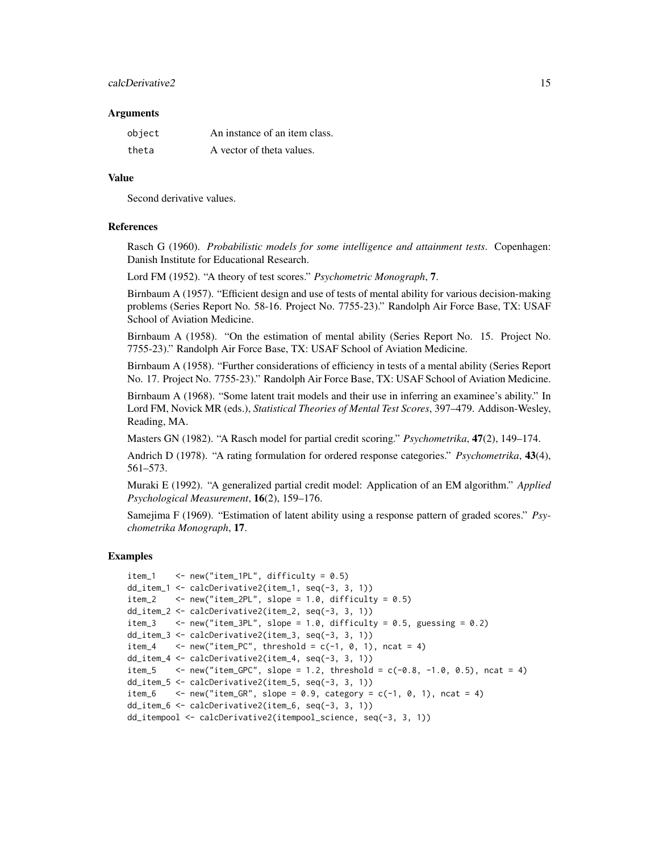#### calcDerivative2 15

#### Arguments

| object | An instance of an item class. |
|--------|-------------------------------|
| theta  | A vector of theta values.     |

#### Value

Second derivative values.

#### References

Rasch G (1960). *Probabilistic models for some intelligence and attainment tests*. Copenhagen: Danish Institute for Educational Research.

Lord FM (1952). "A theory of test scores." *Psychometric Monograph*, 7.

Birnbaum A (1957). "Efficient design and use of tests of mental ability for various decision-making problems (Series Report No. 58-16. Project No. 7755-23)." Randolph Air Force Base, TX: USAF School of Aviation Medicine.

Birnbaum A (1958). "On the estimation of mental ability (Series Report No. 15. Project No. 7755-23)." Randolph Air Force Base, TX: USAF School of Aviation Medicine.

Birnbaum A (1958). "Further considerations of efficiency in tests of a mental ability (Series Report No. 17. Project No. 7755-23)." Randolph Air Force Base, TX: USAF School of Aviation Medicine.

Birnbaum A (1968). "Some latent trait models and their use in inferring an examinee's ability." In Lord FM, Novick MR (eds.), *Statistical Theories of Mental Test Scores*, 397–479. Addison-Wesley, Reading, MA.

Masters GN (1982). "A Rasch model for partial credit scoring." *Psychometrika*, 47(2), 149–174.

Andrich D (1978). "A rating formulation for ordered response categories." *Psychometrika*, 43(4), 561–573.

Muraki E (1992). "A generalized partial credit model: Application of an EM algorithm." *Applied Psychological Measurement*, 16(2), 159–176.

Samejima F (1969). "Estimation of latent ability using a response pattern of graded scores." *Psychometrika Monograph*, 17.

### Examples

```
item_1 <- new("item_1PL", difficulty = 0.5)
dd_item_1 <- calcDerivative2(item_1, seq(-3, 3, 1))
item_2 \le - new("item_2PL", slope = 1.0, difficulty = 0.5)
dd_item_2 <- calcDerivative2(item_2, seq(-3, 3, 1))
item_3 \le - new("item_3PL", slope = 1.0, difficulty = 0.5, guessing = 0.2)
dd_item_3 <- calcDerivative2(item_3, seq(-3, 3, 1))
item_4 \leq new("item_PC", threshold = c(-1, 0, 1), ncat = 4)
dd_item_4 <- calcDerivative2(item_4, seq(-3, 3, 1))
item_5 \leq new("item_GPC", slope = 1.2, threshold = c(-0.8, -1.0, 0.5), ncat = 4)
dd_item_5 <- calcDerivative2(item_5, seq(-3, 3, 1))
item_6 \le - new("item_GR", slope = 0.9, category = c(-1, 0, 1), ncat = 4)
dd_item_6 <- calcDerivative2(item_6, seq(-3, 3, 1))
dd_itempool <- calcDerivative2(itempool_science, seq(-3, 3, 1))
```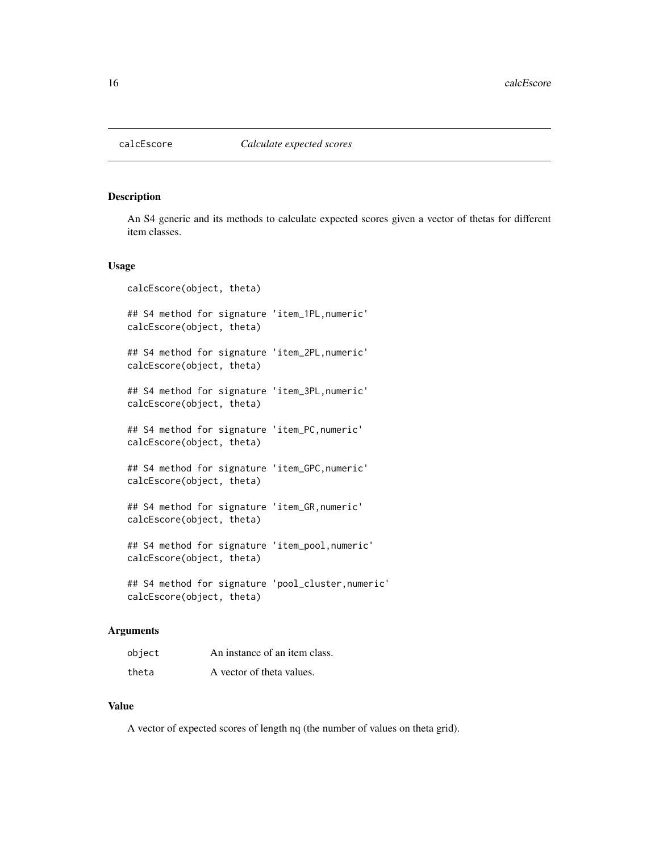<span id="page-15-0"></span>

An S4 generic and its methods to calculate expected scores given a vector of thetas for different item classes.

### Usage

```
calcEscore(object, theta)
## S4 method for signature 'item_1PL,numeric'
calcEscore(object, theta)
## S4 method for signature 'item_2PL,numeric'
calcEscore(object, theta)
## S4 method for signature 'item_3PL,numeric'
calcEscore(object, theta)
## S4 method for signature 'item_PC,numeric'
calcEscore(object, theta)
## S4 method for signature 'item_GPC,numeric'
calcEscore(object, theta)
## S4 method for signature 'item_GR,numeric'
calcEscore(object, theta)
## S4 method for signature 'item_pool,numeric'
calcEscore(object, theta)
## S4 method for signature 'pool_cluster,numeric'
calcEscore(object, theta)
```
### Arguments

| object | An instance of an item class. |
|--------|-------------------------------|
| theta  | A vector of theta values.     |

#### Value

A vector of expected scores of length nq (the number of values on theta grid).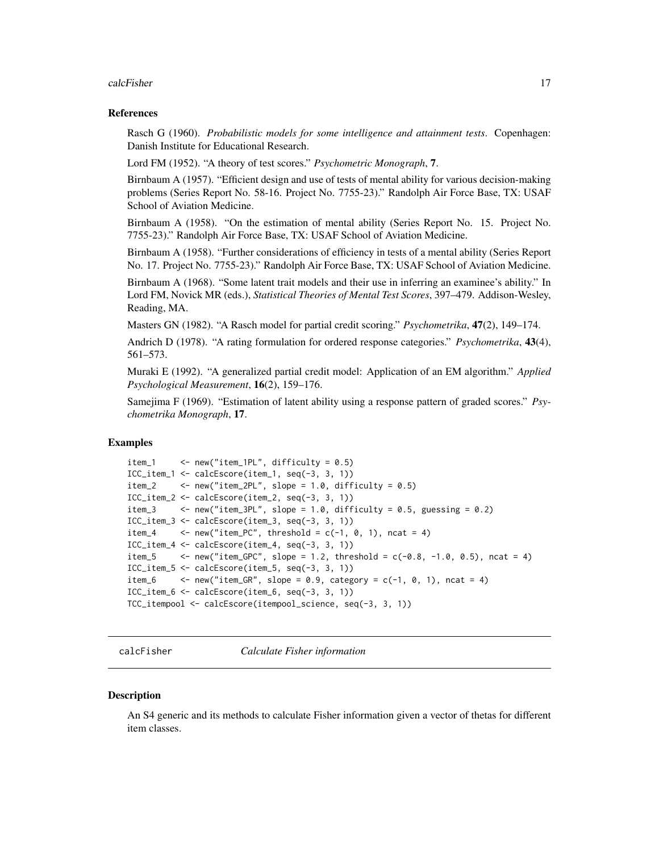#### <span id="page-16-0"></span>calcFisher 17

#### References

Rasch G (1960). *Probabilistic models for some intelligence and attainment tests*. Copenhagen: Danish Institute for Educational Research.

Lord FM (1952). "A theory of test scores." *Psychometric Monograph*, 7.

Birnbaum A (1957). "Efficient design and use of tests of mental ability for various decision-making problems (Series Report No. 58-16. Project No. 7755-23)." Randolph Air Force Base, TX: USAF School of Aviation Medicine.

Birnbaum A (1958). "On the estimation of mental ability (Series Report No. 15. Project No. 7755-23)." Randolph Air Force Base, TX: USAF School of Aviation Medicine.

Birnbaum A (1958). "Further considerations of efficiency in tests of a mental ability (Series Report No. 17. Project No. 7755-23)." Randolph Air Force Base, TX: USAF School of Aviation Medicine.

Birnbaum A (1968). "Some latent trait models and their use in inferring an examinee's ability." In Lord FM, Novick MR (eds.), *Statistical Theories of Mental Test Scores*, 397–479. Addison-Wesley, Reading, MA.

Masters GN (1982). "A Rasch model for partial credit scoring." *Psychometrika*, 47(2), 149–174.

Andrich D (1978). "A rating formulation for ordered response categories." *Psychometrika*, 43(4), 561–573.

Muraki E (1992). "A generalized partial credit model: Application of an EM algorithm." *Applied Psychological Measurement*, 16(2), 159–176.

Samejima F (1969). "Estimation of latent ability using a response pattern of graded scores." *Psychometrika Monograph*, 17.

#### Examples

```
item_1 <- new("item_1PL", difficulty = 0.5)
ICC_item_1 <- calcEscore(item_1, seq(-3, 3, 1))
item_2 \le - new("item_2PL", slope = 1.0, difficulty = 0.5)
ICC_item_2 <- calcEscore(item_2, seq(-3, 3, 1))
item_3 \le - new("item_3PL", slope = 1.0, difficulty = 0.5, guessing = 0.2)
ICC_item_3 <- calcEscore(item_3, seq(-3, 3, 1))
item_4 \leftarrow new("item_PC", threshold = c(-1, 0, 1), ncat = 4)
ICC_item_4 <- calcEscore(item_4, seq(-3, 3, 1))
item_5 \leq new("item_GPC", slope = 1.2, threshold = c(-0.8, -1.0, 0.5), ncat = 4)
ICC_item_5 <- calcEscore(item_5, seq(-3, 3, 1))
item_6 \leq - new("item_GR", slope = 0.9, category = c(-1, 0, 1), ncat = 4)
ICC_item_6 <- calcEscore(item_6, seq(-3, 3, 1))
TCC_itempool <- calcEscore(itempool_science, seq(-3, 3, 1))
```
calcFisher *Calculate Fisher information*

#### **Description**

An S4 generic and its methods to calculate Fisher information given a vector of thetas for different item classes.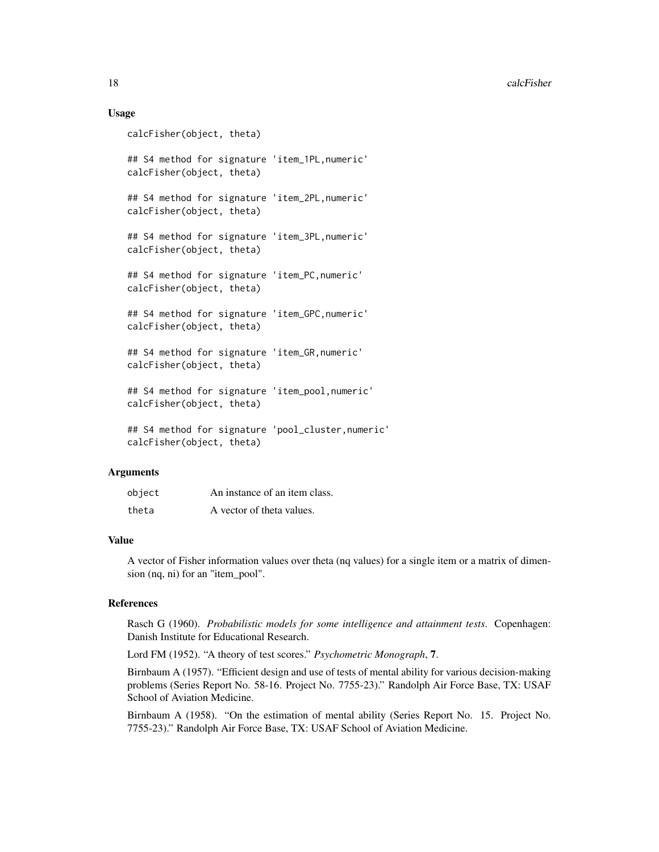### Usage

```
calcFisher(object, theta)
## S4 method for signature 'item_1PL,numeric'
calcFisher(object, theta)
## S4 method for signature 'item_2PL,numeric'
calcFisher(object, theta)
## S4 method for signature 'item_3PL,numeric'
calcFisher(object, theta)
## S4 method for signature 'item_PC,numeric'
calcFisher(object, theta)
## S4 method for signature 'item_GPC,numeric'
calcFisher(object, theta)
## S4 method for signature 'item_GR,numeric'
calcFisher(object, theta)
## S4 method for signature 'item_pool,numeric'
calcFisher(object, theta)
## S4 method for signature 'pool_cluster,numeric'
calcFisher(object, theta)
```
### Arguments

| object | An instance of an item class. |
|--------|-------------------------------|
| theta  | A vector of theta values.     |

#### Value

A vector of Fisher information values over theta (nq values) for a single item or a matrix of dimension (nq, ni) for an "item\_pool".

# References

Rasch G (1960). *Probabilistic models for some intelligence and attainment tests*. Copenhagen: Danish Institute for Educational Research.

Lord FM (1952). "A theory of test scores." *Psychometric Monograph*, 7.

Birnbaum A (1957). "Efficient design and use of tests of mental ability for various decision-making problems (Series Report No. 58-16. Project No. 7755-23)." Randolph Air Force Base, TX: USAF School of Aviation Medicine.

Birnbaum A (1958). "On the estimation of mental ability (Series Report No. 15. Project No. 7755-23)." Randolph Air Force Base, TX: USAF School of Aviation Medicine.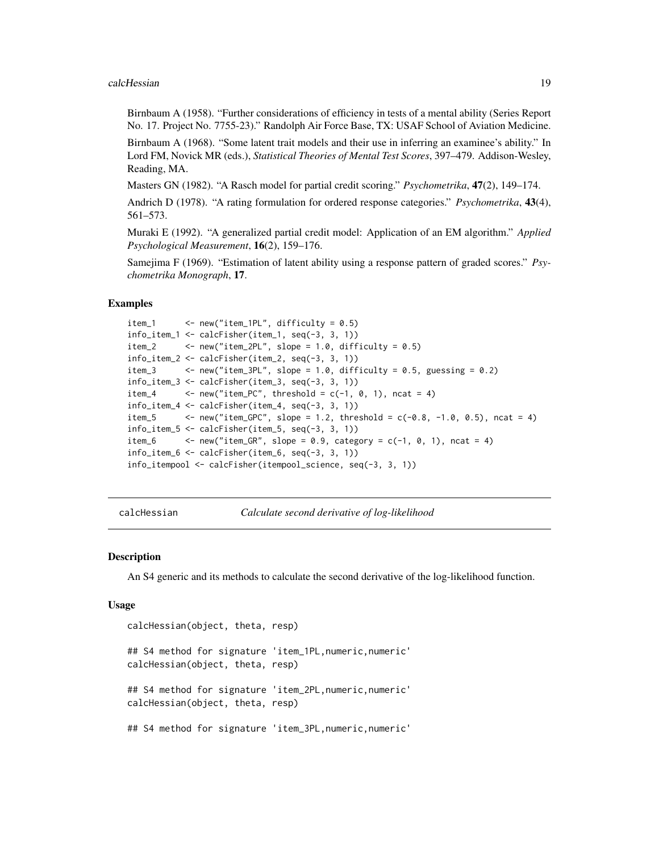#### <span id="page-18-0"></span>calcHessian 19

Birnbaum A (1958). "Further considerations of efficiency in tests of a mental ability (Series Report No. 17. Project No. 7755-23)." Randolph Air Force Base, TX: USAF School of Aviation Medicine.

Birnbaum A (1968). "Some latent trait models and their use in inferring an examinee's ability." In Lord FM, Novick MR (eds.), *Statistical Theories of Mental Test Scores*, 397–479. Addison-Wesley, Reading, MA.

Masters GN (1982). "A Rasch model for partial credit scoring." *Psychometrika*, 47(2), 149–174.

Andrich D (1978). "A rating formulation for ordered response categories." *Psychometrika*, 43(4), 561–573.

Muraki E (1992). "A generalized partial credit model: Application of an EM algorithm." *Applied Psychological Measurement*, 16(2), 159–176.

Samejima F (1969). "Estimation of latent ability using a response pattern of graded scores." *Psychometrika Monograph*, 17.

#### Examples

```
item_1 <- new("item_1PL", difficulty = 0.5)
info\_item_1 \leftarrow calcFisher(item_1, seq(-3, 3, 1))item_2 \le - new("item_2PL", slope = 1.0, difficulty = 0.5)
info_item_2 <- calcFisher(item_2, seq(-3, 3, 1))
item_3 \le - new("item_3PL", slope = 1.0, difficulty = 0.5, guessing = 0.2)
info_time_3 \leftarrow calcFisher(item_3, seq(-3, 3, 1))item_4 \leftarrow new("item_PC", threshold = c(-1, 0, 1), ncat = 4)
info\_item_4 \leftarrow calcFisher(item_4, seq(-3, 3, 1))item_5 \leq - new("item_GPC", slope = 1.2, threshold = c(-0.8, -1.0, 0.5), ncat = 4)
info\_item_5 \leftarrow calcFisher(item_5, seq(-3, 3, 1))item_6 \leftarrow new("item_GR", slope = 0.9, category = c(-1, 0, 1), ncat = 4)
info_item_6 <- calcFisher(item_6, seq(-3, 3, 1))
info_itempool <- calcFisher(itempool_science, seq(-3, 3, 1))
```
calcHessian *Calculate second derivative of log-likelihood*

#### Description

An S4 generic and its methods to calculate the second derivative of the log-likelihood function.

#### Usage

```
calcHessian(object, theta, resp)
## S4 method for signature 'item_1PL, numeric, numeric'
calcHessian(object, theta, resp)
## S4 method for signature 'item_2PL,numeric,numeric'
calcHessian(object, theta, resp)
## S4 method for signature 'item_3PL,numeric,numeric'
```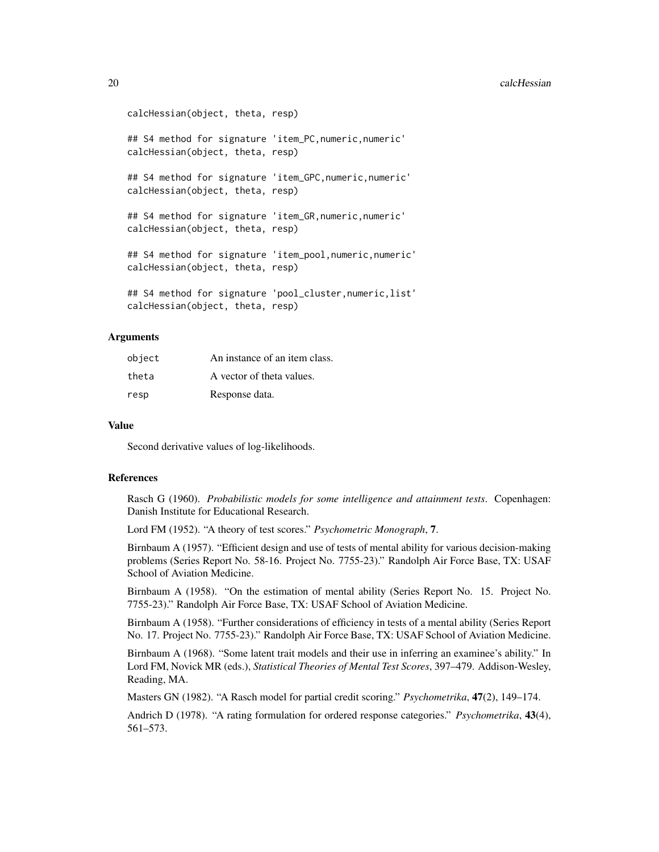#### 20 calcHessian control of the control of the control of the calcHessian control of the control of the control of the control of the control of the control of the control of the control of the control of the control of the

```
calcHessian(object, theta, resp)
## S4 method for signature 'item_PC,numeric,numeric'
calcHessian(object, theta, resp)
## S4 method for signature 'item_GPC,numeric,numeric'
calcHessian(object, theta, resp)
## S4 method for signature 'item_GR,numeric,numeric'
calcHessian(object, theta, resp)
## S4 method for signature 'item_pool,numeric,numeric'
calcHessian(object, theta, resp)
## S4 method for signature 'pool_cluster,numeric,list'
calcHessian(object, theta, resp)
```
# Arguments

| object | An instance of an item class. |
|--------|-------------------------------|
| theta  | A vector of theta values.     |
| resp   | Response data.                |

#### Value

Second derivative values of log-likelihoods.

#### References

Rasch G (1960). *Probabilistic models for some intelligence and attainment tests*. Copenhagen: Danish Institute for Educational Research.

Lord FM (1952). "A theory of test scores." *Psychometric Monograph*, 7.

Birnbaum A (1957). "Efficient design and use of tests of mental ability for various decision-making problems (Series Report No. 58-16. Project No. 7755-23)." Randolph Air Force Base, TX: USAF School of Aviation Medicine.

Birnbaum A (1958). "On the estimation of mental ability (Series Report No. 15. Project No. 7755-23)." Randolph Air Force Base, TX: USAF School of Aviation Medicine.

Birnbaum A (1958). "Further considerations of efficiency in tests of a mental ability (Series Report No. 17. Project No. 7755-23)." Randolph Air Force Base, TX: USAF School of Aviation Medicine.

Birnbaum A (1968). "Some latent trait models and their use in inferring an examinee's ability." In Lord FM, Novick MR (eds.), *Statistical Theories of Mental Test Scores*, 397–479. Addison-Wesley, Reading, MA.

Masters GN (1982). "A Rasch model for partial credit scoring." *Psychometrika*, 47(2), 149–174.

Andrich D (1978). "A rating formulation for ordered response categories." *Psychometrika*, 43(4), 561–573.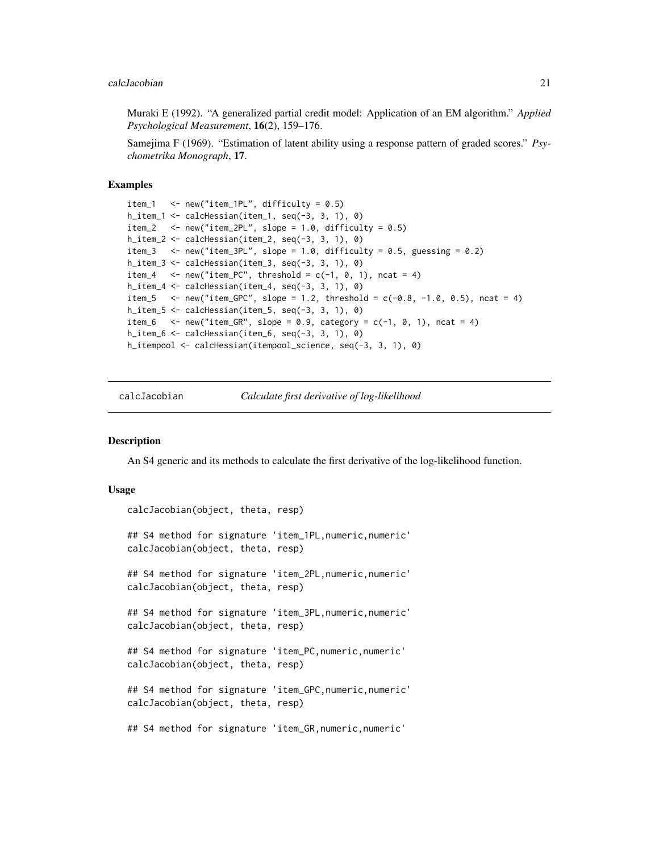<span id="page-20-0"></span>Muraki E (1992). "A generalized partial credit model: Application of an EM algorithm." *Applied Psychological Measurement*, 16(2), 159–176.

Samejima F (1969). "Estimation of latent ability using a response pattern of graded scores." *Psychometrika Monograph*, 17.

#### Examples

```
item_1 \le new("item_1PL", difficulty = 0.5)
h_item_1 \le calcHessian(item_1, seq(-3, 3, 1), 0)
item_2 \le - new("item_2PL", slope = 1.0, difficulty = 0.5)
h_item_2 <- calcHessian(item_2, seq(-3, 3, 1), 0)
item_3 \le new("item_3PL", slope = 1.0, difficulty = 0.5, guessing = 0.2)
h_item_3 <- calcHessian(item_3, seq(-3, 3, 1), 0)
item_4 \leq new("item_PC", threshold = c(-1, 0, 1), ncat = 4)
h_item_4 \leq calcHessian(item_4, seq(-3, 3, 1), 0)
item_5 <- new("item_GPC", slope = 1.2, threshold = c(-0.8, -1.0, 0.5), ncat = 4)
h_item_5 <- calcHessian(item_5, seq(-3, 3, 1), 0)
item_6 \le new("item_GR", slope = 0.9, category = c(-1, 0, 1), ncat = 4)
h_item_6 <- calcHessian(item_6, seq(-3, 3, 1), 0)
h_itempool <- calcHessian(itempool_science, seq(-3, 3, 1), 0)
```
calcJacobian *Calculate first derivative of log-likelihood*

#### **Description**

An S4 generic and its methods to calculate the first derivative of the log-likelihood function.

#### Usage

```
calcJacobian(object, theta, resp)
## S4 method for signature 'item_1PL,numeric,numeric'
calcJacobian(object, theta, resp)
## S4 method for signature 'item_2PL,numeric,numeric'
calcJacobian(object, theta, resp)
## S4 method for signature 'item_3PL,numeric,numeric'
calcJacobian(object, theta, resp)
## S4 method for signature 'item_PC,numeric,numeric'
calcJacobian(object, theta, resp)
## S4 method for signature 'item_GPC,numeric,numeric'
calcJacobian(object, theta, resp)
## S4 method for signature 'item_GR,numeric,numeric'
```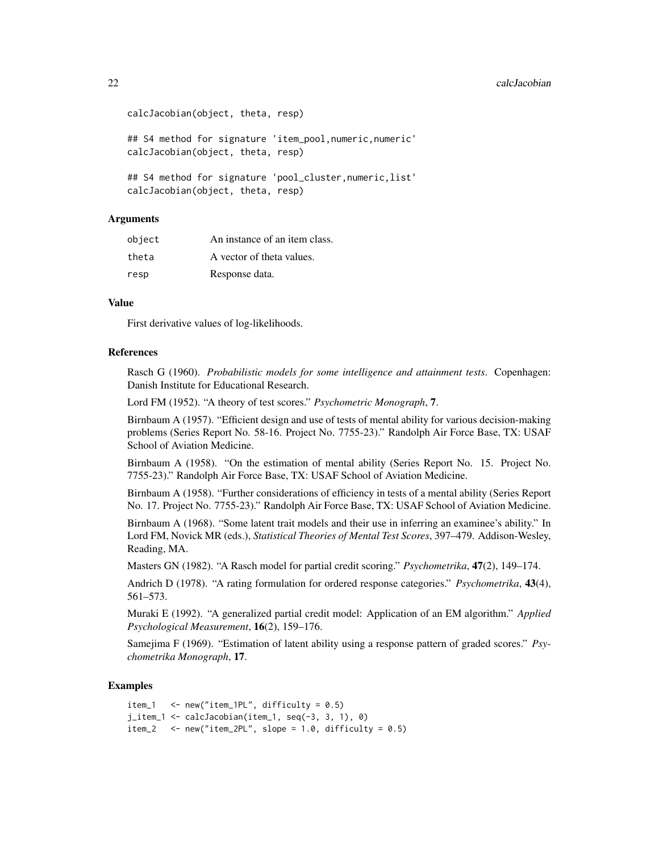#### 22 calcJacobian calcJacobian calcJacobian calcJacobian calcJacobian calcJacobian calcJacobian calcJacobian calcJacobian calcJacobian calcJacobian calcJacobian calcJacobian calcJacobian calcJacobian calcJacobian calcJacobia

```
calcJacobian(object, theta, resp)
## S4 method for signature 'item_pool,numeric,numeric'
calcJacobian(object, theta, resp)
## S4 method for signature 'pool_cluster,numeric,list'
calcJacobian(object, theta, resp)
```
### Arguments

| object | An instance of an item class. |
|--------|-------------------------------|
| theta  | A vector of theta values.     |
| resp   | Response data.                |

#### Value

First derivative values of log-likelihoods.

#### References

Rasch G (1960). *Probabilistic models for some intelligence and attainment tests*. Copenhagen: Danish Institute for Educational Research.

Lord FM (1952). "A theory of test scores." *Psychometric Monograph*, 7.

Birnbaum A (1957). "Efficient design and use of tests of mental ability for various decision-making problems (Series Report No. 58-16. Project No. 7755-23)." Randolph Air Force Base, TX: USAF School of Aviation Medicine.

Birnbaum A (1958). "On the estimation of mental ability (Series Report No. 15. Project No. 7755-23)." Randolph Air Force Base, TX: USAF School of Aviation Medicine.

Birnbaum A (1958). "Further considerations of efficiency in tests of a mental ability (Series Report No. 17. Project No. 7755-23)." Randolph Air Force Base, TX: USAF School of Aviation Medicine.

Birnbaum A (1968). "Some latent trait models and their use in inferring an examinee's ability." In Lord FM, Novick MR (eds.), *Statistical Theories of Mental Test Scores*, 397–479. Addison-Wesley, Reading, MA.

Masters GN (1982). "A Rasch model for partial credit scoring." *Psychometrika*, 47(2), 149–174.

Andrich D (1978). "A rating formulation for ordered response categories." *Psychometrika*, 43(4), 561–573.

Muraki E (1992). "A generalized partial credit model: Application of an EM algorithm." *Applied Psychological Measurement*, 16(2), 159–176.

Samejima F (1969). "Estimation of latent ability using a response pattern of graded scores." *Psychometrika Monograph*, 17.

### Examples

```
item_1 <- new("item_1PL", difficulty = 0.5)
j_item_1 <- calcJacobian(item_1, seq(-3, 3, 1), 0)
item_2 \le - new("item_2PL", slope = 1.0, difficulty = 0.5)
```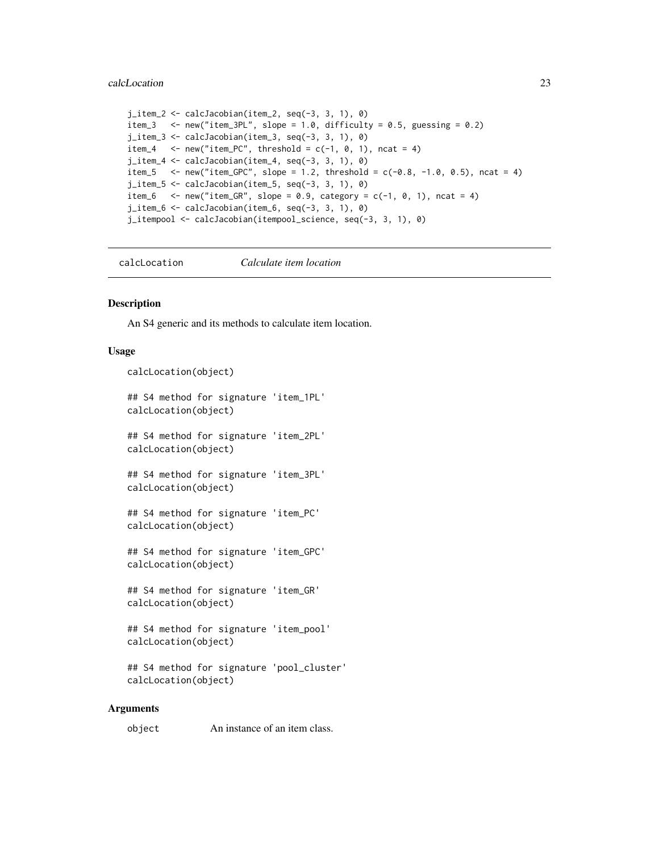#### <span id="page-22-0"></span>calcLocation 23

```
j_item_2 <- calcJacobian(item_2, seq(-3, 3, 1), 0)
item_3 \le new("item_3PL", slope = 1.0, difficulty = 0.5, guessing = 0.2)
j_item_3 <- calcJacobian(item_3, seq(-3, 3, 1), 0)
item_4 \le - new("item_PC", threshold = c(-1, 0, 1), ncat = 4)
j_item_4 <- calcJacobian(item_4, seq(-3, 3, 1), 0)
item_5 \le - new("item_GPC", slope = 1.2, threshold = c(-0.8, -1.0, 0.5), ncat = 4)
j_item_5 <- calcJacobian(item_5, seq(-3, 3, 1), 0)
item_6 \le - new("item_GR", slope = 0.9, category = c(-1, 0, 1), ncat = 4)
j_item_6 <- calcJacobian(item_6, seq(-3, 3, 1), 0)
j_itempool <- calcJacobian(itempool_science, seq(-3, 3, 1), 0)
```
calcLocation *Calculate item location*

#### **Description**

An S4 generic and its methods to calculate item location.

### Usage

calcLocation(object)

```
## S4 method for signature 'item_1PL'
calcLocation(object)
```
## S4 method for signature 'item\_2PL' calcLocation(object)

```
## S4 method for signature 'item_3PL'
calcLocation(object)
```
## S4 method for signature 'item\_PC' calcLocation(object)

## S4 method for signature 'item\_GPC' calcLocation(object)

## S4 method for signature 'item\_GR' calcLocation(object)

```
## S4 method for signature 'item_pool'
calcLocation(object)
```

```
## S4 method for signature 'pool_cluster'
calcLocation(object)
```
#### Arguments

object An instance of an item class.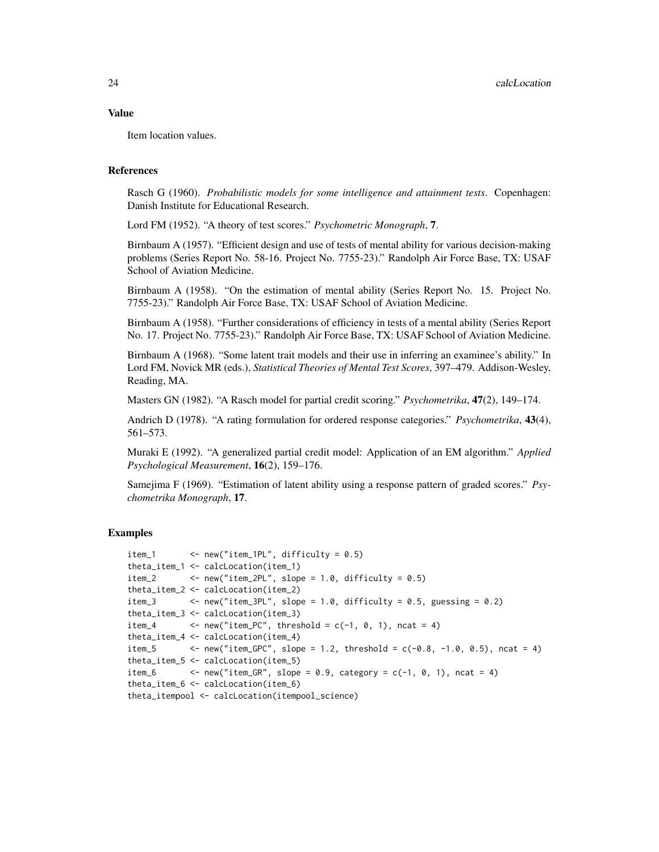#### Value

Item location values.

### References

Rasch G (1960). *Probabilistic models for some intelligence and attainment tests*. Copenhagen: Danish Institute for Educational Research.

Lord FM (1952). "A theory of test scores." *Psychometric Monograph*, 7.

Birnbaum A (1957). "Efficient design and use of tests of mental ability for various decision-making problems (Series Report No. 58-16. Project No. 7755-23)." Randolph Air Force Base, TX: USAF School of Aviation Medicine.

Birnbaum A (1958). "On the estimation of mental ability (Series Report No. 15. Project No. 7755-23)." Randolph Air Force Base, TX: USAF School of Aviation Medicine.

Birnbaum A (1958). "Further considerations of efficiency in tests of a mental ability (Series Report No. 17. Project No. 7755-23)." Randolph Air Force Base, TX: USAF School of Aviation Medicine.

Birnbaum A (1968). "Some latent trait models and their use in inferring an examinee's ability." In Lord FM, Novick MR (eds.), *Statistical Theories of Mental Test Scores*, 397–479. Addison-Wesley, Reading, MA.

Masters GN (1982). "A Rasch model for partial credit scoring." *Psychometrika*, 47(2), 149–174.

Andrich D (1978). "A rating formulation for ordered response categories." *Psychometrika*, 43(4), 561–573.

Muraki E (1992). "A generalized partial credit model: Application of an EM algorithm." *Applied Psychological Measurement*, 16(2), 159–176.

Samejima F (1969). "Estimation of latent ability using a response pattern of graded scores." *Psychometrika Monograph*, 17.

#### Examples

```
item_1 \le - new("item_1PL", difficulty = 0.5)
theta_item_1 <- calcLocation(item_1)
item_2 \leftarrow new("item_2PL", slope = 1.0, difficulty = 0.5)
theta_item_2 <- calcLocation(item_2)
item_3 <- new("item_3PL", slope = 1.0, difficulty = 0.5, guessing = 0.2)
theta_item_3 <- calcLocation(item_3)
item_4 \leftarrow new("item_PC", threshold = c(-1, 0, 1), ncat = 4)
theta_item_4 <- calcLocation(item_4)
item_5 \leq new("item_GPC", slope = 1.2, threshold = c(-0.8, -1.0, 0.5), ncat = 4)
theta_item_5 <- calcLocation(item_5)
item_6 \leq new("item_GR", slope = 0.9, category = c(-1, 0, 1), ncat = 4)
theta_item_6 <- calcLocation(item_6)
theta_itempool <- calcLocation(itempool_science)
```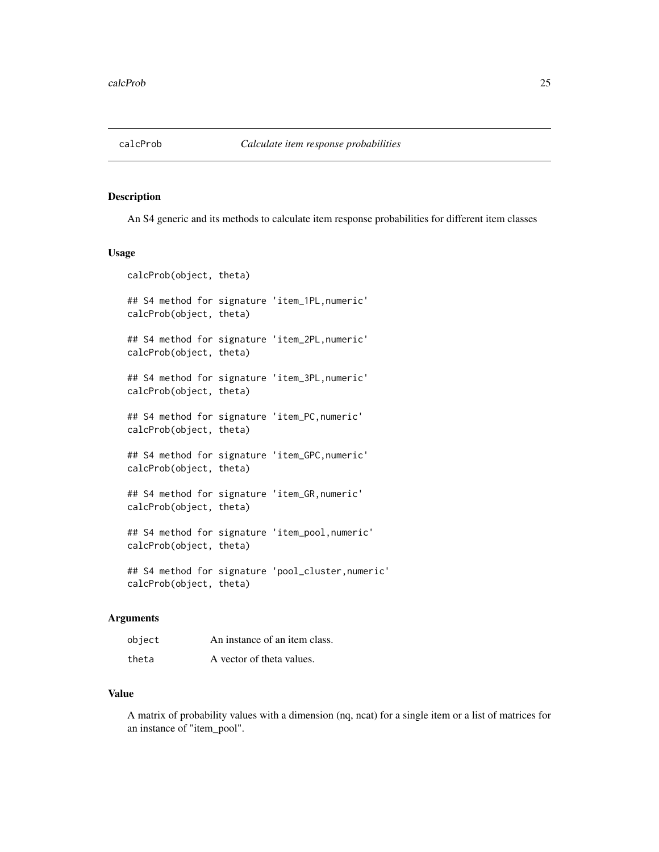<span id="page-24-0"></span>

An S4 generic and its methods to calculate item response probabilities for different item classes

#### Usage

```
calcProb(object, theta)
## S4 method for signature 'item_1PL,numeric'
calcProb(object, theta)
## S4 method for signature 'item_2PL,numeric'
calcProb(object, theta)
## S4 method for signature 'item_3PL,numeric'
calcProb(object, theta)
## S4 method for signature 'item_PC,numeric'
calcProb(object, theta)
## S4 method for signature 'item_GPC,numeric'
calcProb(object, theta)
## S4 method for signature 'item_GR,numeric'
calcProb(object, theta)
## S4 method for signature 'item_pool,numeric'
calcProb(object, theta)
## S4 method for signature 'pool_cluster,numeric'
calcProb(object, theta)
```
#### Arguments

| object | An instance of an item class. |
|--------|-------------------------------|
| theta  | A vector of theta values.     |

### Value

A matrix of probability values with a dimension (nq, ncat) for a single item or a list of matrices for an instance of "item\_pool".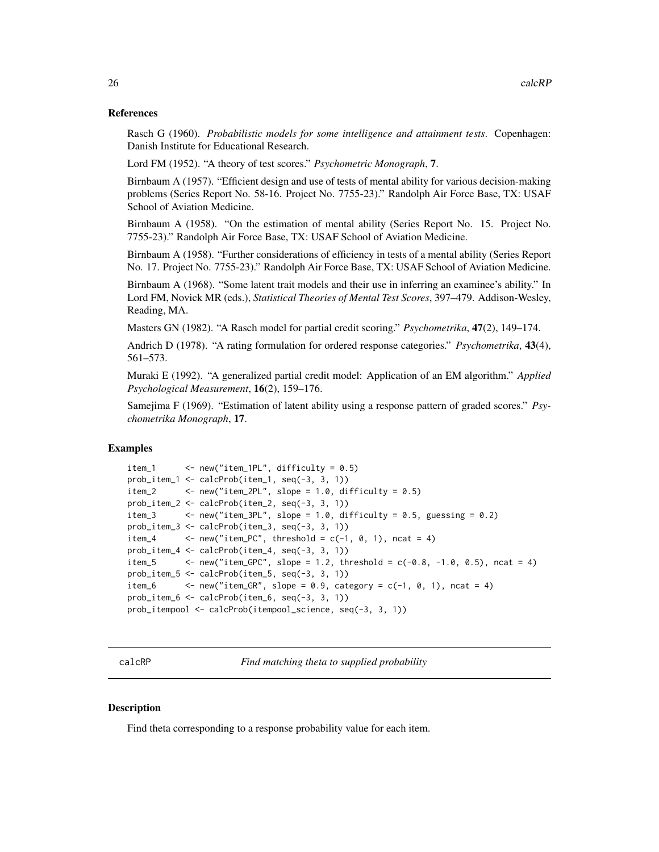#### <span id="page-25-0"></span>References

Rasch G (1960). *Probabilistic models for some intelligence and attainment tests*. Copenhagen: Danish Institute for Educational Research.

Lord FM (1952). "A theory of test scores." *Psychometric Monograph*, 7.

Birnbaum A (1957). "Efficient design and use of tests of mental ability for various decision-making problems (Series Report No. 58-16. Project No. 7755-23)." Randolph Air Force Base, TX: USAF School of Aviation Medicine.

Birnbaum A (1958). "On the estimation of mental ability (Series Report No. 15. Project No. 7755-23)." Randolph Air Force Base, TX: USAF School of Aviation Medicine.

Birnbaum A (1958). "Further considerations of efficiency in tests of a mental ability (Series Report No. 17. Project No. 7755-23)." Randolph Air Force Base, TX: USAF School of Aviation Medicine.

Birnbaum A (1968). "Some latent trait models and their use in inferring an examinee's ability." In Lord FM, Novick MR (eds.), *Statistical Theories of Mental Test Scores*, 397–479. Addison-Wesley, Reading, MA.

Masters GN (1982). "A Rasch model for partial credit scoring." *Psychometrika*, 47(2), 149–174.

Andrich D (1978). "A rating formulation for ordered response categories." *Psychometrika*, 43(4), 561–573.

Muraki E (1992). "A generalized partial credit model: Application of an EM algorithm." *Applied Psychological Measurement*, 16(2), 159–176.

Samejima F (1969). "Estimation of latent ability using a response pattern of graded scores." *Psychometrika Monograph*, 17.

## Examples

```
item_1 <- new("item_1PL", difficulty = 0.5)
prob_item_1 <- calcProb(item_1, seq(-3, 3, 1))
item_2 \leq - new("item_2PL", slope = 1.0, difficulty = 0.5)
prob_item_2 <- calcProb(item_2, seq(-3, 3, 1))
item_3 \le - new("item_3PL", slope = 1.0, difficulty = 0.5, guessing = 0.2)
prob_item_3 <- calcProb(item_3, seq(-3, 3, 1))
item_4 \leftarrow new("item_PC", threshold = c(-1, 0, 1), ncat = 4)
prob_item_4 <- calcProb(item_4, seq(-3, 3, 1))
item_5 <- new("item_GPC", slope = 1.2, threshold = c(-0.8, -1.0, 0.5), ncat = 4)
prob_item_5 <- calcProb(item_5, seq(-3, 3, 1))
item_6 \leftarrow new("item_GR", slope = 0.9, category = c(-1, 0, 1), ncat = 4)
prob_item_6 <- calcProb(item_6, seq(-3, 3, 1))
prob_itempool <- calcProb(itempool_science, seq(-3, 3, 1))
```
calcRP *Find matching theta to supplied probability*

#### **Description**

Find theta corresponding to a response probability value for each item.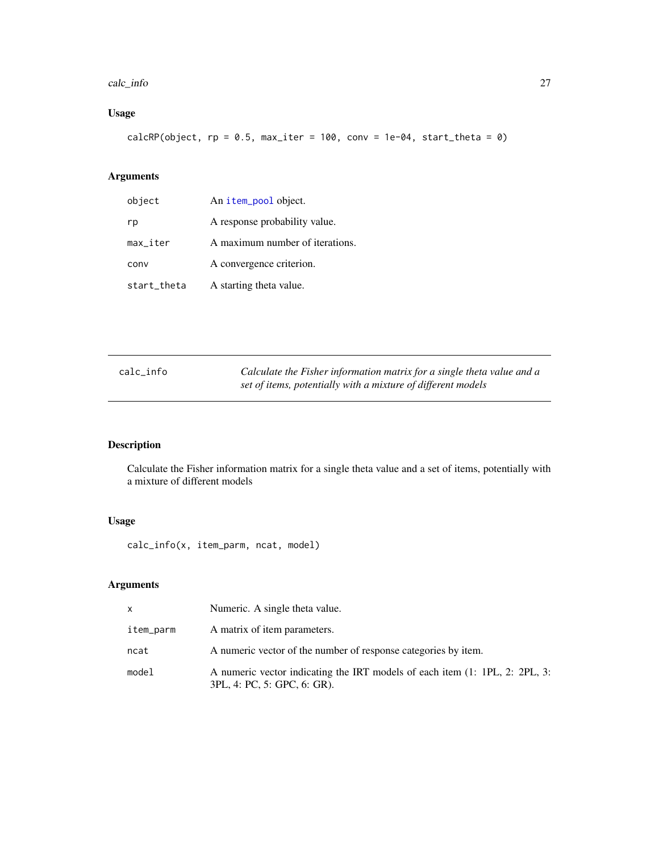#### <span id="page-26-0"></span>calc\_info 27

# Usage

calcRP(object,  $rp = 0.5$ , max\_iter = 100, conv = 1e-04, start\_theta = 0)

# Arguments

| object                 | An item_pool object.            |
|------------------------|---------------------------------|
| rp                     | A response probability value.   |
| $max$ <sub>Liter</sub> | A maximum number of iterations. |
| conv                   | A convergence criterion.        |
| start_theta            | A starting theta value.         |

| calc_info | Calculate the Fisher information matrix for a single theta value and a |
|-----------|------------------------------------------------------------------------|
|           | set of items, potentially with a mixture of different models           |

# Description

Calculate the Fisher information matrix for a single theta value and a set of items, potentially with a mixture of different models

# Usage

calc\_info(x, item\_parm, ncat, model)

| X         | Numeric. A single theta value.                                                                             |
|-----------|------------------------------------------------------------------------------------------------------------|
| item_parm | A matrix of item parameters.                                                                               |
| ncat      | A numeric vector of the number of response categories by item.                                             |
| model     | A numeric vector indicating the IRT models of each item (1: 1PL, 2: 2PL, 3:<br>3PL, 4: PC, 5: GPC, 6: GR). |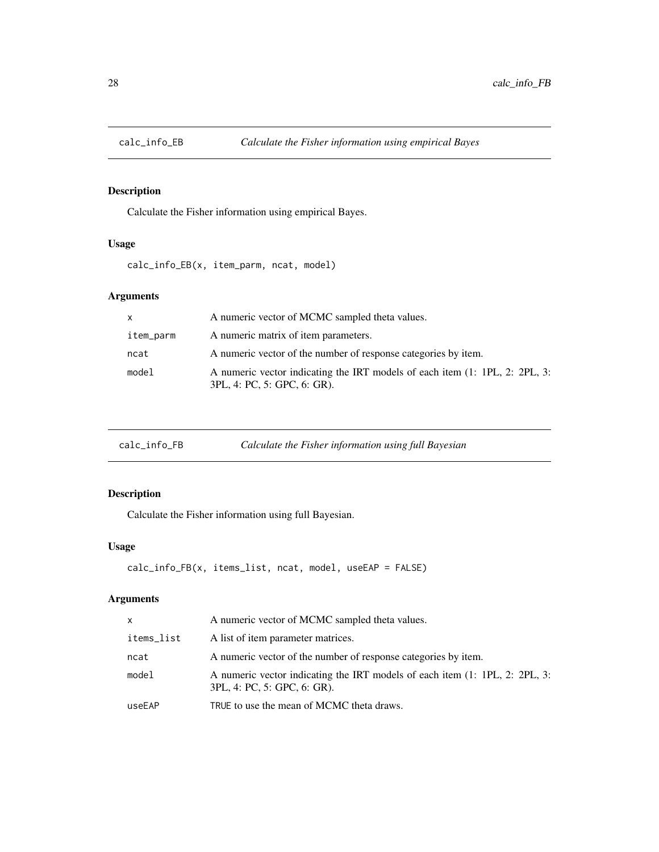<span id="page-27-0"></span>

Calculate the Fisher information using empirical Bayes.

# Usage

calc\_info\_EB(x, item\_parm, ncat, model)

# Arguments

| $\mathsf{x}$ | A numeric vector of MCMC sampled theta values.                                                             |
|--------------|------------------------------------------------------------------------------------------------------------|
| item_parm    | A numeric matrix of item parameters.                                                                       |
| ncat         | A numeric vector of the number of response categories by item.                                             |
| model        | A numeric vector indicating the IRT models of each item (1: 1PL, 2: 2PL, 3:<br>3PL, 4: PC, 5: GPC, 6: GR). |

| calc_info_FB | Calculate the Fisher information using full Bayesian |
|--------------|------------------------------------------------------|
|--------------|------------------------------------------------------|

# Description

Calculate the Fisher information using full Bayesian.

# Usage

```
calc_info_FB(x, items_list, ncat, model, useEAP = FALSE)
```

| X          | A numeric vector of MCMC sampled theta values.                                                             |
|------------|------------------------------------------------------------------------------------------------------------|
| items_list | A list of item parameter matrices.                                                                         |
| ncat       | A numeric vector of the number of response categories by item.                                             |
| model      | A numeric vector indicating the IRT models of each item (1: 1PL, 2: 2PL, 3:<br>3PL, 4: PC, 5: GPC, 6: GR). |
| useEAP     | TRUE to use the mean of MCMC theta draws.                                                                  |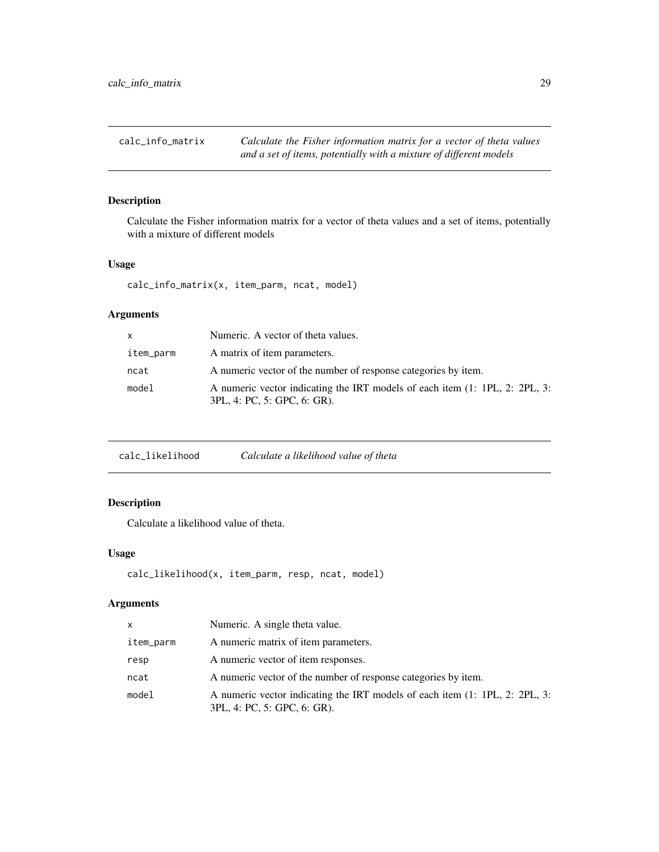<span id="page-28-0"></span>calc\_info\_matrix *Calculate the Fisher information matrix for a vector of theta values and a set of items, potentially with a mixture of different models*

# Description

Calculate the Fisher information matrix for a vector of theta values and a set of items, potentially with a mixture of different models

#### Usage

```
calc_info_matrix(x, item_parm, ncat, model)
```
# Arguments

| X         | Numeric. A vector of theta values.                                                                         |
|-----------|------------------------------------------------------------------------------------------------------------|
| item_parm | A matrix of item parameters.                                                                               |
| ncat      | A numeric vector of the number of response categories by item.                                             |
| model     | A numeric vector indicating the IRT models of each item (1: 1PL, 2: 2PL, 3:<br>3PL, 4: PC, 5: GPC, 6: GR). |

| calc_likelihood | Calculate a likelihood value of theta |  |  |
|-----------------|---------------------------------------|--|--|
|-----------------|---------------------------------------|--|--|

# Description

Calculate a likelihood value of theta.

### Usage

```
calc_likelihood(x, item_parm, resp, ncat, model)
```

| X         | Numeric. A single theta value.                                                                             |
|-----------|------------------------------------------------------------------------------------------------------------|
| item_parm | A numeric matrix of item parameters.                                                                       |
| resp      | A numeric vector of item responses.                                                                        |
| ncat      | A numeric vector of the number of response categories by item.                                             |
| model     | A numeric vector indicating the IRT models of each item (1: 1PL, 2: 2PL, 3:<br>3PL, 4: PC, 5: GPC, 6: GR). |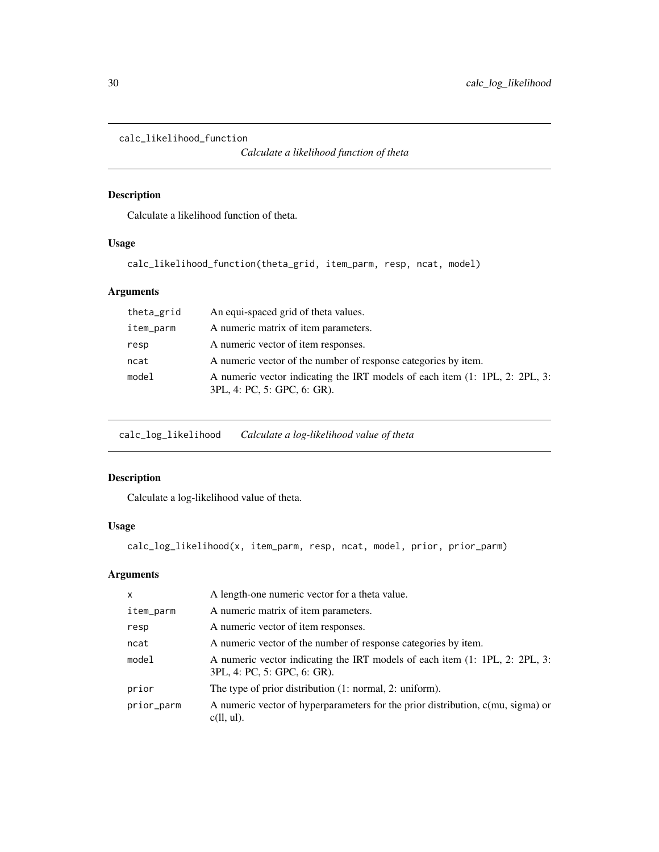```
calc_likelihood_function
```
*Calculate a likelihood function of theta*

# Description

Calculate a likelihood function of theta.

# Usage

```
calc_likelihood_function(theta_grid, item_parm, resp, ncat, model)
```
# Arguments

| theta_grid | An equi-spaced grid of theta values.                                                                       |
|------------|------------------------------------------------------------------------------------------------------------|
| item_parm  | A numeric matrix of item parameters.                                                                       |
| resp       | A numeric vector of item responses.                                                                        |
| ncat       | A numeric vector of the number of response categories by item.                                             |
| model      | A numeric vector indicating the IRT models of each item (1: 1PL, 2: 2PL, 3:<br>3PL, 4: PC, 5: GPC, 6: GR). |

calc\_log\_likelihood *Calculate a log-likelihood value of theta*

# Description

Calculate a log-likelihood value of theta.

# Usage

```
calc_log_likelihood(x, item_parm, resp, ncat, model, prior, prior_parm)
```

| $\mathsf{x}$ | A length-one numeric vector for a theta value.                                                             |
|--------------|------------------------------------------------------------------------------------------------------------|
| item_parm    | A numeric matrix of item parameters.                                                                       |
| resp         | A numeric vector of item responses.                                                                        |
| ncat         | A numeric vector of the number of response categories by item.                                             |
| model        | A numeric vector indicating the IRT models of each item (1: 1PL, 2: 2PL, 3:<br>3PL, 4: PC, 5: GPC, 6: GR). |
| prior        | The type of prior distribution (1: normal, 2: uniform).                                                    |
| prior_parm   | A numeric vector of hyperparameters for the prior distribution, c(mu, sigma) or<br>$c(11, ul)$ .           |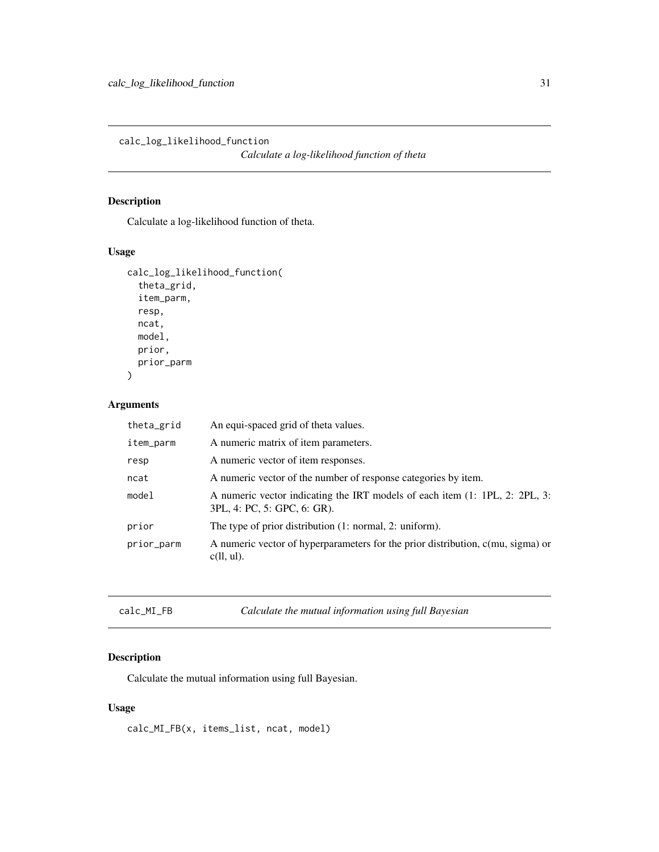<span id="page-30-0"></span>calc\_log\_likelihood\_function

*Calculate a log-likelihood function of theta*

# Description

Calculate a log-likelihood function of theta.

# Usage

```
calc_log_likelihood_function(
  theta_grid,
  item_parm,
  resp,
  ncat,
  model,
  prior,
  prior_parm
)
```
# Arguments

| theta_grid | An equi-spaced grid of theta values.                                                                       |
|------------|------------------------------------------------------------------------------------------------------------|
| item_parm  | A numeric matrix of item parameters.                                                                       |
| resp       | A numeric vector of item responses.                                                                        |
| ncat       | A numeric vector of the number of response categories by item.                                             |
| model      | A numeric vector indicating the IRT models of each item (1: 1PL, 2: 2PL, 3:<br>3PL, 4: PC, 5: GPC, 6: GR). |
| prior      | The type of prior distribution (1: normal, 2: uniform).                                                    |
| prior_parm | A numeric vector of hyperparameters for the prior distribution, c(mu, sigma) or<br>$c(1, ul)$ .            |

| $calc\_MI_FB$ | Calculate the mutual information using full Bayesian |
|---------------|------------------------------------------------------|
|               |                                                      |

# Description

Calculate the mutual information using full Bayesian.

# Usage

calc\_MI\_FB(x, items\_list, ncat, model)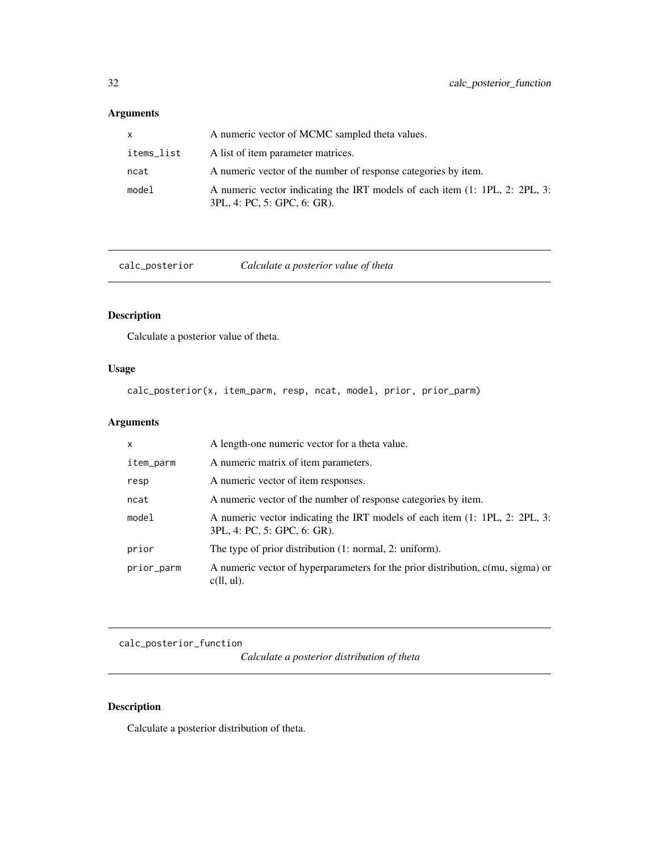# <span id="page-31-0"></span>Arguments

| x.         | A numeric vector of MCMC sampled theta values.                                                             |
|------------|------------------------------------------------------------------------------------------------------------|
| items_list | A list of item parameter matrices.                                                                         |
| ncat       | A numeric vector of the number of response categories by item.                                             |
| model      | A numeric vector indicating the IRT models of each item (1: 1PL, 2: 2PL, 3:<br>3PL, 4: PC, 5: GPC, 6: GR). |

calc\_posterior *Calculate a posterior value of theta*

# Description

Calculate a posterior value of theta.

# Usage

calc\_posterior(x, item\_parm, resp, ncat, model, prior, prior\_parm)

# Arguments

| $\mathsf{x}$ | A length-one numeric vector for a theta value.                                                             |
|--------------|------------------------------------------------------------------------------------------------------------|
| item_parm    | A numeric matrix of item parameters.                                                                       |
| resp         | A numeric vector of item responses.                                                                        |
| ncat         | A numeric vector of the number of response categories by item.                                             |
| model        | A numeric vector indicating the IRT models of each item (1: 1PL, 2: 2PL, 3:<br>3PL, 4: PC, 5: GPC, 6: GR). |
| prior        | The type of prior distribution $(1: normal, 2: uniform)$ .                                                 |
| prior_parm   | A numeric vector of hyperparameters for the prior distribution, c(mu, sigma) or<br>$c(1, ul)$ .            |

calc\_posterior\_function

*Calculate a posterior distribution of theta*

# Description

Calculate a posterior distribution of theta.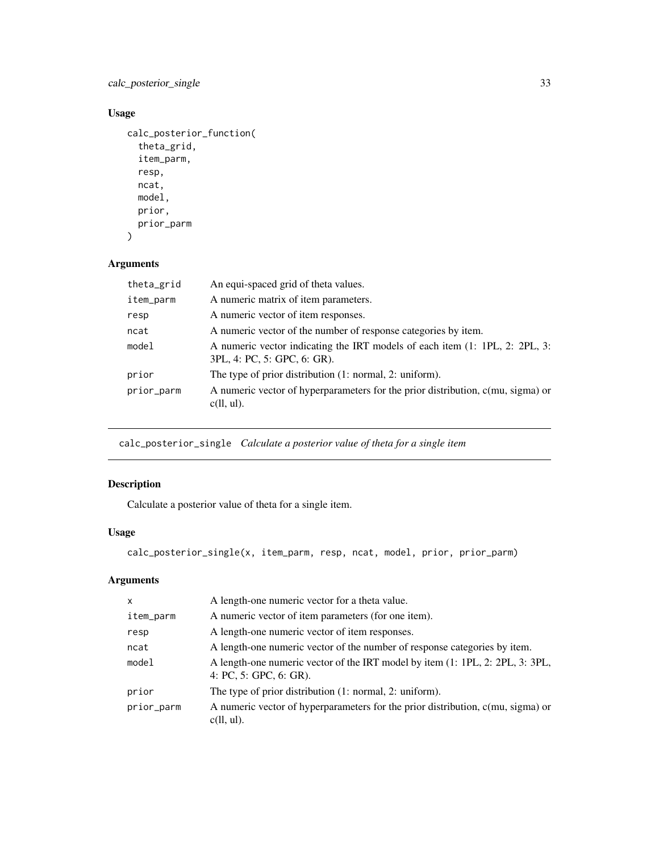<span id="page-32-0"></span>calc\_posterior\_single 33

# Usage

```
calc_posterior_function(
  theta_grid,
  item_parm,
  resp,
  ncat,
  model,
  prior,
  prior_parm
```

```
\mathcal{L}
```
# Arguments

| theta_grid | An equi-spaced grid of theta values.                                                                       |  |
|------------|------------------------------------------------------------------------------------------------------------|--|
| item_parm  | A numeric matrix of item parameters.                                                                       |  |
| resp       | A numeric vector of item responses.                                                                        |  |
| ncat       | A numeric vector of the number of response categories by item.                                             |  |
| mode1      | A numeric vector indicating the IRT models of each item (1: 1PL, 2: 2PL, 3:<br>3PL, 4: PC, 5: GPC, 6: GR). |  |
| prior      | The type of prior distribution (1: normal, 2: uniform).                                                    |  |
| prior_parm | A numeric vector of hyperparameters for the prior distribution, c(mu, sigma) or<br>$c(11, ul)$ .           |  |

calc\_posterior\_single *Calculate a posterior value of theta for a single item*

# Description

Calculate a posterior value of theta for a single item.

# Usage

```
calc_posterior_single(x, item_parm, resp, ncat, model, prior, prior_parm)
```

| $\mathsf{x}$ | A length-one numeric vector for a theta value.                                                          |
|--------------|---------------------------------------------------------------------------------------------------------|
| item_parm    | A numeric vector of item parameters (for one item).                                                     |
| resp         | A length-one numeric vector of item responses.                                                          |
| ncat         | A length-one numeric vector of the number of response categories by item.                               |
| model        | A length-one numeric vector of the IRT model by item (1: 1PL, 2: 2PL, 3: 3PL,<br>4: PC, 5: GPC, 6: GR). |
| prior        | The type of prior distribution (1: normal, 2: uniform).                                                 |
| prior_parm   | A numeric vector of hyperparameters for the prior distribution, c(mu, sigma) or<br>$c(11, ul)$ .        |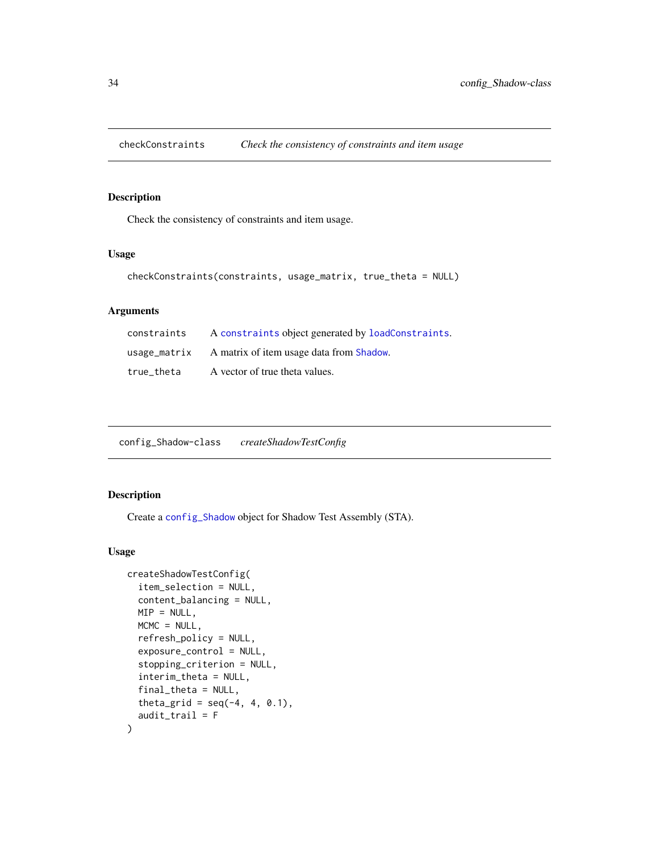<span id="page-33-0"></span>

Check the consistency of constraints and item usage.

# Usage

```
checkConstraints(constraints, usage_matrix, true_theta = NULL)
```
# Arguments

| constraints | A constraints object generated by loadConstraints.    |
|-------------|-------------------------------------------------------|
|             | usage_matrix A matrix of item usage data from Shadow. |
| true theta  | A vector of true theta values.                        |

<span id="page-33-1"></span>

| config_Shadow-class | createShadowTestConfig |
|---------------------|------------------------|
|---------------------|------------------------|

# Description

Create a [config\\_Shadow](#page-33-1) object for Shadow Test Assembly (STA).

# Usage

```
createShadowTestConfig(
  item_selection = NULL,
 content_balancing = NULL,
 MIP = NULL,MCMC = NULL,refresh_policy = NULL,
 exposure_control = NULL,
  stopping_criterion = NULL,
  interim_theta = NULL,
  final_theta = NULL,
  theta_grid = seq(-4, 4, 0.1),
  audit_trail = F
)
```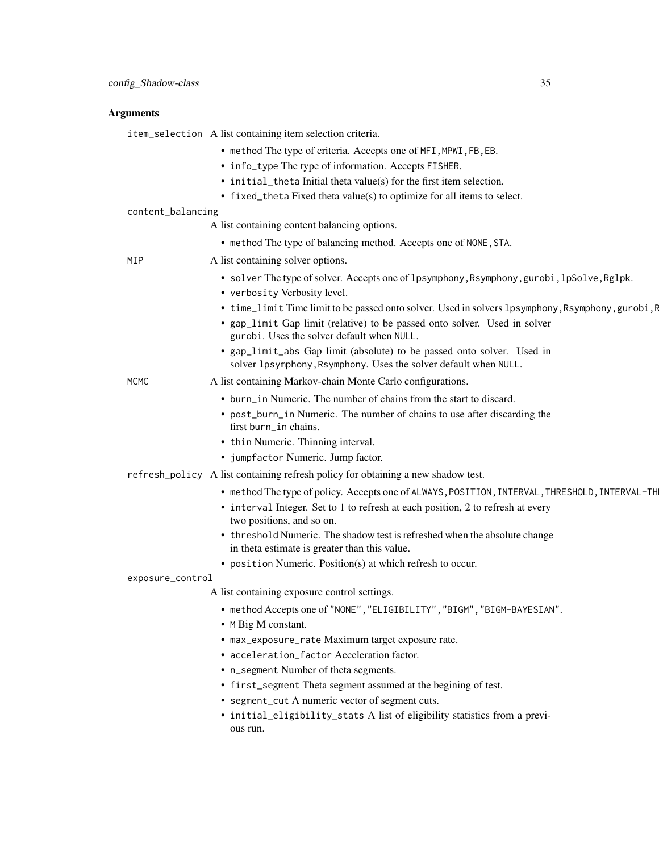#### Arguments

item\_selection A list containing item selection criteria.

- method The type of criteria. Accepts one of MFI,MPWI,FB,EB.
- info\_type The type of information. Accepts FISHER.
- initial\_theta Initial theta value(s) for the first item selection.
- fixed\_theta Fixed theta value(s) to optimize for all items to select.
- content\_balancing

A list containing content balancing options.

• method The type of balancing method. Accepts one of NONE,STA.

MIP A list containing solver options.

- solver The type of solver. Accepts one of lpsymphony, Rsymphony, gurobi, lpSolve, Rglpk.
- verbosity Verbosity level.
- time\_limit Time limit to be passed onto solver. Used in solvers lpsymphony, Rsymphony, gurobi, F
- gap\_limit Gap limit (relative) to be passed onto solver. Used in solver gurobi. Uses the solver default when NULL.
- gap\_limit\_abs Gap limit (absolute) to be passed onto solver. Used in solver 1psymphony, Rsymphony. Uses the solver default when NULL.

MCMC A list containing Markov-chain Monte Carlo configurations.

- burn\_in Numeric. The number of chains from the start to discard.
- post\_burn\_in Numeric. The number of chains to use after discarding the first burn\_in chains.
- thin Numeric. Thinning interval.
- jumpfactor Numeric. Jump factor.
- refresh\_policy A list containing refresh policy for obtaining a new shadow test.
	- method The type of policy. Accepts one of ALWAYS, POSITION, INTERVAL, THRESHOLD, INTERVAL-TH
	- interval Integer. Set to 1 to refresh at each position, 2 to refresh at every two positions, and so on.
	- threshold Numeric. The shadow test is refreshed when the absolute change in theta estimate is greater than this value.
	- position Numeric. Position(s) at which refresh to occur.

#### exposure\_control

A list containing exposure control settings.

- method Accepts one of "NONE","ELIGIBILITY","BIGM","BIGM-BAYESIAN".
- M Big M constant.
- max\_exposure\_rate Maximum target exposure rate.
- acceleration\_factor Acceleration factor.
- n\_segment Number of theta segments.
- first\_segment Theta segment assumed at the begining of test.
- segment\_cut A numeric vector of segment cuts.
- initial\_eligibility\_stats A list of eligibility statistics from a previous run.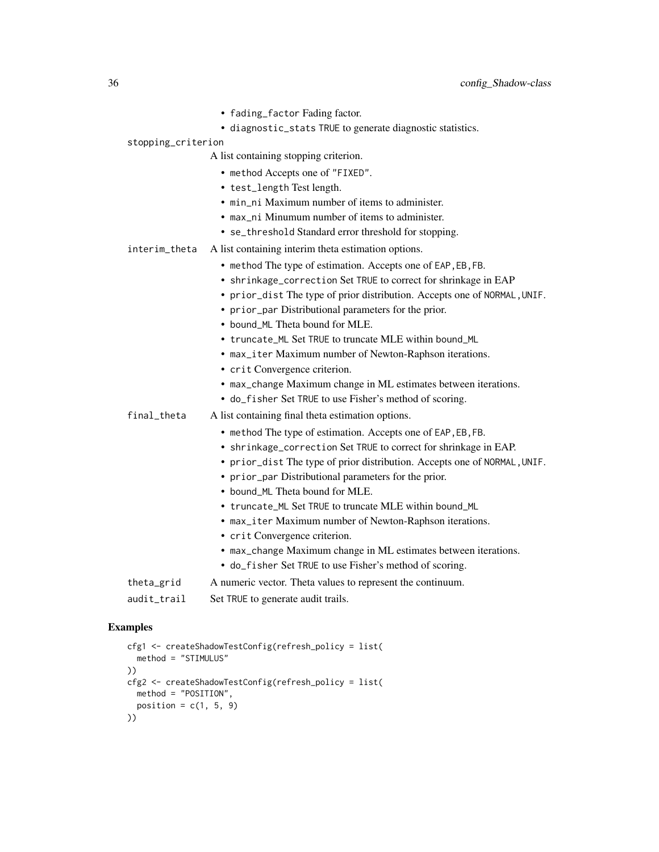- fading\_factor Fading factor.
- diagnostic\_stats TRUE to generate diagnostic statistics.
- stopping\_criterion

A list containing stopping criterion.

- method Accepts one of "FIXED".
- test\_length Test length.
- min ni Maximum number of items to administer.
- max\_ni Minumum number of items to administer.
- se\_threshold Standard error threshold for stopping.
- interim\_theta A list containing interim theta estimation options.
	- method The type of estimation. Accepts one of EAP,EB,FB.
	- shrinkage\_correction Set TRUE to correct for shrinkage in EAP
	- prior\_dist The type of prior distribution. Accepts one of NORMAL,UNIF.
	- prior\_par Distributional parameters for the prior.
	- bound\_ML Theta bound for MLE.
	- truncate\_ML Set TRUE to truncate MLE within bound\_ML
	- max\_iter Maximum number of Newton-Raphson iterations.
	- crit Convergence criterion.
	- max\_change Maximum change in ML estimates between iterations.
	- do\_fisher Set TRUE to use Fisher's method of scoring.
- final\_theta A list containing final theta estimation options.
	- method The type of estimation. Accepts one of EAP,EB,FB.
	- shrinkage\_correction Set TRUE to correct for shrinkage in EAP.
	- prior\_dist The type of prior distribution. Accepts one of NORMAL,UNIF.
	- prior\_par Distributional parameters for the prior.
	- bound\_ML Theta bound for MLE.
	- truncate\_ML Set TRUE to truncate MLE within bound\_ML
	- max\_iter Maximum number of Newton-Raphson iterations.
	- crit Convergence criterion.
	- max\_change Maximum change in ML estimates between iterations.
	- do\_fisher Set TRUE to use Fisher's method of scoring.
- theta\_grid A numeric vector. Theta values to represent the continuum.
- audit\_trail Set TRUE to generate audit trails.

#### Examples

```
cfg1 <- createShadowTestConfig(refresh_policy = list(
  method = "STIMULUS"
))
cfg2 <- createShadowTestConfig(refresh_policy = list(
  method = "POSITION",
  position = c(1, 5, 9)))
```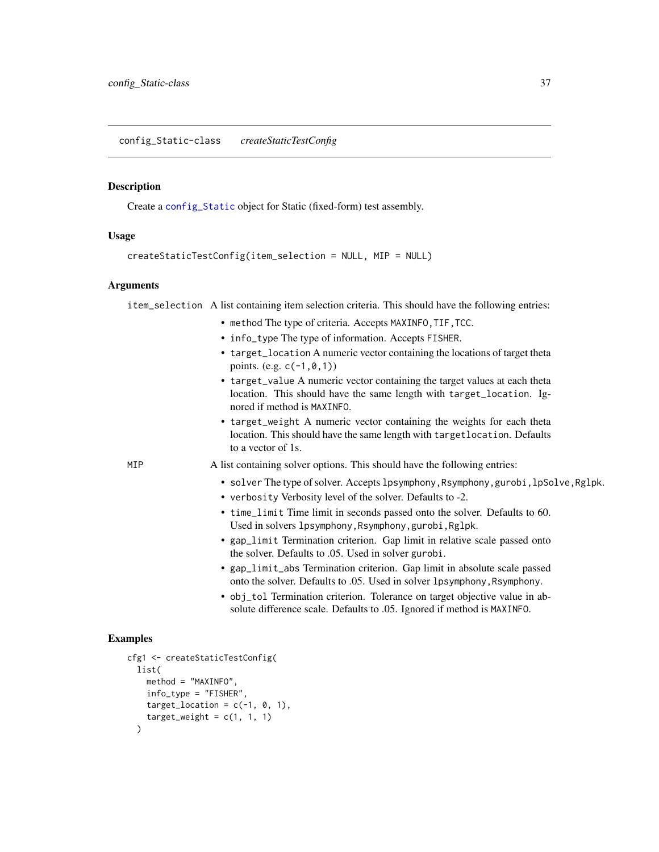<span id="page-36-0"></span>Create a [config\\_Static](#page-36-0) object for Static (fixed-form) test assembly.

#### Usage

```
createStaticTestConfig(item_selection = NULL, MIP = NULL)
```
#### Arguments

item\_selection A list containing item selection criteria. This should have the following entries:

- method The type of criteria. Accepts MAXINFO, TIF, TCC.
- info\_type The type of information. Accepts FISHER.
- target\_location A numeric vector containing the locations of target theta points. (e.g.  $c(-1, 0, 1)$ )
- target\_value A numeric vector containing the target values at each theta location. This should have the same length with target\_location. Ignored if method is MAXINFO.
- target\_weight A numeric vector containing the weights for each theta location. This should have the same length with targetlocation. Defaults to a vector of 1s.

MIP A list containing solver options. This should have the following entries:

- solver The type of solver. Accepts lpsymphony, Rsymphony, gurobi, lpSolve, Rglpk.
- verbosity Verbosity level of the solver. Defaults to -2.
- time\_limit Time limit in seconds passed onto the solver. Defaults to 60. Used in solvers lpsymphony,Rsymphony,gurobi,Rglpk.
- gap\_limit Termination criterion. Gap limit in relative scale passed onto the solver. Defaults to .05. Used in solver gurobi.
- gap\_limit\_abs Termination criterion. Gap limit in absolute scale passed onto the solver. Defaults to .05. Used in solver lpsymphony,Rsymphony.
- obj\_tol Termination criterion. Tolerance on target objective value in absolute difference scale. Defaults to .05. Ignored if method is MAXINFO.

#### Examples

```
cfg1 <- createStaticTestConfig(
 list(
   method = "MAXINFO",
    info_type = "FISHER",
   target_location = c(-1, 0, 1),
    target\_weight = c(1, 1, 1))
```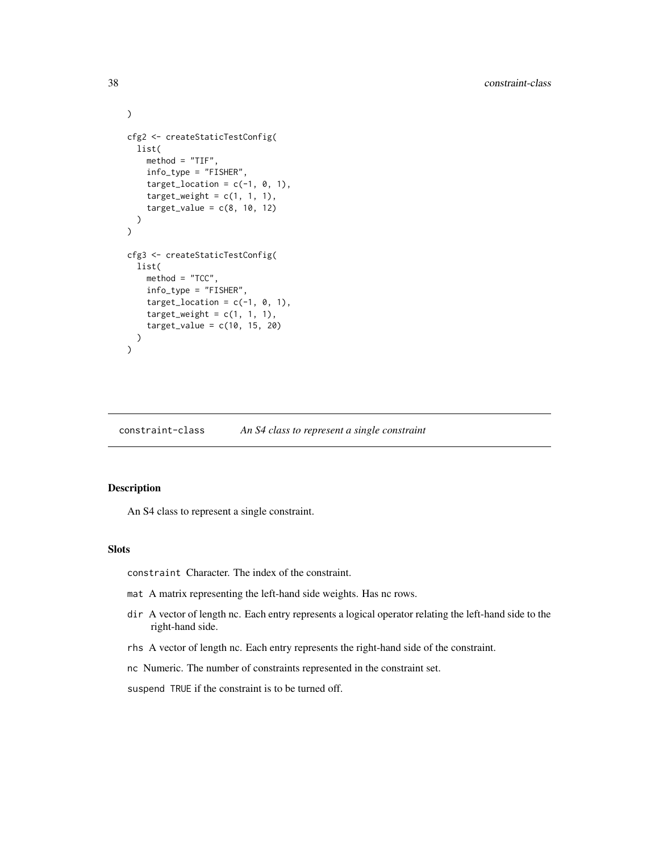```
cfg2 <- createStaticTestConfig(
 list(
   method = "TIF",info_type = "FISHER",
    target_location = c(-1, 0, 1),
    target\_weight = c(1, 1, 1),target_value = c(8, 10, 12))
)
cfg3 <- createStaticTestConfig(
  list(
   method = "TCC",
   info_type = "FISHER",
    target_location = c(-1, 0, 1),
    target\_weight = c(1, 1, 1),target_value = c(10, 15, 20))
)
```
constraint-class *An S4 class to represent a single constraint*

#### Description

An S4 class to represent a single constraint.

#### Slots

constraint Character. The index of the constraint.

- mat A matrix representing the left-hand side weights. Has nc rows.
- dir A vector of length nc. Each entry represents a logical operator relating the left-hand side to the right-hand side.
- rhs A vector of length nc. Each entry represents the right-hand side of the constraint.
- nc Numeric. The number of constraints represented in the constraint set.
- suspend TRUE if the constraint is to be turned off.

 $\mathcal{L}$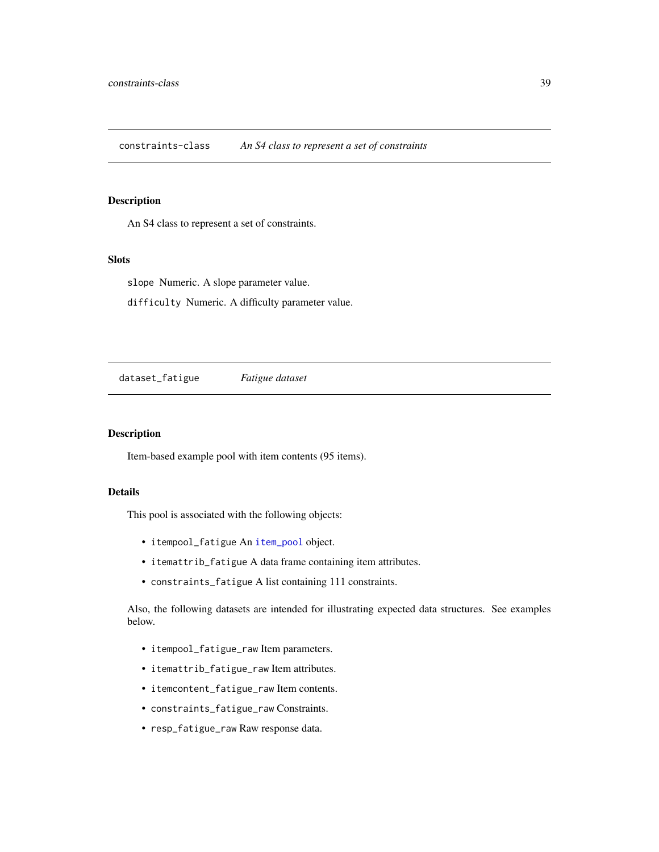constraints-class *An S4 class to represent a set of constraints*

#### Description

An S4 class to represent a set of constraints.

#### Slots

slope Numeric. A slope parameter value. difficulty Numeric. A difficulty parameter value.

dataset\_fatigue *Fatigue dataset*

#### Description

Item-based example pool with item contents (95 items).

#### Details

This pool is associated with the following objects:

- itempool\_fatigue An [item\\_pool](#page-51-0) object.
- itemattrib\_fatigue A data frame containing item attributes.
- constraints\_fatigue A list containing 111 constraints.

Also, the following datasets are intended for illustrating expected data structures. See examples below.

- itempool\_fatigue\_raw Item parameters.
- itemattrib\_fatigue\_raw Item attributes.
- itemcontent\_fatigue\_raw Item contents.
- constraints\_fatigue\_raw Constraints.
- resp\_fatigue\_raw Raw response data.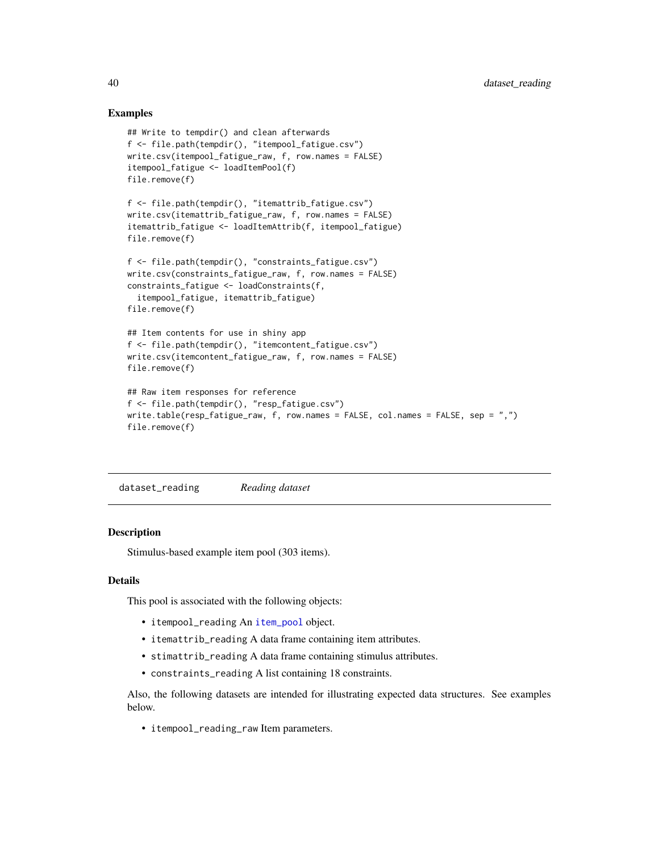#### Examples

```
## Write to tempdir() and clean afterwards
f <- file.path(tempdir(), "itempool_fatigue.csv")
write.csv(itempool_fatigue_raw, f, row.names = FALSE)
itempool_fatigue <- loadItemPool(f)
file.remove(f)
f <- file.path(tempdir(), "itemattrib_fatigue.csv")
write.csv(itemattrib_fatigue_raw, f, row.names = FALSE)
itemattrib_fatigue <- loadItemAttrib(f, itempool_fatigue)
file.remove(f)
f <- file.path(tempdir(), "constraints_fatigue.csv")
write.csv(constraints_fatigue_raw, f, row.names = FALSE)
constraints_fatigue <- loadConstraints(f,
  itempool_fatigue, itemattrib_fatigue)
file.remove(f)
## Item contents for use in shiny app
f <- file.path(tempdir(), "itemcontent_fatigue.csv")
write.csv(itemcontent_fatigue_raw, f, row.names = FALSE)
file.remove(f)
## Raw item responses for reference
f <- file.path(tempdir(), "resp_fatigue.csv")
write.table(resp_fatigue_raw, f, row.names = FALSE, col.names = FALSE, sep = ",")
file.remove(f)
```
<span id="page-39-0"></span>dataset\_reading *Reading dataset*

## **Description**

Stimulus-based example item pool (303 items).

#### Details

This pool is associated with the following objects:

- itempool\_reading An [item\\_pool](#page-51-0) object.
- itemattrib\_reading A data frame containing item attributes.
- stimattrib\_reading A data frame containing stimulus attributes.
- constraints\_reading A list containing 18 constraints.

Also, the following datasets are intended for illustrating expected data structures. See examples below.

• itempool\_reading\_raw Item parameters.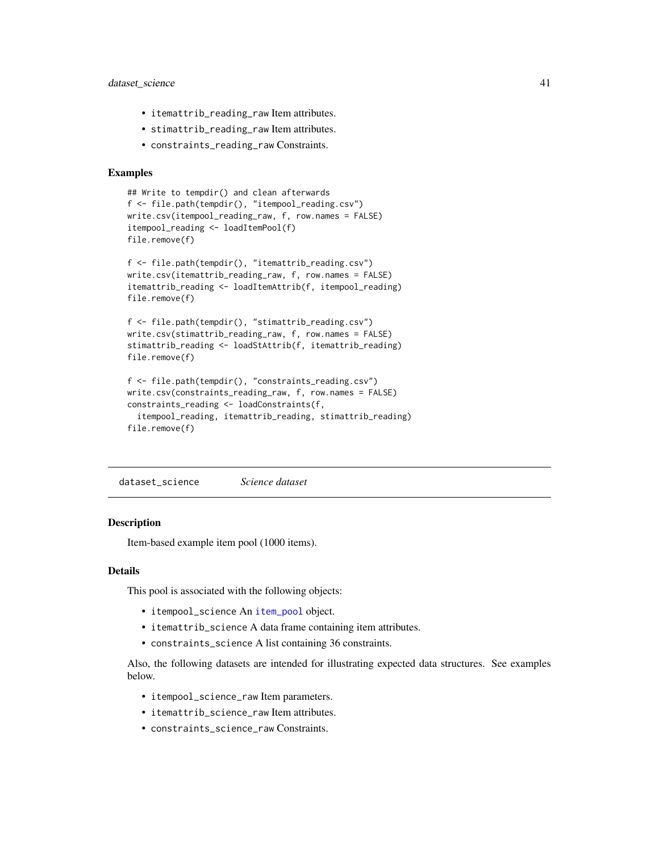## dataset\_science 41

- itemattrib\_reading\_raw Item attributes.
- stimattrib\_reading\_raw Item attributes.
- constraints\_reading\_raw Constraints.

#### Examples

```
## Write to tempdir() and clean afterwards
f <- file.path(tempdir(), "itempool_reading.csv")
write.csv(itempool_reading_raw, f, row.names = FALSE)
itempool_reading <- loadItemPool(f)
file.remove(f)
f <- file.path(tempdir(), "itemattrib_reading.csv")
```

```
write.csv(itemattrib_reading_raw, f, row.names = FALSE)
itemattrib_reading <- loadItemAttrib(f, itempool_reading)
file.remove(f)
```

```
f <- file.path(tempdir(), "stimattrib_reading.csv")
write.csv(stimattrib_reading_raw, f, row.names = FALSE)
stimattrib_reading <- loadStAttrib(f, itemattrib_reading)
file.remove(f)
```

```
f <- file.path(tempdir(), "constraints_reading.csv")
write.csv(constraints_reading_raw, f, row.names = FALSE)
constraints_reading <- loadConstraints(f,
  itempool_reading, itemattrib_reading, stimattrib_reading)
file.remove(f)
```
<span id="page-40-0"></span>dataset\_science *Science dataset*

#### **Description**

Item-based example item pool (1000 items).

#### Details

This pool is associated with the following objects:

- itempool\_science An [item\\_pool](#page-51-0) object.
- itemattrib\_science A data frame containing item attributes.
- constraints\_science A list containing 36 constraints.

Also, the following datasets are intended for illustrating expected data structures. See examples below.

- itempool\_science\_raw Item parameters.
- itemattrib\_science\_raw Item attributes.
- constraints\_science\_raw Constraints.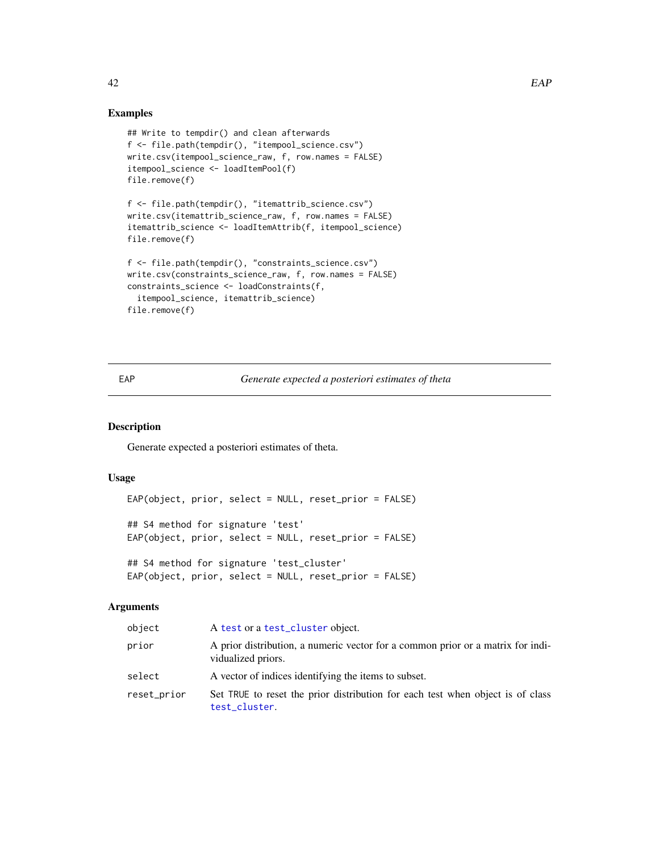#### Examples

```
## Write to tempdir() and clean afterwards
f <- file.path(tempdir(), "itempool_science.csv")
write.csv(itempool_science_raw, f, row.names = FALSE)
itempool_science <- loadItemPool(f)
file.remove(f)
f <- file.path(tempdir(), "itemattrib_science.csv")
write.csv(itemattrib_science_raw, f, row.names = FALSE)
itemattrib_science <- loadItemAttrib(f, itempool_science)
file.remove(f)
f <- file.path(tempdir(), "constraints_science.csv")
write.csv(constraints_science_raw, f, row.names = FALSE)
constraints_science <- loadConstraints(f,
  itempool_science, itemattrib_science)
```

```
file.remove(f)
```
## EAP *Generate expected a posteriori estimates of theta*

## Description

Generate expected a posteriori estimates of theta.

## Usage

```
EAP(object, prior, select = NULL, reset_prior = FALSE)
## S4 method for signature 'test'
EAP(object, prior, select = NULL, reset_prior = FALSE)
## S4 method for signature 'test_cluster'
EAP(object, prior, select = NULL, reset_prior = FALSE)
```
#### **Arguments**

| object      | A test or a test_cluster object.                                                                      |
|-------------|-------------------------------------------------------------------------------------------------------|
| prior       | A prior distribution, a numeric vector for a common prior or a matrix for indi-<br>vidualized priors. |
| select      | A vector of indices identifying the items to subset.                                                  |
| reset_prior | Set TRUE to reset the prior distribution for each test when object is of class<br>test_cluster.       |

42 EAP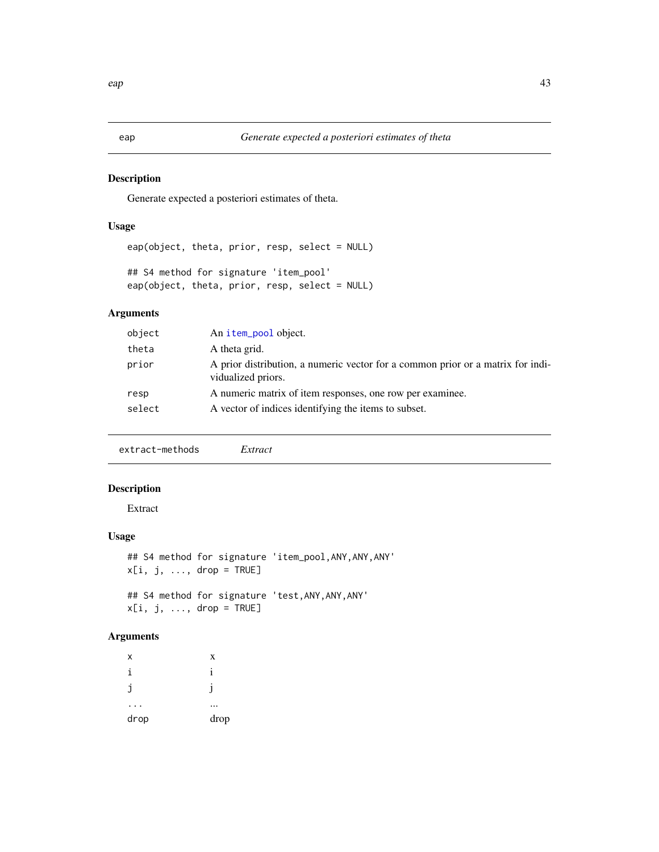Generate expected a posteriori estimates of theta.

## Usage

```
eap(object, theta, prior, resp, select = NULL)
## S4 method for signature 'item_pool'
eap(object, theta, prior, resp, select = NULL)
```
## Arguments

| object | An item_pool object.                                                                                  |
|--------|-------------------------------------------------------------------------------------------------------|
| theta  | A theta grid.                                                                                         |
| prior  | A prior distribution, a numeric vector for a common prior or a matrix for indi-<br>vidualized priors. |
| resp   | A numeric matrix of item responses, one row per examinee.                                             |
| select | A vector of indices identifying the items to subset.                                                  |
|        |                                                                                                       |

extract-methods *Extract*

## Description

Extract

#### Usage

```
## S4 method for signature 'item_pool,ANY,ANY,ANY'
x[i, j, ..., drop = TRUE]## S4 method for signature 'test,ANY,ANY,ANY'
```

```
x[i, j, ..., drop = TRUE]
```

| x    | X    |
|------|------|
| i    | 1    |
| j    |      |
|      |      |
| drop | drop |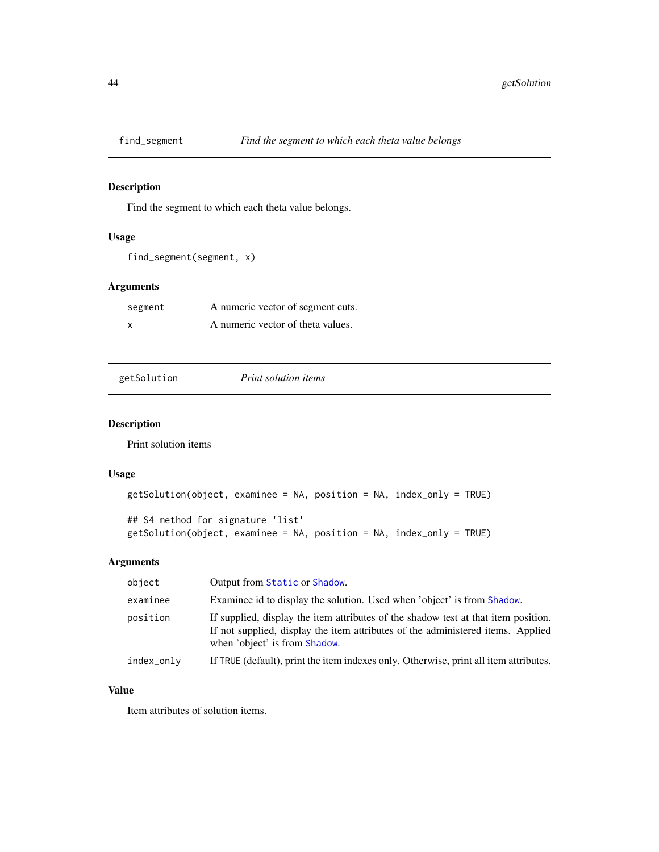Find the segment to which each theta value belongs.

## Usage

```
find_segment(segment, x)
```
## Arguments

| segment | A numeric vector of segment cuts. |
|---------|-----------------------------------|
| X       | A numeric vector of theta values. |

| getSolution |  |
|-------------|--|
|             |  |

getSolution *Print solution items*

## Description

Print solution items

#### Usage

```
getSolution(object, examinee = NA, position = NA, index_only = TRUE)
## S4 method for signature 'list'
getSolution(object, examinee = NA, position = NA, index_only = TRUE)
```
## Arguments

| object     | Output from Static or Shadow.                                                                                                                                                                          |
|------------|--------------------------------------------------------------------------------------------------------------------------------------------------------------------------------------------------------|
| examinee   | Examinee id to display the solution. Used when 'object' is from Shadow.                                                                                                                                |
| position   | If supplied, display the item attributes of the shadow test at that item position.<br>If not supplied, display the item attributes of the administered items. Applied<br>when 'object' is from Shadow. |
| index_only | If TRUE (default), print the item indexes only. Otherwise, print all item attributes.                                                                                                                  |

## Value

Item attributes of solution items.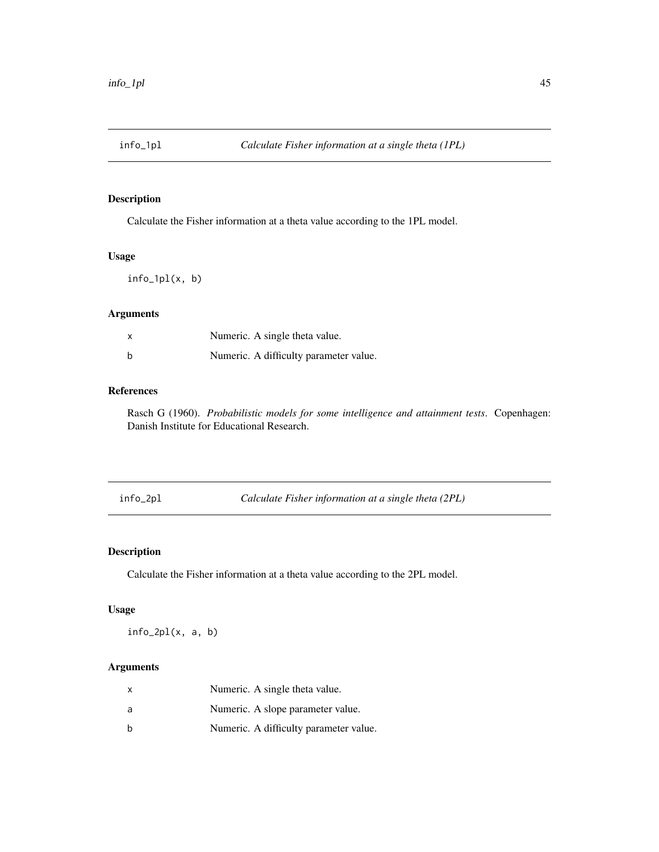Calculate the Fisher information at a theta value according to the 1PL model.

#### Usage

info\_1pl(x, b)

## Arguments

| X | Numeric. A single theta value.         |
|---|----------------------------------------|
| b | Numeric. A difficulty parameter value. |

## References

Rasch G (1960). *Probabilistic models for some intelligence and attainment tests*. Copenhagen: Danish Institute for Educational Research.

info\_2pl *Calculate Fisher information at a single theta (2PL)*

## Description

Calculate the Fisher information at a theta value according to the 2PL model.

## Usage

 $info_2pl(x, a, b)$ 

| X | Numeric. A single theta value.         |
|---|----------------------------------------|
| a | Numeric. A slope parameter value.      |
| b | Numeric. A difficulty parameter value. |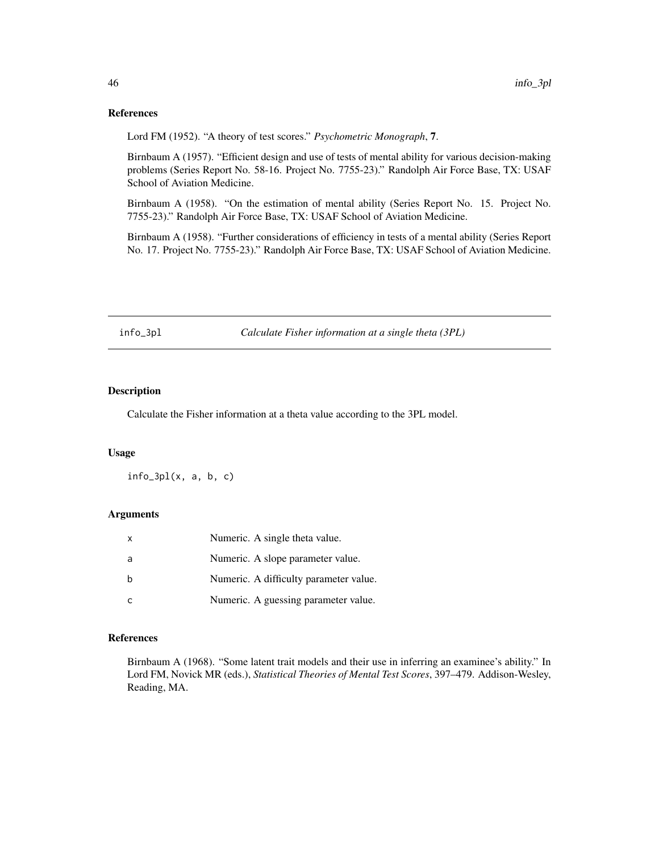#### References

Lord FM (1952). "A theory of test scores." *Psychometric Monograph*, 7.

Birnbaum A (1957). "Efficient design and use of tests of mental ability for various decision-making problems (Series Report No. 58-16. Project No. 7755-23)." Randolph Air Force Base, TX: USAF School of Aviation Medicine.

Birnbaum A (1958). "On the estimation of mental ability (Series Report No. 15. Project No. 7755-23)." Randolph Air Force Base, TX: USAF School of Aviation Medicine.

Birnbaum A (1958). "Further considerations of efficiency in tests of a mental ability (Series Report No. 17. Project No. 7755-23)." Randolph Air Force Base, TX: USAF School of Aviation Medicine.

info\_3pl *Calculate Fisher information at a single theta (3PL)*

## Description

Calculate the Fisher information at a theta value according to the 3PL model.

#### Usage

 $info_3p1(x, a, b, c)$ 

### Arguments

| X | Numeric. A single theta value.         |
|---|----------------------------------------|
| a | Numeric. A slope parameter value.      |
| h | Numeric. A difficulty parameter value. |
|   | Numeric. A guessing parameter value.   |

## References

Birnbaum A (1968). "Some latent trait models and their use in inferring an examinee's ability." In Lord FM, Novick MR (eds.), *Statistical Theories of Mental Test Scores*, 397–479. Addison-Wesley, Reading, MA.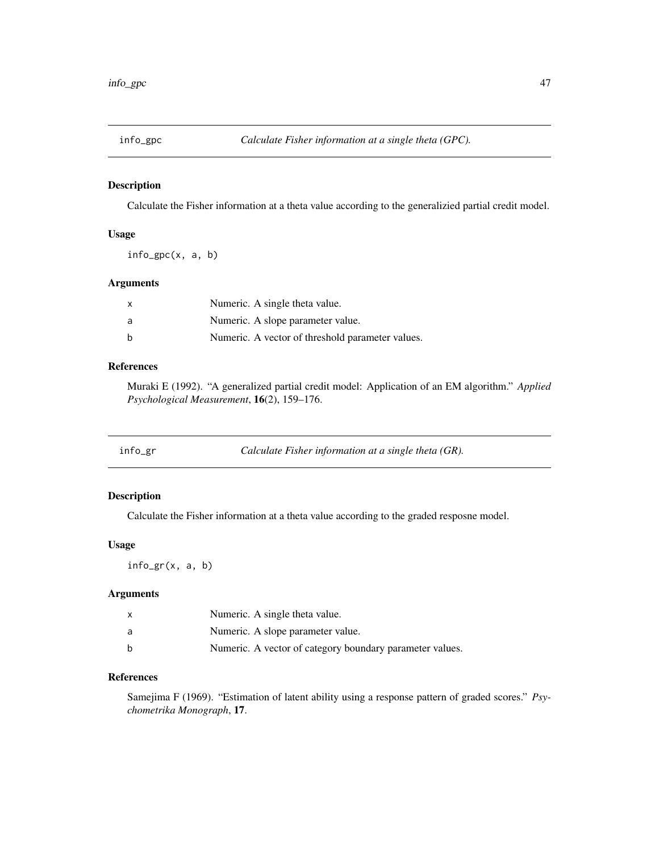Calculate the Fisher information at a theta value according to the generalizied partial credit model.

#### Usage

info\_gpc(x, a, b)

#### Arguments

| X | Numeric. A single theta value.                   |
|---|--------------------------------------------------|
| a | Numeric. A slope parameter value.                |
| b | Numeric. A vector of threshold parameter values. |

## References

Muraki E (1992). "A generalized partial credit model: Application of an EM algorithm." *Applied Psychological Measurement*, 16(2), 159–176.

## Description

Calculate the Fisher information at a theta value according to the graded resposne model.

## Usage

info\_gr(x, a, b)

## Arguments

|   | Numeric. A single theta value.                           |
|---|----------------------------------------------------------|
| a | Numeric. A slope parameter value.                        |
| h | Numeric. A vector of category boundary parameter values. |

## References

Samejima F (1969). "Estimation of latent ability using a response pattern of graded scores." *Psychometrika Monograph*, 17.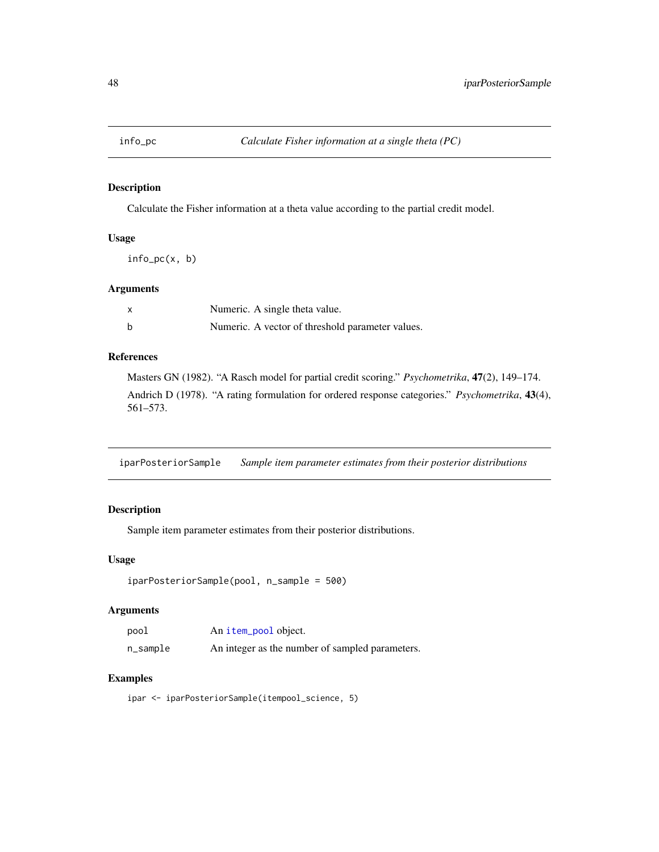Calculate the Fisher information at a theta value according to the partial credit model.

#### Usage

info\_pc(x, b)

#### Arguments

| x | Numeric. A single theta value.                   |
|---|--------------------------------------------------|
| b | Numeric. A vector of threshold parameter values. |

## References

Masters GN (1982). "A Rasch model for partial credit scoring." *Psychometrika*, 47(2), 149–174. Andrich D (1978). "A rating formulation for ordered response categories." *Psychometrika*, 43(4), 561–573.

iparPosteriorSample *Sample item parameter estimates from their posterior distributions*

## Description

Sample item parameter estimates from their posterior distributions.

#### Usage

```
iparPosteriorSample(pool, n_sample = 500)
```
#### Arguments

| pool     | An item_pool object.                            |
|----------|-------------------------------------------------|
| n_sample | An integer as the number of sampled parameters. |

#### Examples

```
ipar <- iparPosteriorSample(itempool_science, 5)
```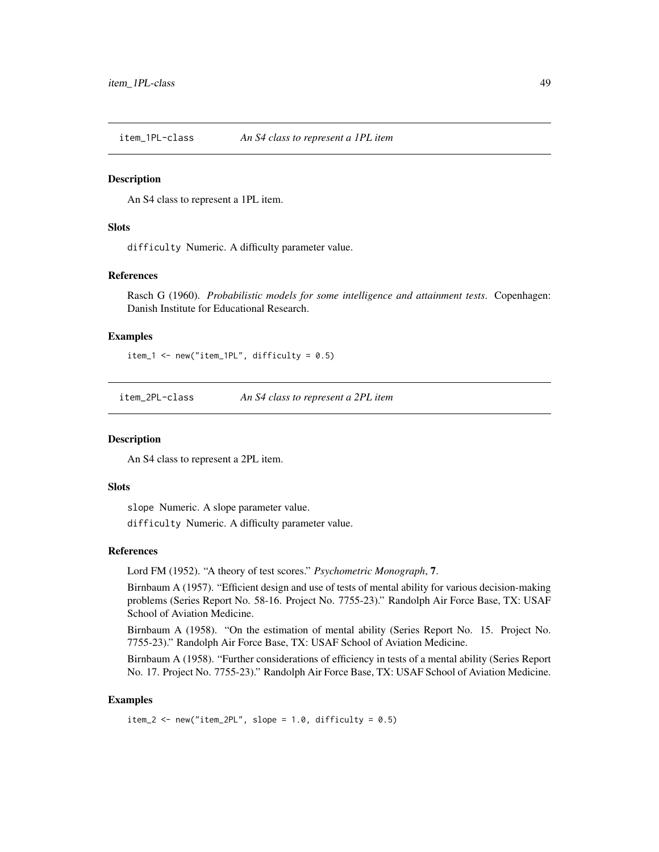item\_1PL-class *An S4 class to represent a 1PL item*

#### Description

An S4 class to represent a 1PL item.

#### **Slots**

difficulty Numeric. A difficulty parameter value.

#### References

Rasch G (1960). *Probabilistic models for some intelligence and attainment tests*. Copenhagen: Danish Institute for Educational Research.

## Examples

item\_1 <- new("item\_1PL", difficulty = 0.5)

item\_2PL-class *An S4 class to represent a 2PL item*

#### Description

An S4 class to represent a 2PL item.

#### **Slots**

slope Numeric. A slope parameter value.

difficulty Numeric. A difficulty parameter value.

#### References

Lord FM (1952). "A theory of test scores." *Psychometric Monograph*, 7.

Birnbaum A (1957). "Efficient design and use of tests of mental ability for various decision-making problems (Series Report No. 58-16. Project No. 7755-23)." Randolph Air Force Base, TX: USAF School of Aviation Medicine.

Birnbaum A (1958). "On the estimation of mental ability (Series Report No. 15. Project No. 7755-23)." Randolph Air Force Base, TX: USAF School of Aviation Medicine.

Birnbaum A (1958). "Further considerations of efficiency in tests of a mental ability (Series Report No. 17. Project No. 7755-23)." Randolph Air Force Base, TX: USAF School of Aviation Medicine.

#### Examples

```
item_2 <- new("item_2PL", slope = 1.0, difficulty = 0.5)
```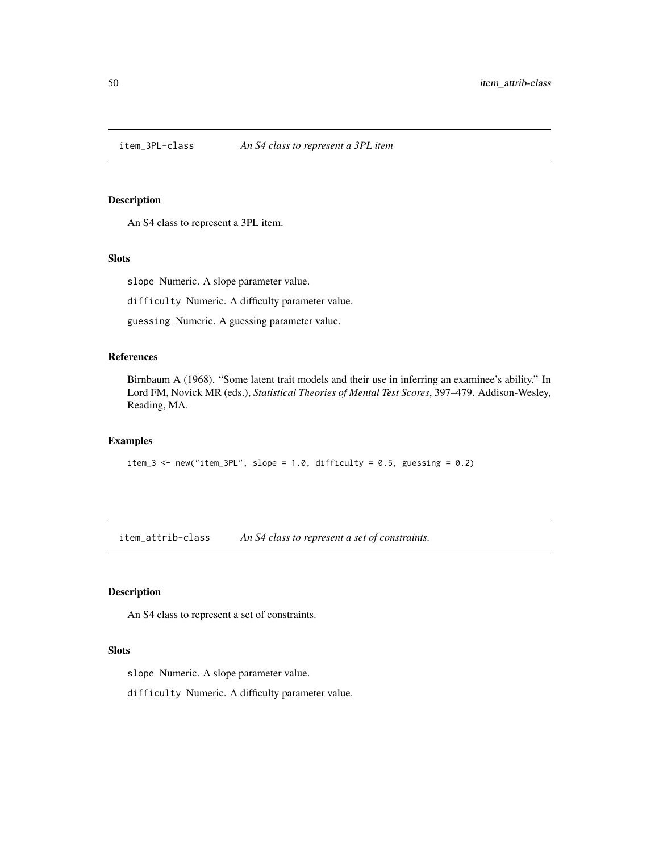An S4 class to represent a 3PL item.

#### Slots

slope Numeric. A slope parameter value.

difficulty Numeric. A difficulty parameter value.

guessing Numeric. A guessing parameter value.

## References

Birnbaum A (1968). "Some latent trait models and their use in inferring an examinee's ability." In Lord FM, Novick MR (eds.), *Statistical Theories of Mental Test Scores*, 397–479. Addison-Wesley, Reading, MA.

#### Examples

```
item_3 <- new("item_3PL", slope = 1.0, difficulty = 0.5, guessing = 0.2)
```
<span id="page-49-0"></span>item\_attrib-class *An S4 class to represent a set of constraints.*

## Description

An S4 class to represent a set of constraints.

#### Slots

slope Numeric. A slope parameter value.

difficulty Numeric. A difficulty parameter value.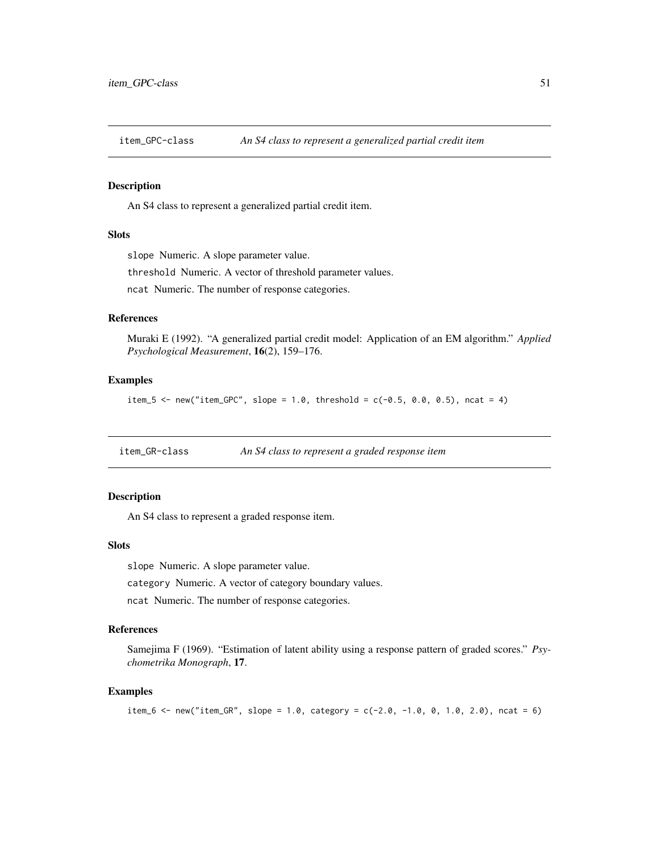An S4 class to represent a generalized partial credit item.

## **Slots**

slope Numeric. A slope parameter value.

threshold Numeric. A vector of threshold parameter values.

ncat Numeric. The number of response categories.

#### References

Muraki E (1992). "A generalized partial credit model: Application of an EM algorithm." *Applied Psychological Measurement*, 16(2), 159–176.

#### Examples

item\_5 <- new("item\_GPC", slope = 1.0, threshold =  $c(-0.5, 0.0, 0.5)$ , ncat = 4)

item\_GR-class *An S4 class to represent a graded response item*

#### Description

An S4 class to represent a graded response item.

#### Slots

slope Numeric. A slope parameter value.

category Numeric. A vector of category boundary values.

ncat Numeric. The number of response categories.

## References

Samejima F (1969). "Estimation of latent ability using a response pattern of graded scores." *Psychometrika Monograph*, 17.

## Examples

```
item_6 <- new("item_GR", slope = 1.0, category = c(-2.0, -1.0, 0, 1.0, 2.0), ncat = 6)
```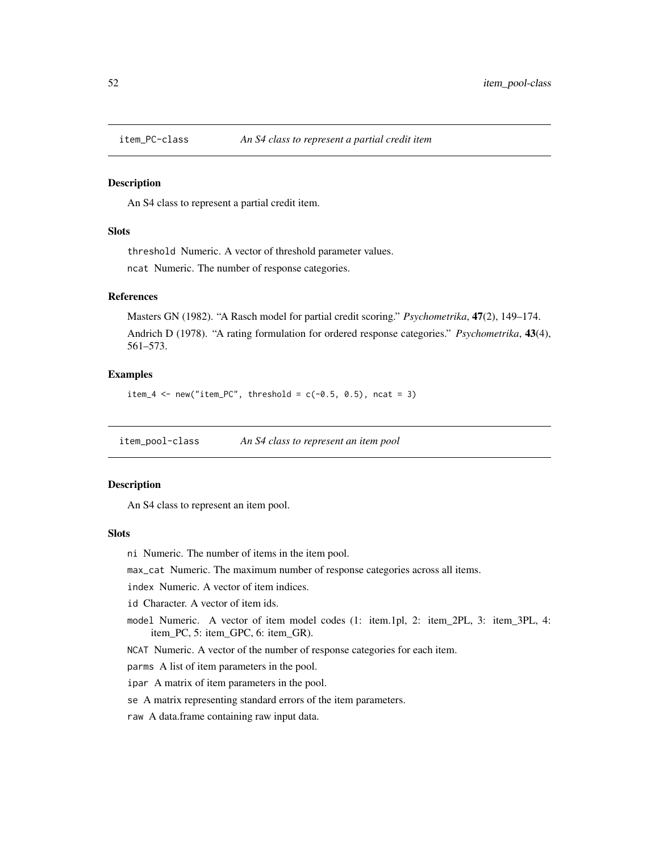An S4 class to represent a partial credit item.

#### **Slots**

threshold Numeric. A vector of threshold parameter values. ncat Numeric. The number of response categories.

#### References

Masters GN (1982). "A Rasch model for partial credit scoring." *Psychometrika*, 47(2), 149–174. Andrich D (1978). "A rating formulation for ordered response categories." *Psychometrika*, 43(4), 561–573.

#### Examples

item\_4 <- new("item\_PC", threshold =  $c(-0.5, 0.5)$ , ncat = 3)

<span id="page-51-0"></span>item\_pool-class *An S4 class to represent an item pool*

## Description

An S4 class to represent an item pool.

#### Slots

ni Numeric. The number of items in the item pool.

max\_cat Numeric. The maximum number of response categories across all items.

index Numeric. A vector of item indices.

id Character. A vector of item ids.

model Numeric. A vector of item model codes (1: item.1pl, 2: item\_2PL, 3: item\_3PL, 4: item\_PC, 5: item\_GPC, 6: item\_GR).

NCAT Numeric. A vector of the number of response categories for each item.

parms A list of item parameters in the pool.

ipar A matrix of item parameters in the pool.

se A matrix representing standard errors of the item parameters.

raw A data.frame containing raw input data.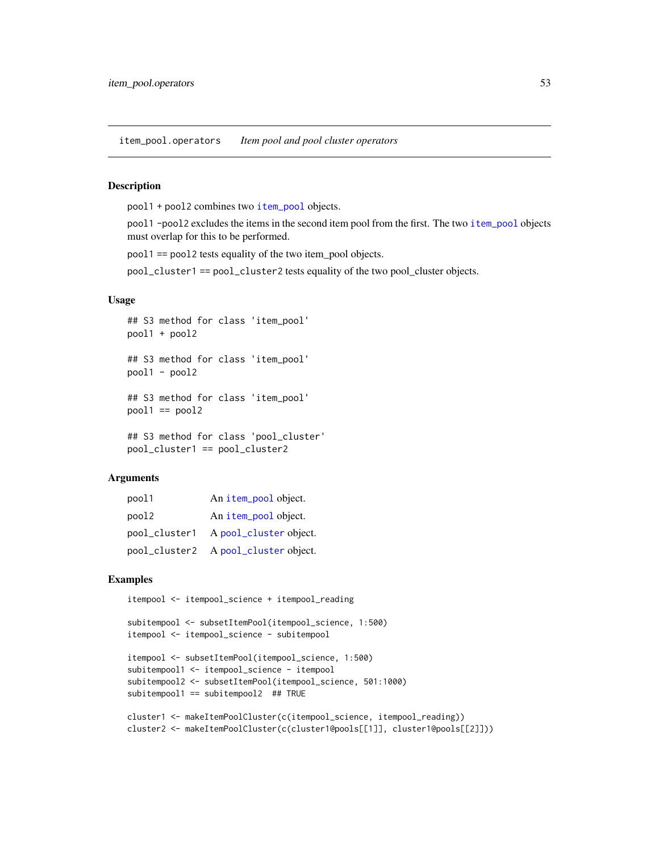item\_pool.operators *Item pool and pool cluster operators*

#### **Description**

pool1 + pool2 combines two [item\\_pool](#page-51-0) objects.

pool1 -pool2 excludes the items in the second item pool from the first. The two [item\\_pool](#page-51-0) objects must overlap for this to be performed.

pool1 == pool2 tests equality of the two item\_pool objects.

pool\_cluster1 == pool\_cluster2 tests equality of the two pool\_cluster objects.

#### Usage

```
## S3 method for class 'item_pool'
pool1 + pool2
## S3 method for class 'item_pool'
pool1 - pool2
## S3 method for class 'item_pool'
pool1 == pool2## S3 method for class 'pool_cluster'
pool_cluster1 == pool_cluster2
```
#### Arguments

| pool1         | An item_pool object.                 |
|---------------|--------------------------------------|
| pool2         | An item_pool object.                 |
| pool_cluster1 | A pool_cluster object.               |
|               | pool_cluster2 A pool_cluster object. |

#### Examples

```
itempool <- itempool_science + itempool_reading
```

```
subitempool <- subsetItemPool(itempool_science, 1:500)
itempool <- itempool_science - subitempool
```

```
itempool <- subsetItemPool(itempool_science, 1:500)
subitempool1 <- itempool_science - itempool
subitempool2 <- subsetItemPool(itempool_science, 501:1000)
subitempool1 == subitempool2 ## TRUE
```

```
cluster1 <- makeItemPoolCluster(c(itempool_science, itempool_reading))
cluster2 <- makeItemPoolCluster(c(cluster1@pools[[1]], cluster1@pools[[2]]))
```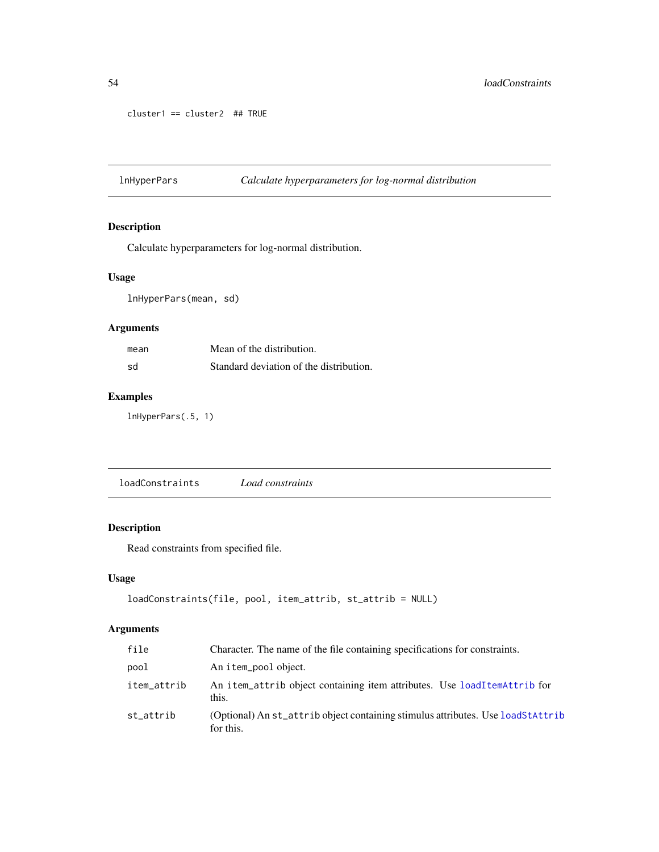```
cluster1 == cluster2 ## TRUE
```
lnHyperPars *Calculate hyperparameters for log-normal distribution*

## Description

Calculate hyperparameters for log-normal distribution.

## Usage

lnHyperPars(mean, sd)

## Arguments

| mean | Mean of the distribution.               |
|------|-----------------------------------------|
| sd   | Standard deviation of the distribution. |

## Examples

lnHyperPars(.5, 1)

loadConstraints *Load constraints*

## Description

Read constraints from specified file.

#### Usage

```
loadConstraints(file, pool, item_attrib, st_attrib = NULL)
```

| file        | Character. The name of the file containing specifications for constraints.                   |
|-------------|----------------------------------------------------------------------------------------------|
| pool        | An item_pool object.                                                                         |
| item_attrib | An item_attrib object containing item attributes. Use loadItemAttrib for<br>this.            |
| st_attrib   | (Optional) An st_attrib object containing stimulus attributes. Use loadStAttrib<br>for this. |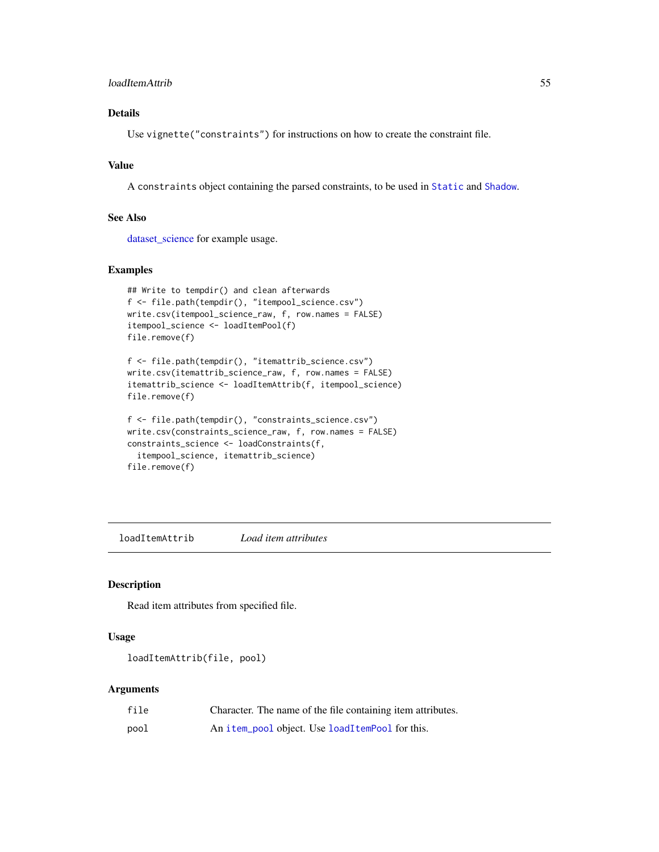#### loadItemAttrib 55

## Details

Use vignette("constraints") for instructions on how to create the constraint file.

## Value

A constraints object containing the parsed constraints, to be used in [Static](#page-83-0) and [Shadow](#page-79-0).

#### See Also

[dataset\\_science](#page-40-0) for example usage.

#### Examples

```
## Write to tempdir() and clean afterwards
f <- file.path(tempdir(), "itempool_science.csv")
write.csv(itempool_science_raw, f, row.names = FALSE)
itempool_science <- loadItemPool(f)
file.remove(f)
```

```
f <- file.path(tempdir(), "itemattrib_science.csv")
write.csv(itemattrib_science_raw, f, row.names = FALSE)
itemattrib_science <- loadItemAttrib(f, itempool_science)
file.remove(f)
```

```
f <- file.path(tempdir(), "constraints_science.csv")
write.csv(constraints_science_raw, f, row.names = FALSE)
constraints_science <- loadConstraints(f,
  itempool_science, itemattrib_science)
file.remove(f)
```
<span id="page-54-0"></span>loadItemAttrib *Load item attributes*

## Description

Read item attributes from specified file.

#### Usage

```
loadItemAttrib(file, pool)
```

| file | Character. The name of the file containing item attributes. |
|------|-------------------------------------------------------------|
| pool | An item_pool object. Use loadItemPool for this.             |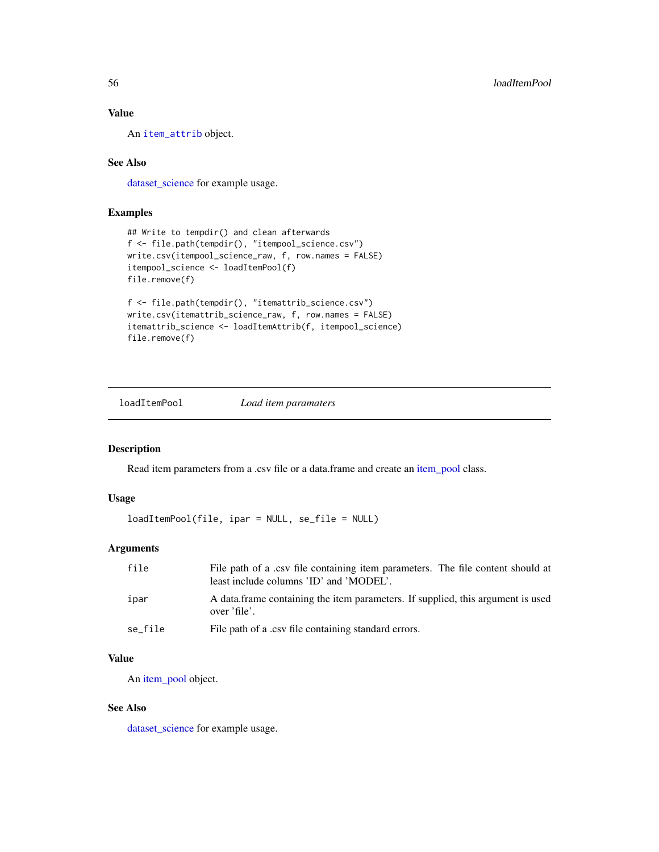## Value

An [item\\_attrib](#page-49-0) object.

## See Also

[dataset\\_science](#page-40-0) for example usage.

#### Examples

```
## Write to tempdir() and clean afterwards
f <- file.path(tempdir(), "itempool_science.csv")
write.csv(itempool_science_raw, f, row.names = FALSE)
itempool_science <- loadItemPool(f)
file.remove(f)
f <- file.path(tempdir(), "itemattrib_science.csv")
write.csv(itemattrib_science_raw, f, row.names = FALSE)
itemattrib_science <- loadItemAttrib(f, itempool_science)
file.remove(f)
```
<span id="page-55-0"></span>loadItemPool *Load item paramaters*

## Description

Read item parameters from a .csv file or a data.frame and create an [item\\_pool](#page-51-0) class.

## Usage

loadItemPool(file, ipar = NULL, se\_file = NULL)

#### Arguments

| file    | File path of a .csv file containing item parameters. The file content should at<br>least include columns 'ID' and 'MODEL'. |
|---------|----------------------------------------------------------------------------------------------------------------------------|
| ipar    | A data frame containing the item parameters. If supplied, this argument is used<br>over 'file'.                            |
| se_file | File path of a .csv file containing standard errors.                                                                       |

## Value

An [item\\_pool](#page-51-0) object.

## See Also

[dataset\\_science](#page-40-0) for example usage.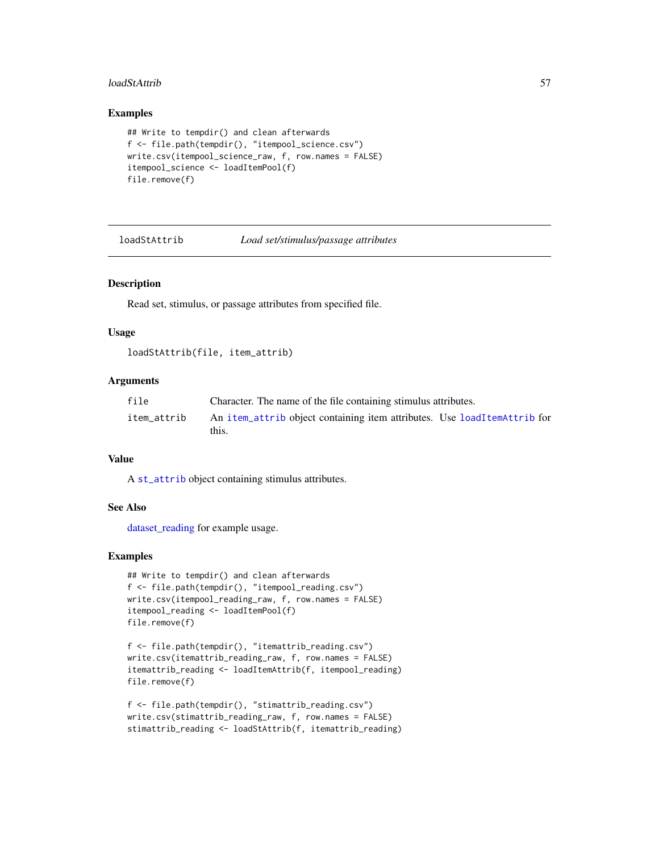#### loadStAttrib 57

#### Examples

```
## Write to tempdir() and clean afterwards
f <- file.path(tempdir(), "itempool_science.csv")
write.csv(itempool_science_raw, f, row.names = FALSE)
itempool_science <- loadItemPool(f)
file.remove(f)
```

```
loadStAttrib Load set/stimulus/passage attributes
```
## Description

Read set, stimulus, or passage attributes from specified file.

#### Usage

```
loadStAttrib(file, item_attrib)
```
#### **Arguments**

| file        | Character. The name of the file containing stimulus attributes.                   |
|-------------|-----------------------------------------------------------------------------------|
| item_attrib | An item_attrib object containing item attributes. Use loadItemAttrib for<br>this. |

## Value

A [st\\_attrib](#page-84-0) object containing stimulus attributes.

#### See Also

[dataset\\_reading](#page-39-0) for example usage.

## Examples

```
## Write to tempdir() and clean afterwards
f <- file.path(tempdir(), "itempool_reading.csv")
write.csv(itempool_reading_raw, f, row.names = FALSE)
itempool_reading <- loadItemPool(f)
file.remove(f)
```

```
f <- file.path(tempdir(), "itemattrib_reading.csv")
write.csv(itemattrib_reading_raw, f, row.names = FALSE)
itemattrib_reading <- loadItemAttrib(f, itempool_reading)
file.remove(f)
```

```
f <- file.path(tempdir(), "stimattrib_reading.csv")
write.csv(stimattrib_reading_raw, f, row.names = FALSE)
stimattrib_reading <- loadStAttrib(f, itemattrib_reading)
```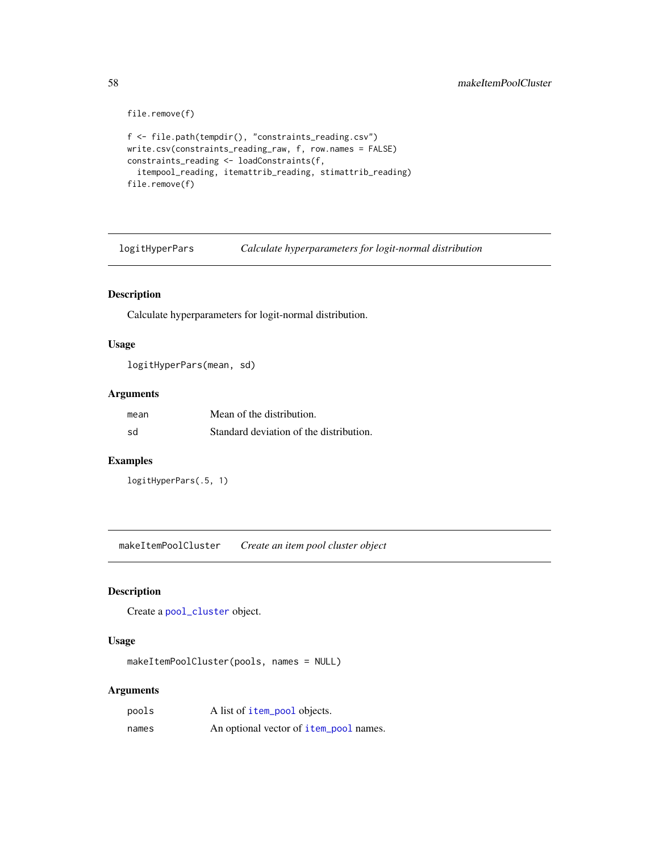```
file.remove(f)
f <- file.path(tempdir(), "constraints_reading.csv")
write.csv(constraints_reading_raw, f, row.names = FALSE)
constraints_reading <- loadConstraints(f,
  itempool_reading, itemattrib_reading, stimattrib_reading)
file.remove(f)
```
logitHyperPars *Calculate hyperparameters for logit-normal distribution*

### Description

Calculate hyperparameters for logit-normal distribution.

## Usage

logitHyperPars(mean, sd)

#### Arguments

| mean | Mean of the distribution.               |
|------|-----------------------------------------|
| sd   | Standard deviation of the distribution. |

## Examples

```
logitHyperPars(.5, 1)
```
makeItemPoolCluster *Create an item pool cluster object*

## Description

Create a [pool\\_cluster](#page-73-0) object.

## Usage

```
makeItemPoolCluster(pools, names = NULL)
```

| pools | A list of item_pool objects.                  |
|-------|-----------------------------------------------|
| names | An optional vector of <b>item_pool</b> names. |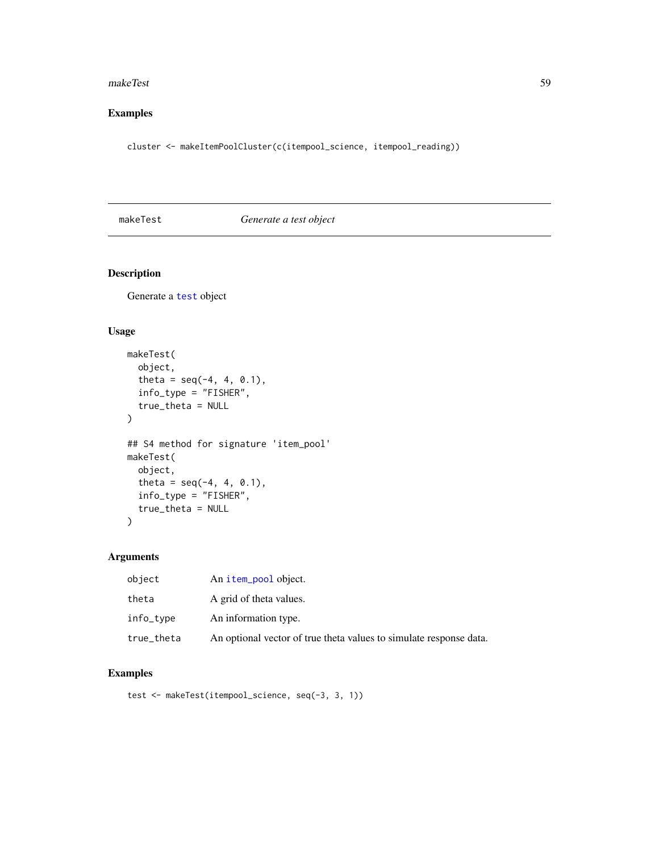#### makeTest 59

## Examples

cluster <- makeItemPoolCluster(c(itempool\_science, itempool\_reading))

makeTest *Generate a test object*

## Description

Generate a [test](#page-85-0) object

## Usage

```
makeTest(
  object,
  theta = seq(-4, 4, 0.1),
  info_type = "FISHER",
  true_theta = NULL
\mathcal{L}## S4 method for signature 'item_pool'
makeTest(
  object,
  theta = seq(-4, 4, 0.1),
  info_type = "FISHER",
  true_theta = NULL
\mathcal{L}
```
## Arguments

| object     | An item_pool object.                                               |
|------------|--------------------------------------------------------------------|
| theta      | A grid of theta values.                                            |
| info_type  | An information type.                                               |
| true_theta | An optional vector of true theta values to simulate response data. |

## Examples

```
test <- makeTest(itempool_science, seq(-3, 3, 1))
```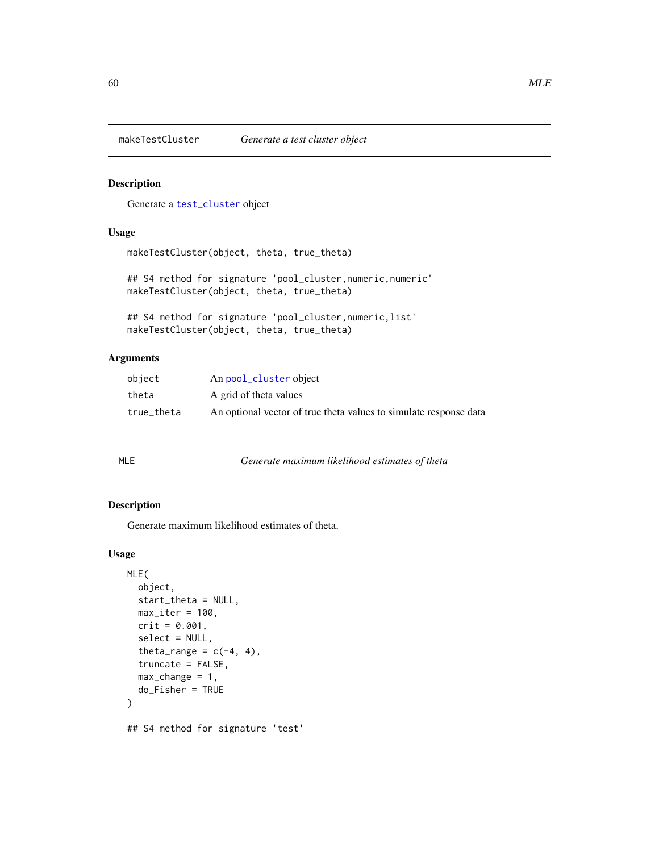Generate a [test\\_cluster](#page-86-0) object

#### Usage

makeTestCluster(object, theta, true\_theta)

## S4 method for signature 'pool\_cluster, numeric, numeric' makeTestCluster(object, theta, true\_theta)

```
## S4 method for signature 'pool_cluster,numeric,list'
makeTestCluster(object, theta, true_theta)
```
#### Arguments

| object     | An pool_cluster object                                            |
|------------|-------------------------------------------------------------------|
| theta      | A grid of theta values                                            |
| true theta | An optional vector of true theta values to simulate response data |

| Generate maximum likelihood estimates of theta<br>MLE |  |
|-------------------------------------------------------|--|
|-------------------------------------------------------|--|

## Description

Generate maximum likelihood estimates of theta.

```
MLE(
  object,
  start_theta = NULL,
  max\_iter = 100,crit = 0.001,select = NULL,theta_range = c(-4, 4),
  truncate = FALSE,
  max_{\text{change}} = 1,
  do_Fisher = TRUE
)
## S4 method for signature 'test'
```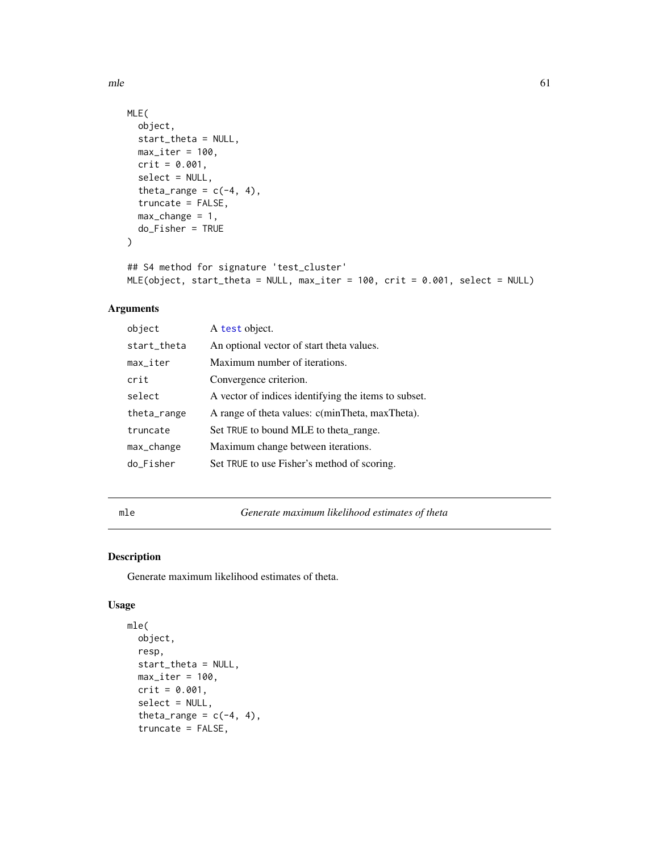$m$ le 61

```
MLE(
  object,
  start_theta = NULL,
  max\_iter = 100,
  crit = 0.001,select = NULL,
  theta_range = c(-4, 4),
  truncate = FALSE,
  max_{\text{change}} = 1,
  do_Fisher = TRUE
\mathcal{L}
```

```
## S4 method for signature 'test_cluster'
MLE(object, start_theta = NULL, max_iter = 100, crit = 0.001, select = NULL)
```
## Arguments

| object                 | A test object.                                       |
|------------------------|------------------------------------------------------|
| start_theta            | An optional vector of start theta values.            |
| $max$ <sub>Liter</sub> | Maximum number of iterations.                        |
| crit                   | Convergence criterion.                               |
| select                 | A vector of indices identifying the items to subset. |
| theta_range            | A range of theta values: c(minTheta, maxTheta).      |
| truncate               | Set TRUE to bound MLE to theta range.                |
| max_change             | Maximum change between iterations.                   |
| do_Fisher              | Set TRUE to use Fisher's method of scoring.          |

mle *Generate maximum likelihood estimates of theta*

## Description

Generate maximum likelihood estimates of theta.

```
mle(
  object,
  resp,
  start_theta = NULL,
  max\_iter = 100,
  crit = 0.001,select = NULL,
  theta_range = c(-4, 4),
  truncate = FALSE,
```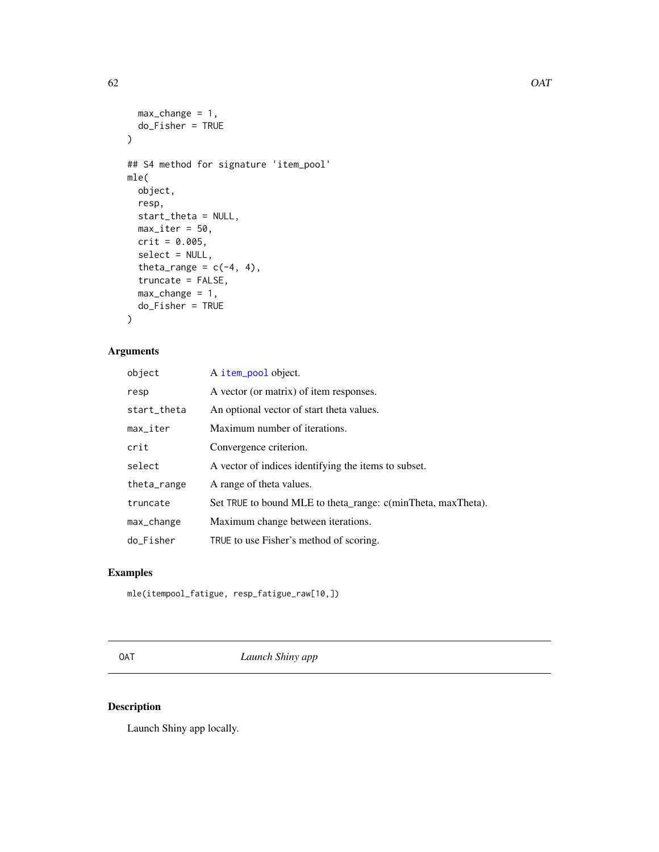```
max_{\text{change}} = 1,
  do_Fisher = TRUE
\mathcal{L}## S4 method for signature 'item_pool'
mle(
  object,
  resp,
  start_theta = NULL,
  max\_iter = 50,
  crit = 0.005,select = NULL,
  theta_range = c(-4, 4),
  truncate = FALSE,
  max_{\text{change}} = 1,
  do_Fisher = TRUE
)
```

| object      | A item_pool object.                                          |
|-------------|--------------------------------------------------------------|
| resp        | A vector (or matrix) of item responses.                      |
| start_theta | An optional vector of start theta values.                    |
| max_iter    | Maximum number of iterations.                                |
| crit        | Convergence criterion.                                       |
| select      | A vector of indices identifying the items to subset.         |
| theta_range | A range of theta values.                                     |
| truncate    | Set TRUE to bound MLE to theta_range: c(minTheta, maxTheta). |
| max_change  | Maximum change between iterations.                           |
| do Fisher   | TRUE to use Fisher's method of scoring.                      |

## Examples

mle(itempool\_fatigue, resp\_fatigue\_raw[10,])

OAT *Launch Shiny app*

## Description

Launch Shiny app locally.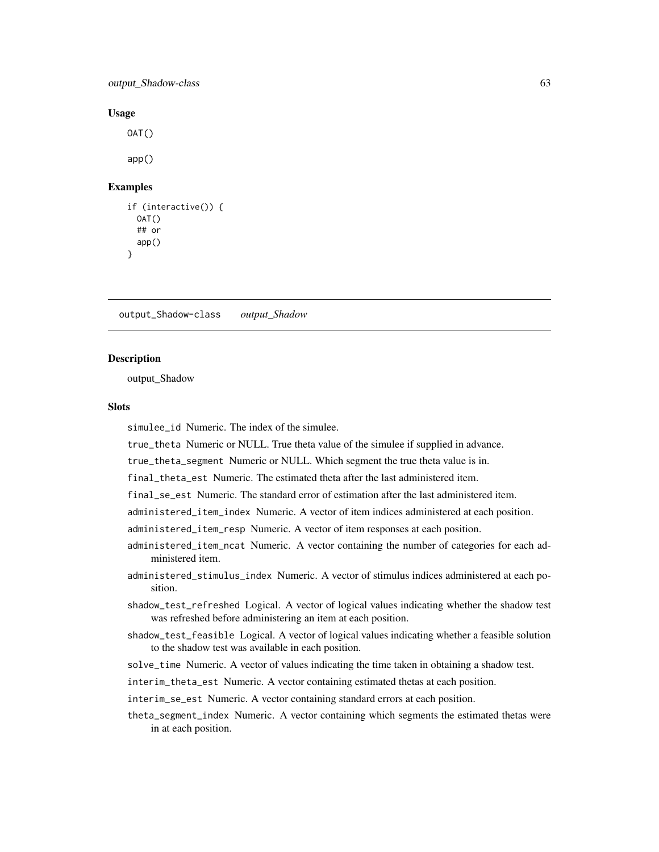output\_Shadow-class 63

#### Usage

 $OAT()$ app()

#### Examples

```
if (interactive()) {
 OAT()## or
 app()
}
```
output\_Shadow-class *output\_Shadow*

#### Description

output\_Shadow

## **Slots**

simulee\_id Numeric. The index of the simulee.

true\_theta Numeric or NULL. True theta value of the simulee if supplied in advance.

true\_theta\_segment Numeric or NULL. Which segment the true theta value is in.

final\_theta\_est Numeric. The estimated theta after the last administered item.

final\_se\_est Numeric. The standard error of estimation after the last administered item.

administered\_item\_index Numeric. A vector of item indices administered at each position.

administered\_item\_resp Numeric. A vector of item responses at each position.

- administered\_item\_ncat Numeric. A vector containing the number of categories for each administered item.
- administered\_stimulus\_index Numeric. A vector of stimulus indices administered at each position.
- shadow\_test\_refreshed Logical. A vector of logical values indicating whether the shadow test was refreshed before administering an item at each position.
- shadow\_test\_feasible Logical. A vector of logical values indicating whether a feasible solution to the shadow test was available in each position.

solve\_time Numeric. A vector of values indicating the time taken in obtaining a shadow test.

interim\_theta\_est Numeric. A vector containing estimated thetas at each position.

interim\_se\_est Numeric. A vector containing standard errors at each position.

theta\_segment\_index Numeric. A vector containing which segments the estimated thetas were in at each position.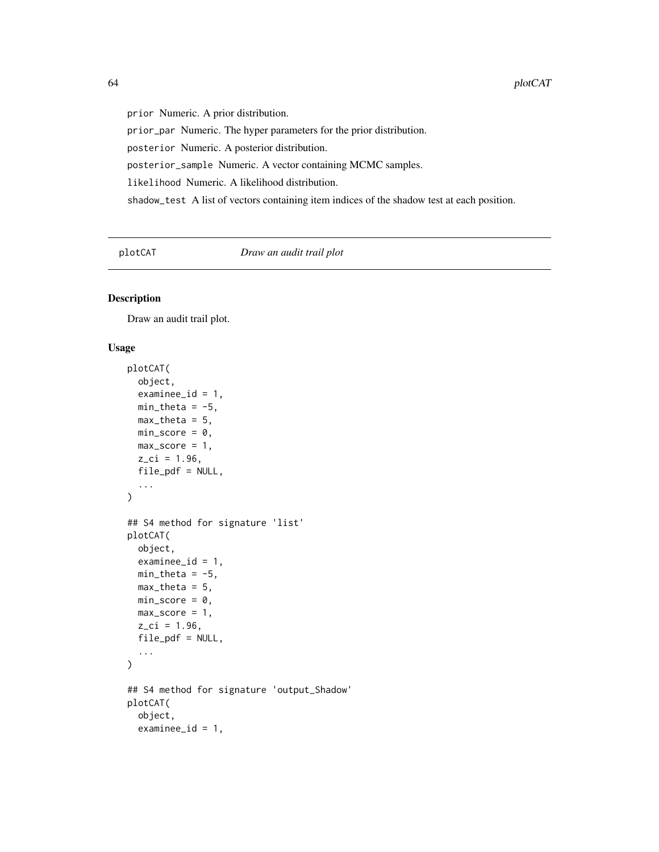prior Numeric. A prior distribution. prior\_par Numeric. The hyper parameters for the prior distribution. posterior Numeric. A posterior distribution. posterior\_sample Numeric. A vector containing MCMC samples. likelihood Numeric. A likelihood distribution. shadow\_test A list of vectors containing item indices of the shadow test at each position.

plotCAT *Draw an audit trail plot*

#### Description

Draw an audit trail plot.

```
plotCAT(
  object,
  examine_id = 1,
  min\_theta = -5,
  max_{\text{theta}} = 5,
  min\_score = 0,
  max\_score = 1,
  z_{\text{c}}i = 1.96,
  file_pdf = NULL,
  ...
\mathcal{L}## S4 method for signature 'list'
plotCAT(
  object,
  examinee_id = 1,
  min_{\text{theta}} = -5,
  max_{\text{the}} = 5,
  min\_score = 0,
  max\_score = 1,
  z_{ci} = 1.96,
  file\_pdf = NULL,...
\mathcal{L}## S4 method for signature 'output_Shadow'
plotCAT(
  object,
  examine_id = 1,
```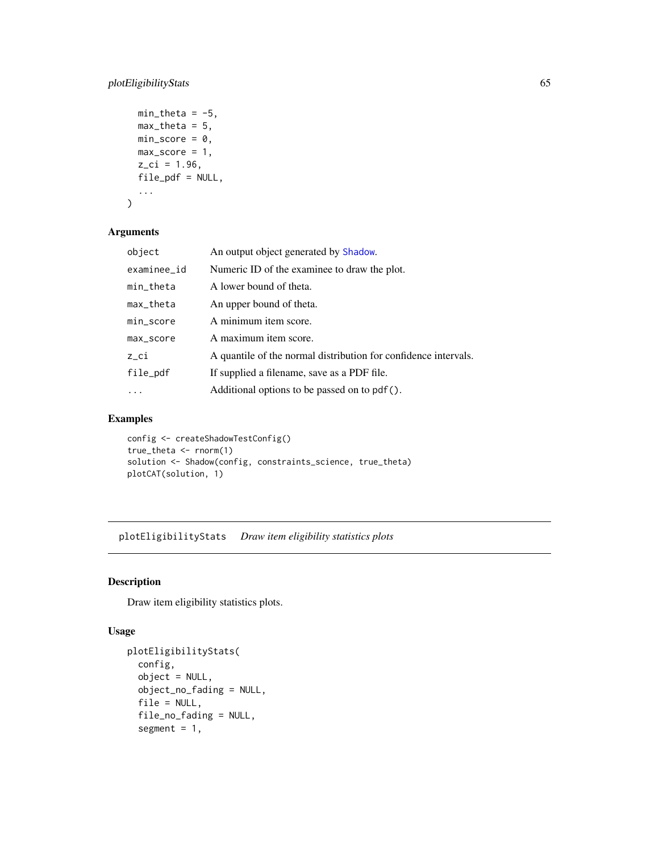## plotEligibilityStats 65

```
min_{\text{theta}} = -5,
  max_{\text{theta}} = 5,
  min\_score = 0,
  max\_score = 1,
  z_{ci} = 1.96,
  file_pdf = NULL,
   ...
\mathcal{L}
```
#### Arguments

| object          | An output object generated by Shadow.                           |
|-----------------|-----------------------------------------------------------------|
| examinee_id     | Numeric ID of the examinee to draw the plot.                    |
| $min_{z}$ theta | A lower bound of theta.                                         |
| max_theta       | An upper bound of theta.                                        |
| min_score       | A minimum item score.                                           |
| max_score       | A maximum item score.                                           |
| $z$ _ $ci$      | A quantile of the normal distribution for confidence intervals. |
| file_pdf        | If supplied a filename, save as a PDF file.                     |
|                 | Additional options to be passed on to pdf().                    |

## Examples

config <- createShadowTestConfig() true\_theta <- rnorm(1) solution <- Shadow(config, constraints\_science, true\_theta) plotCAT(solution, 1)

plotEligibilityStats *Draw item eligibility statistics plots*

## Description

Draw item eligibility statistics plots.

```
plotEligibilityStats(
  config,
 object = NULL,object_no_fading = NULL,
  file = NULL,
  file_no_fading = NULL,
  segment = 1,
```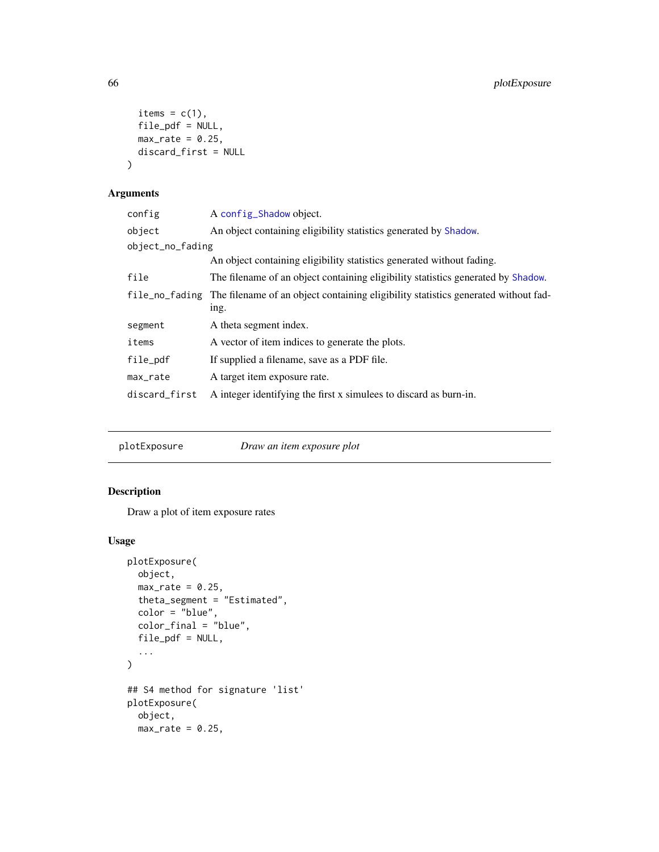```
items = c(1),
 file_pdf = NULL,
 max_rate = 0.25,
 discard_first = NULL
)
```

| config           | A config_Shadow object.                                                                           |
|------------------|---------------------------------------------------------------------------------------------------|
| object           | An object containing eligibility statistics generated by Shadow.                                  |
| object_no_fading |                                                                                                   |
|                  | An object containing eligibility statistics generated without fading.                             |
| file             | The filename of an object containing eligibility statistics generated by Shadow.                  |
|                  | file_no_fading The filename of an object containing eligibility statistics generated without fad- |
|                  | ing.                                                                                              |
| segment          | A theta segment index.                                                                            |
| items            | A vector of item indices to generate the plots.                                                   |
| file_pdf         | If supplied a filename, save as a PDF file.                                                       |
| max_rate         | A target item exposure rate.                                                                      |
| discard_first    | A integer identifying the first x simules to discard as burn-in.                                  |

plotExposure *Draw an item exposure plot*

## Description

Draw a plot of item exposure rates

```
plotExposure(
 object,
 max_rate = 0.25,theta_segment = "Estimated",
 color = "blue",
 color_final = "blue",
 file_pdf = NULL,
  ...
\mathcal{L}## S4 method for signature 'list'
plotExposure(
 object,
 max_rate = 0.25,
```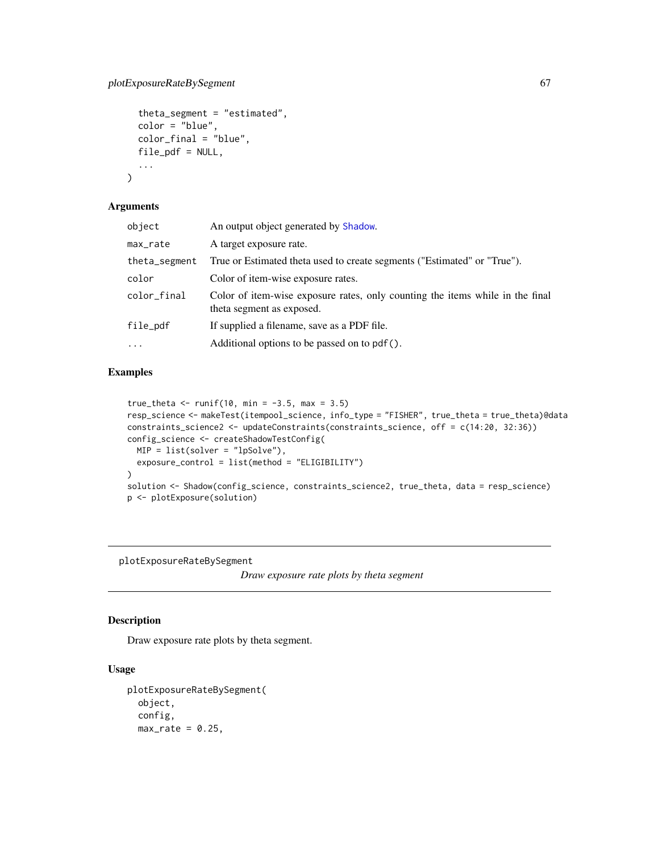```
theta_segment = "estimated",
  color = "blue",
  color_final = "blue",
  file_pdf = NULL,
  ...
\mathcal{L}
```

| object        | An output object generated by Shadow.                                                                      |
|---------------|------------------------------------------------------------------------------------------------------------|
| max_rate      | A target exposure rate.                                                                                    |
| theta_segment | True or Estimated theta used to create segments ("Estimated" or "True").                                   |
| color         | Color of item-wise exposure rates.                                                                         |
| color_final   | Color of item-wise exposure rates, only counting the items while in the final<br>theta segment as exposed. |
| file_pdf      | If supplied a filename, save as a PDF file.                                                                |
| $\cdots$      | Additional options to be passed on to pdf().                                                               |

## Examples

```
true_theta <- runif(10, min = -3.5, max = 3.5)
resp_science <- makeTest(itempool_science, info_type = "FISHER", true_theta = true_theta)@data
constraints_science2 <- updateConstraints(constraints_science, off = c(14:20, 32:36))
config_science <- createShadowTestConfig(
 MIP = list(solver = "lpSolve"),
  exposure_control = list(method = "ELIGIBILITY")
\lambdasolution <- Shadow(config_science, constraints_science2, true_theta, data = resp_science)
p <- plotExposure(solution)
```
plotExposureRateBySegment

*Draw exposure rate plots by theta segment*

## Description

Draw exposure rate plots by theta segment.

```
plotExposureRateBySegment(
 object,
  config,
 max_rate = 0.25,
```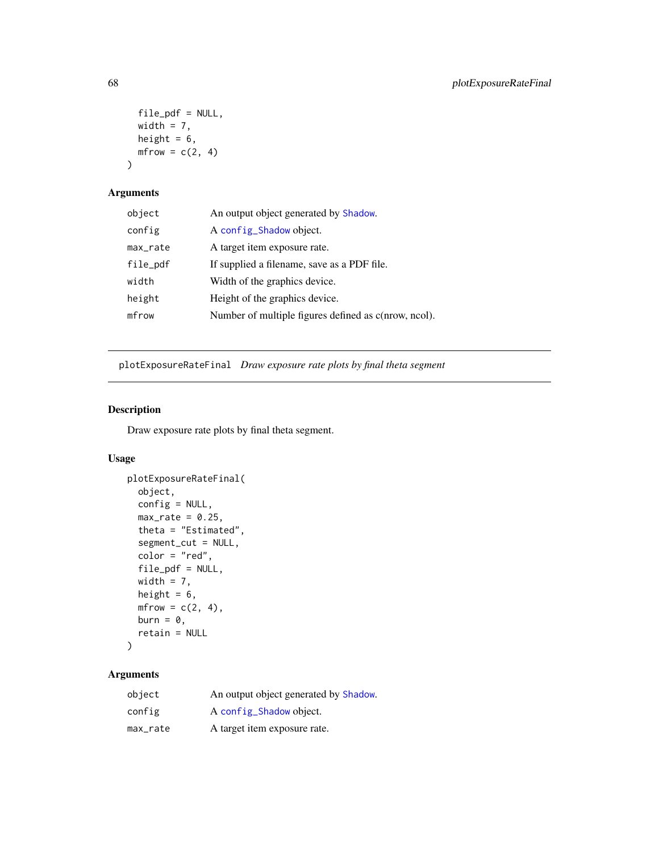```
file\_pdf = NULL,width = 7,
 height = 6,
 mfrow = c(2, 4))
```

| object   | An output object generated by Shadow.                |
|----------|------------------------------------------------------|
| config   | A config_Shadow object.                              |
| max_rate | A target item exposure rate.                         |
| file_pdf | If supplied a filename, save as a PDF file.          |
| width    | Width of the graphics device.                        |
| height   | Height of the graphics device.                       |
| mfrow    | Number of multiple figures defined as c(nrow, ncol). |

<span id="page-67-0"></span>plotExposureRateFinal *Draw exposure rate plots by final theta segment*

## Description

Draw exposure rate plots by final theta segment.

## Usage

```
plotExposureRateFinal(
 object,
 config = NULL,max_rate = 0.25,
  theta = "Estimated",
  segment_cut = NULL,
 color = "red",file_pdf = NULL,
 width = 7,height = 6,
 mfrow = c(2, 4),
 burn = \theta,
  retain = NULL
)
```

| object   | An output object generated by Shadow. |
|----------|---------------------------------------|
| config   | A config_Shadow object.               |
| max_rate | A target item exposure rate.          |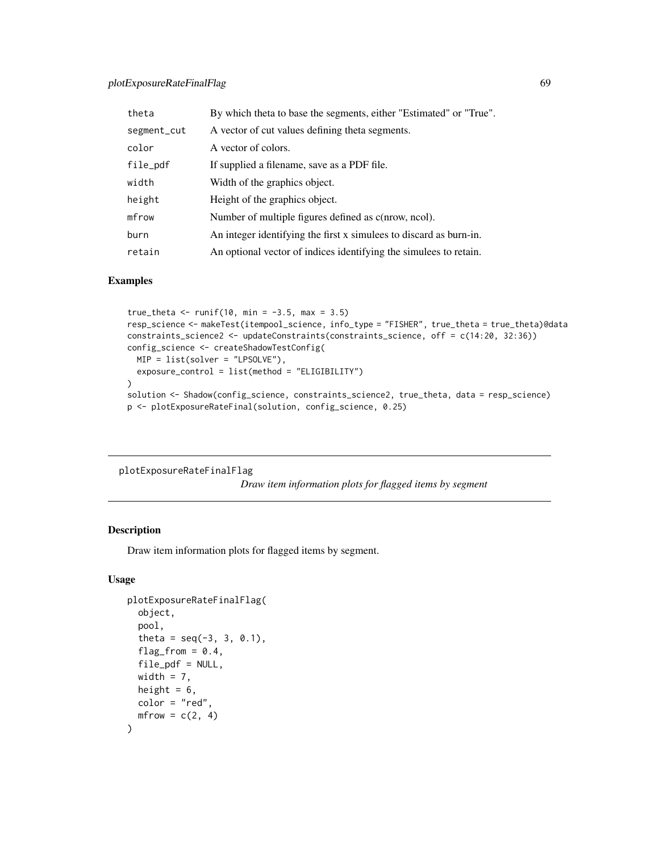## plotExposureRateFinalFlag 69

| theta       | By which theta to base the segments, either "Estimated" or "True". |
|-------------|--------------------------------------------------------------------|
| segment_cut | A vector of cut values defining theta segments.                    |
| color       | A vector of colors.                                                |
| file_pdf    | If supplied a filename, save as a PDF file.                        |
| width       | Width of the graphics object.                                      |
| height      | Height of the graphics object.                                     |
| mfrow       | Number of multiple figures defined as c(nrow, ncol).               |
| burn        | An integer identifying the first x simules to discard as burn-in.  |
| retain      | An optional vector of indices identifying the simules to retain.   |

#### Examples

```
true_theta <- runif(10, min = -3.5, max = 3.5)
resp_science <- makeTest(itempool_science, info_type = "FISHER", true_theta = true_theta)@data
constraints_science2 <- updateConstraints(constraints_science, off = c(14:20, 32:36))
config_science <- createShadowTestConfig(
 MIP = list(solver = "LPSOLVE"),
  exposure_control = list(method = "ELIGIBILITY")
\lambdasolution <- Shadow(config_science, constraints_science2, true_theta, data = resp_science)
p <- plotExposureRateFinal(solution, config_science, 0.25)
```

```
plotExposureRateFinalFlag
```
*Draw item information plots for flagged items by segment*

## Description

Draw item information plots for flagged items by segment.

```
plotExposureRateFinalFlag(
  object,
  pool,
  theta = seq(-3, 3, 0.1),
  flag_from = 0.4,
  file\_pdf = NULL,width = 7,
 height = 6,
 color = "red",
  mfrow = c(2, 4))
```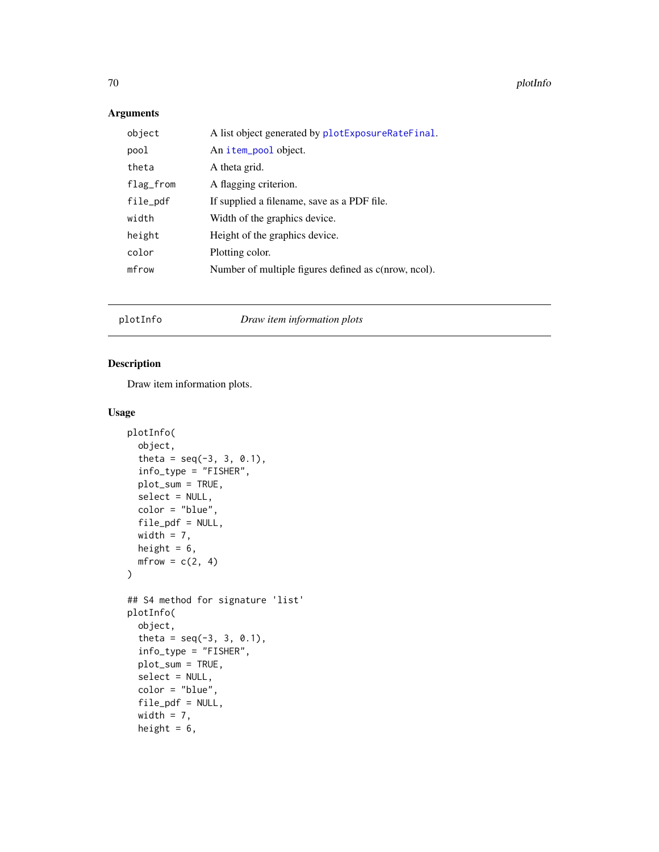70 plotInfo

## Arguments

| object    | A list object generated by plotExposureRateFinal.    |
|-----------|------------------------------------------------------|
| pool      | An item_pool object.                                 |
| theta     | A theta grid.                                        |
| flag_from | A flagging criterion.                                |
| file_pdf  | If supplied a filename, save as a PDF file.          |
| width     | Width of the graphics device.                        |
| height    | Height of the graphics device.                       |
| color     | Plotting color.                                      |
| mfrow     | Number of multiple figures defined as c(nrow, ncol). |
|           |                                                      |

plotInfo *Draw item information plots*

## Description

Draw item information plots.

```
plotInfo(
  object,
  theta = seq(-3, 3, 0.1),
  info_type = "FISHER",
 plot_sum = TRUE,
  select = NULL,
  color = "blue",
  file_pdf = NULL,
 width = 7,
 height = 6,
 mfrow = c(2, 4)\mathcal{L}## S4 method for signature 'list'
plotInfo(
 object,
  theta = seq(-3, 3, 0.1),
  info_type = "FISHER",
 plot_sum = TRUE,
  select = NULL,
  color = "blue",
  file_pdf = NULL,
  width = 7,height = 6,
```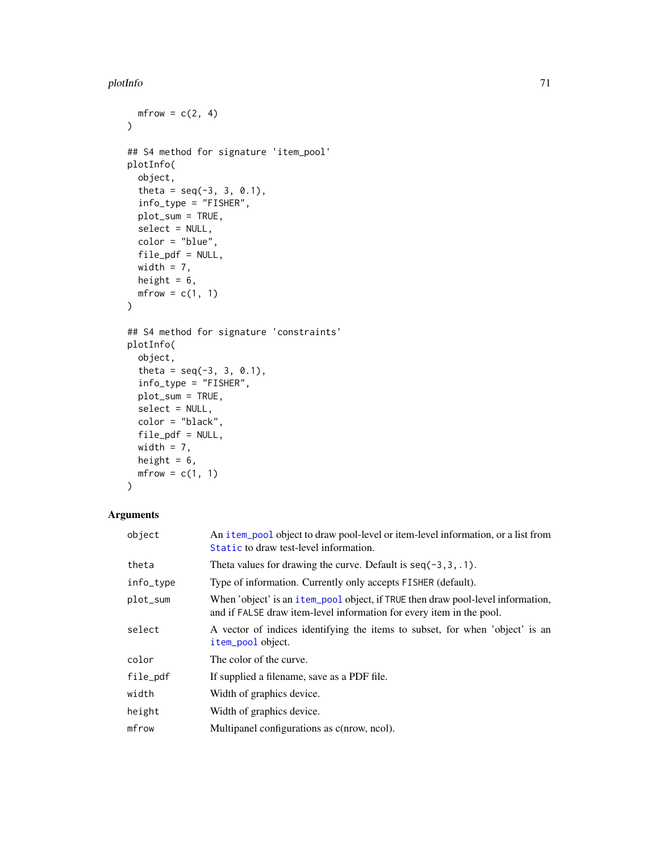#### plotInfo 71

```
mfrow = c(2, 4)\lambda## S4 method for signature 'item_pool'
plotInfo(
 object,
  theta = seq(-3, 3, 0.1),
  info_type = "FISHER",
 plot_sum = TRUE,
 select = NULL,
 color = "blue",
 file_pdf = NULL,
 width = 7,height = 6,
 mfrow = c(1, 1)\mathcal{L}## S4 method for signature 'constraints'
plotInfo(
 object,
  theta = seq(-3, 3, 0.1),
 info_type = "FISHER",
 plot_sum = TRUE,
  select = NULL,
 color = "black",
 file\_pdf = NULL,width = 7,height = 6,
 mfrow = c(1, 1)
```
# )

| object    | An item_pool object to draw pool-level or item-level information, or a list from<br>Static to draw test-level information.                              |
|-----------|---------------------------------------------------------------------------------------------------------------------------------------------------------|
| theta     | Theta values for drawing the curve. Default is $seq(-3, 3, .1)$ .                                                                                       |
| info_type | Type of information. Currently only accepts FISHER (default).                                                                                           |
| plot_sum  | When 'object' is an item pool object, if TRUE then draw pool-level information,<br>and if FALSE draw item-level information for every item in the pool. |
| select    | A vector of indices identifying the items to subset, for when 'object' is an<br>item_pool object.                                                       |
| color     | The color of the curve.                                                                                                                                 |
| file_pdf  | If supplied a filename, save as a PDF file.                                                                                                             |
| width     | Width of graphics device.                                                                                                                               |
| height    | Width of graphics device.                                                                                                                               |
| mfrow     | Multipanel configurations as c(nrow, ncol).                                                                                                             |
|           |                                                                                                                                                         |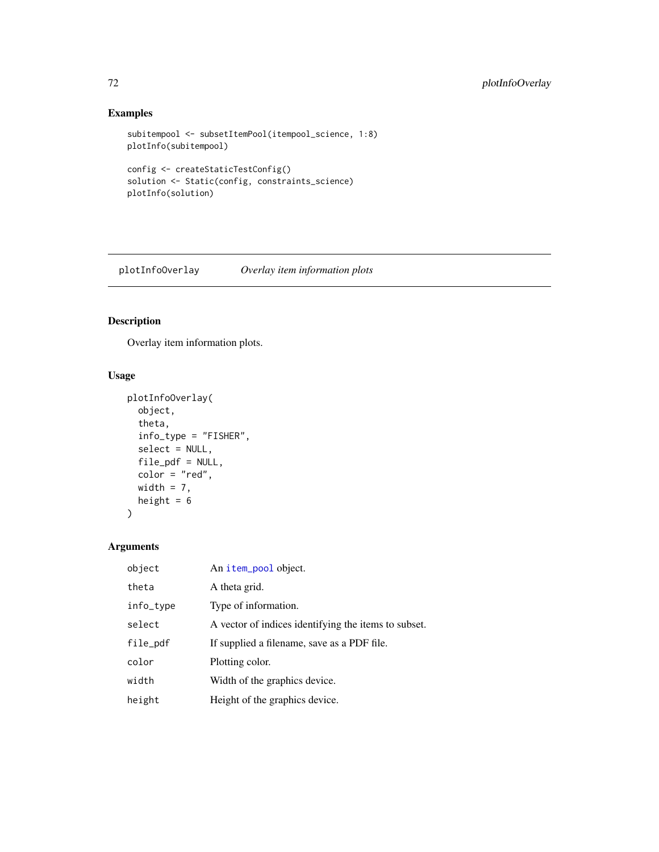## Examples

```
subitempool <- subsetItemPool(itempool_science, 1:8)
plotInfo(subitempool)
```

```
config <- createStaticTestConfig()
solution <- Static(config, constraints_science)
plotInfo(solution)
```
plotInfoOverlay *Overlay item information plots*

## Description

Overlay item information plots.

## Usage

```
plotInfoOverlay(
  object,
  theta,
  info_type = "FISHER",
  select = NULL,
  file_pdf = NULL,
 color = "red",
 width = 7,height = 6)
```

| object    | An item_pool object.                                 |
|-----------|------------------------------------------------------|
| theta     | A theta grid.                                        |
| info_type | Type of information.                                 |
| select    | A vector of indices identifying the items to subset. |
| file_pdf  | If supplied a filename, save as a PDF file.          |
| color     | Plotting color.                                      |
| width     | Width of the graphics device.                        |
| height    | Height of the graphics device.                       |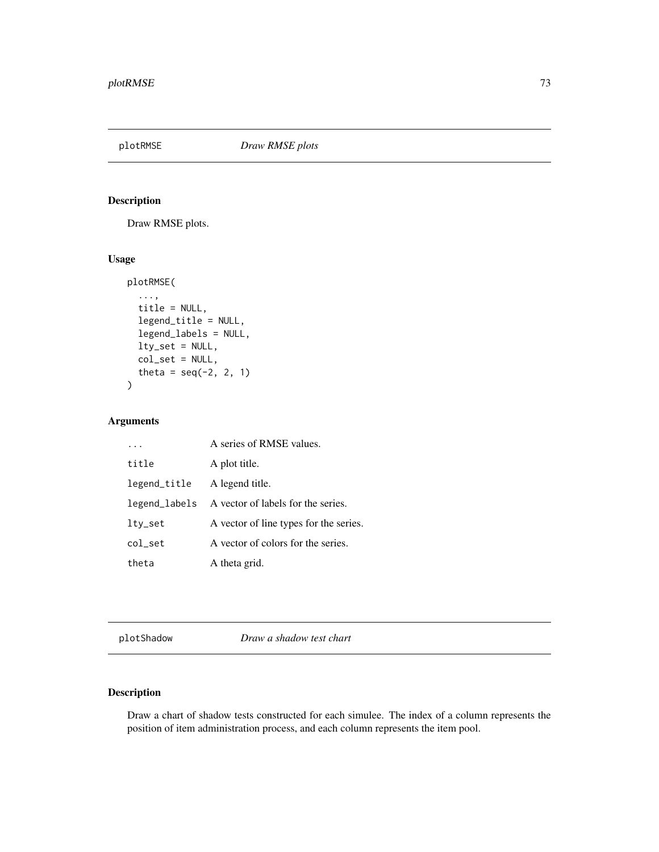<span id="page-72-0"></span>

Draw RMSE plots.

# Usage

```
plotRMSE(
  ...,
  title = NULL,
  legend_title = NULL,
  legend_labels = NULL,
  lty_set = NULL,
  col_set = NULL,
  theta = seq(-2, 2, 1)\overline{\phantom{a}}
```
# Arguments

|               | A series of RMSE values.               |
|---------------|----------------------------------------|
| title         | A plot title.                          |
| legend_title  | A legend title.                        |
| legend_labels | A vector of labels for the series.     |
| lty_set       | A vector of line types for the series. |
| col set       | A vector of colors for the series.     |
| theta         | A theta grid.                          |

plotShadow *Draw a shadow test chart*

# Description

Draw a chart of shadow tests constructed for each simulee. The index of a column represents the position of item administration process, and each column represents the item pool.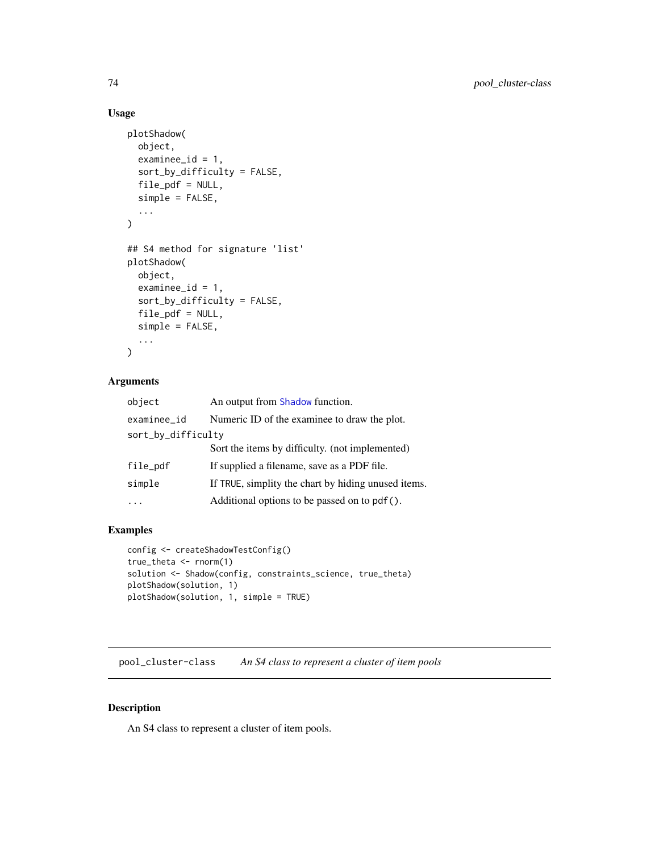# Usage

```
plotShadow(
  object,
  examine_id = 1,sort_by_difficulty = FALSE,
  file_pdf = NULL,
  simple = FALSE,
  ...
\mathcal{L}## S4 method for signature 'list'
plotShadow(
 object,
  examine_id = 1,sort_by_difficulty = FALSE,
  file_pdf = NULL,
  simple = FALSE,
  ...
)
```
# Arguments

| object             | An output from Shadow function.                     |  |
|--------------------|-----------------------------------------------------|--|
| examinee id        | Numeric ID of the examinee to draw the plot.        |  |
| sort_by_difficulty |                                                     |  |
|                    | Sort the items by difficulty. (not implemented)     |  |
| file_pdf           | If supplied a filename, save as a PDF file.         |  |
| simple             | If TRUE, simplity the chart by hiding unused items. |  |
|                    | Additional options to be passed on to pdf().        |  |
|                    |                                                     |  |

### Examples

```
config <- createShadowTestConfig()
true_theta <- rnorm(1)
solution <- Shadow(config, constraints_science, true_theta)
plotShadow(solution, 1)
plotShadow(solution, 1, simple = TRUE)
```
pool\_cluster-class *An S4 class to represent a cluster of item pools*

# Description

An S4 class to represent a cluster of item pools.

<span id="page-73-0"></span>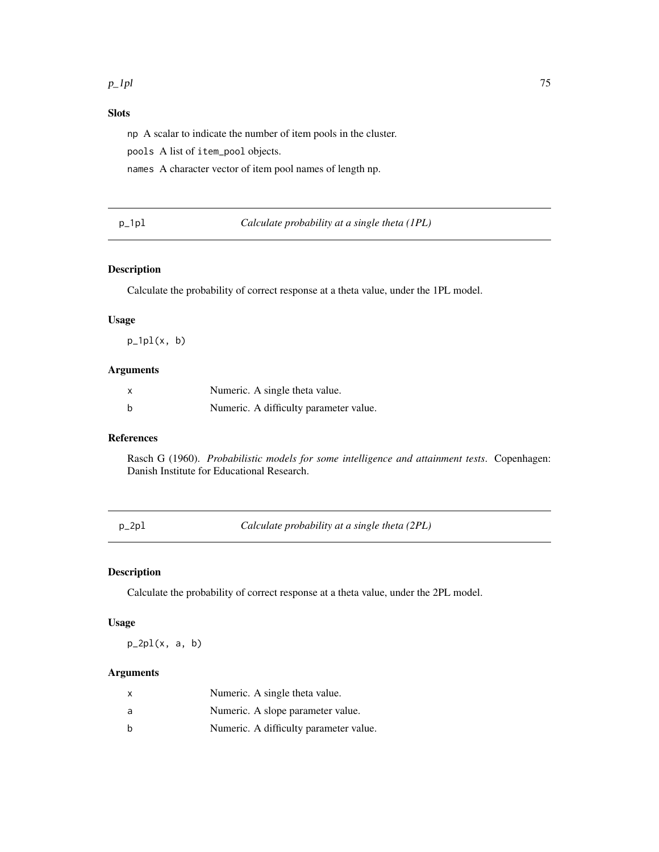# <span id="page-74-0"></span>Slots

np A scalar to indicate the number of item pools in the cluster.

pools A list of item\_pool objects.

names A character vector of item pool names of length np.

p\_1pl *Calculate probability at a single theta (1PL)*

#### Description

Calculate the probability of correct response at a theta value, under the 1PL model.

#### Usage

 $p_1p1(x, b)$ 

# Arguments

| X | Numeric. A single theta value.         |
|---|----------------------------------------|
| b | Numeric. A difficulty parameter value. |

### References

Rasch G (1960). *Probabilistic models for some intelligence and attainment tests*. Copenhagen: Danish Institute for Educational Research.

p\_2pl *Calculate probability at a single theta (2PL)*

# Description

Calculate the probability of correct response at a theta value, under the 2PL model.

# Usage

 $p_2p1(x, a, b)$ 

| X | Numeric. A single theta value.         |
|---|----------------------------------------|
| a | Numeric. A slope parameter value.      |
| b | Numeric. A difficulty parameter value. |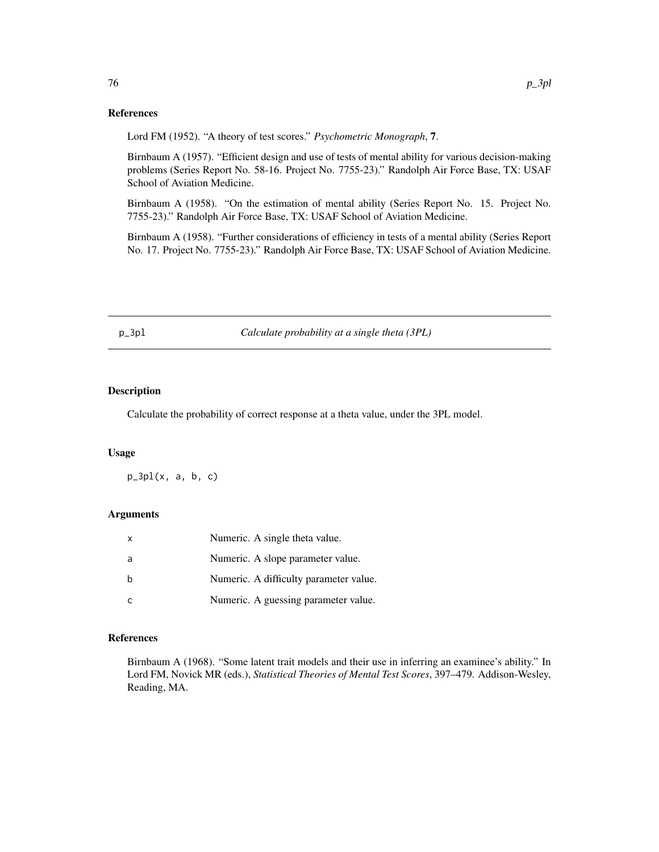#### References

Lord FM (1952). "A theory of test scores." *Psychometric Monograph*, 7.

Birnbaum A (1957). "Efficient design and use of tests of mental ability for various decision-making problems (Series Report No. 58-16. Project No. 7755-23)." Randolph Air Force Base, TX: USAF School of Aviation Medicine.

Birnbaum A (1958). "On the estimation of mental ability (Series Report No. 15. Project No. 7755-23)." Randolph Air Force Base, TX: USAF School of Aviation Medicine.

Birnbaum A (1958). "Further considerations of efficiency in tests of a mental ability (Series Report No. 17. Project No. 7755-23)." Randolph Air Force Base, TX: USAF School of Aviation Medicine.

p\_3pl *Calculate probability at a single theta (3PL)*

### Description

Calculate the probability of correct response at a theta value, under the 3PL model.

#### Usage

 $p_3p1(x, a, b, c)$ 

### Arguments

| x  | Numeric. A single theta value.         |
|----|----------------------------------------|
| -a | Numeric. A slope parameter value.      |
|    | Numeric. A difficulty parameter value. |
|    | Numeric. A guessing parameter value.   |

# References

Birnbaum A (1968). "Some latent trait models and their use in inferring an examinee's ability." In Lord FM, Novick MR (eds.), *Statistical Theories of Mental Test Scores*, 397–479. Addison-Wesley, Reading, MA.

<span id="page-75-0"></span>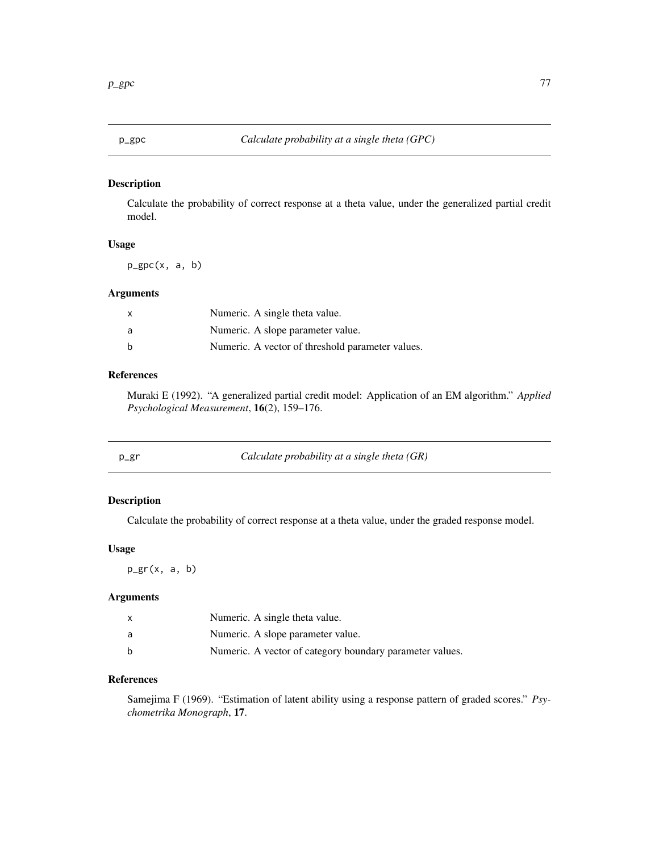<span id="page-76-0"></span>Calculate the probability of correct response at a theta value, under the generalized partial credit model.

# Usage

p\_gpc(x, a, b)

# Arguments

|     | Numeric. A single theta value.                   |
|-----|--------------------------------------------------|
| - a | Numeric. A slope parameter value.                |
|     | Numeric. A vector of threshold parameter values. |

# References

Muraki E (1992). "A generalized partial credit model: Application of an EM algorithm." *Applied Psychological Measurement*, 16(2), 159–176.

| p_gr | Calculate probability at a single theta $(GR)$ |  |
|------|------------------------------------------------|--|
|------|------------------------------------------------|--|

# Description

Calculate the probability of correct response at a theta value, under the graded response model.

# Usage

 $p_{gr}(x, a, b)$ 

# Arguments

|   | Numeric. A single theta value.                           |
|---|----------------------------------------------------------|
| a | Numeric. A slope parameter value.                        |
| b | Numeric. A vector of category boundary parameter values. |

### References

Samejima F (1969). "Estimation of latent ability using a response pattern of graded scores." *Psychometrika Monograph*, 17.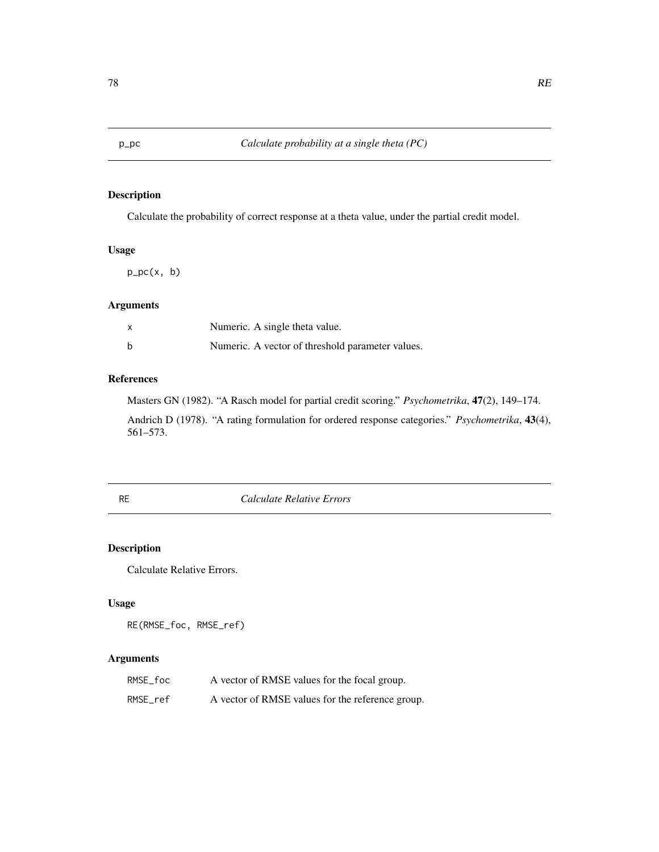<span id="page-77-0"></span>

Calculate the probability of correct response at a theta value, under the partial credit model.

# Usage

 $p\_pc(x, b)$ 

### Arguments

| $\mathsf{x}$ | Numeric. A single theta value.                   |
|--------------|--------------------------------------------------|
| b            | Numeric. A vector of threshold parameter values. |

# References

Masters GN (1982). "A Rasch model for partial credit scoring." *Psychometrika*, 47(2), 149–174.

Andrich D (1978). "A rating formulation for ordered response categories." *Psychometrika*, 43(4), 561–573.

RE *Calculate Relative Errors*

# Description

Calculate Relative Errors.

# Usage

RE(RMSE\_foc, RMSE\_ref)

| RMSE foc | A vector of RMSE values for the focal group.     |
|----------|--------------------------------------------------|
| RMSE ref | A vector of RMSE values for the reference group. |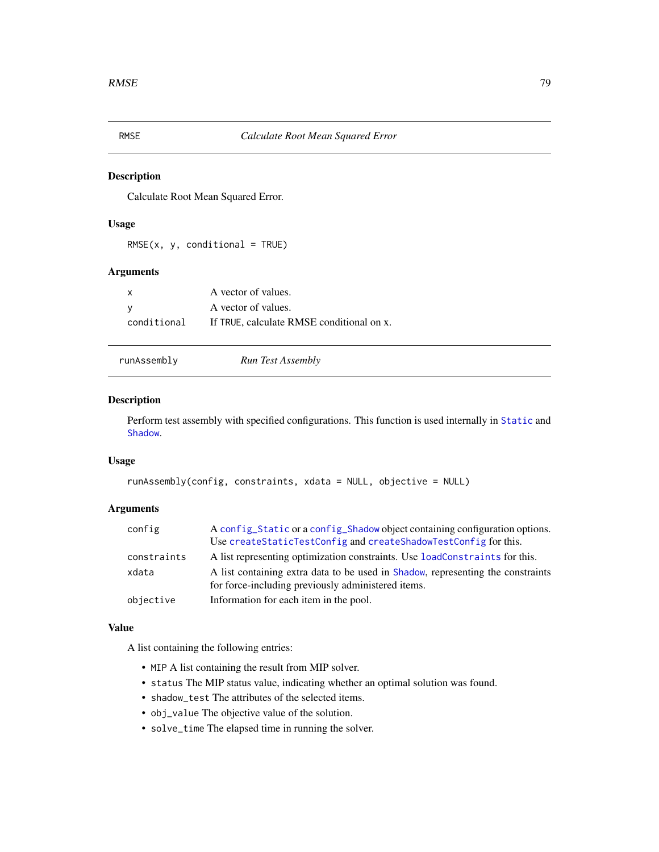<span id="page-78-0"></span>

Calculate Root Mean Squared Error.

# Usage

 $RMSE(x, y, conditional = TRUE)$ 

# Arguments

| $\mathsf{x}$ | A vector of values.                       |
|--------------|-------------------------------------------|
| ∣V           | A vector of values.                       |
| conditional  | If TRUE, calculate RMSE conditional on x. |

runAssembly *Run Test Assembly*

#### Description

Perform test assembly with specified configurations. This function is used internally in [Static](#page-83-0) and [Shadow](#page-79-0).

# Usage

```
runAssembly(config, constraints, xdata = NULL, objective = NULL)
```
# Arguments

| config      | A config_Static or a config_Shadow object containing configuration options.<br>Use createStaticTestConfig and createShadowTestConfig for this. |
|-------------|------------------------------------------------------------------------------------------------------------------------------------------------|
| constraints | A list representing optimization constraints. Use loadConstraints for this.                                                                    |
| xdata       | A list containing extra data to be used in Shadow, representing the constraints<br>for force-including previously administered items.          |
| objective   | Information for each item in the pool.                                                                                                         |

### Value

A list containing the following entries:

- MIP A list containing the result from MIP solver.
- status The MIP status value, indicating whether an optimal solution was found.
- shadow\_test The attributes of the selected items.
- obj\_value The objective value of the solution.
- solve\_time The elapsed time in running the solver.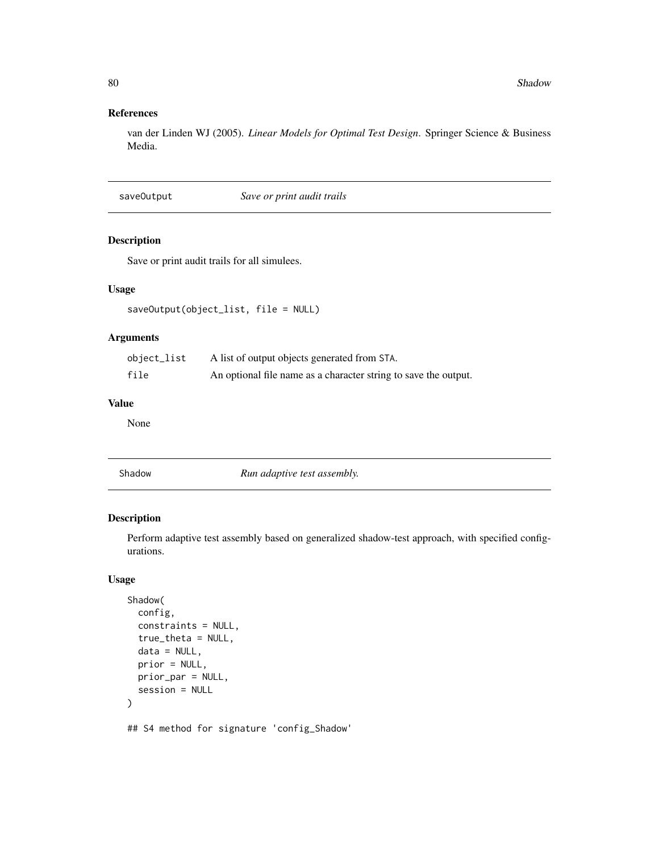# <span id="page-79-1"></span>References

van der Linden WJ (2005). *Linear Models for Optimal Test Design*. Springer Science & Business Media.

saveOutput *Save or print audit trails*

#### Description

Save or print audit trails for all simulees.

# Usage

```
saveOutput(object_list, file = NULL)
```
# Arguments

| object_list | A list of output objects generated from STA.                    |
|-------------|-----------------------------------------------------------------|
| file        | An optional file name as a character string to save the output. |

### Value

None

Shadow *Run adaptive test assembly.*

### Description

Perform adaptive test assembly based on generalized shadow-test approach, with specified configurations.

# Usage

```
Shadow(
  config,
  constraints = NULL,
  true_theta = NULL,
  data = NULL,
  prior = NULL,
 prior_par = NULL,
  session = NULL
\mathcal{L}## S4 method for signature 'config_Shadow'
```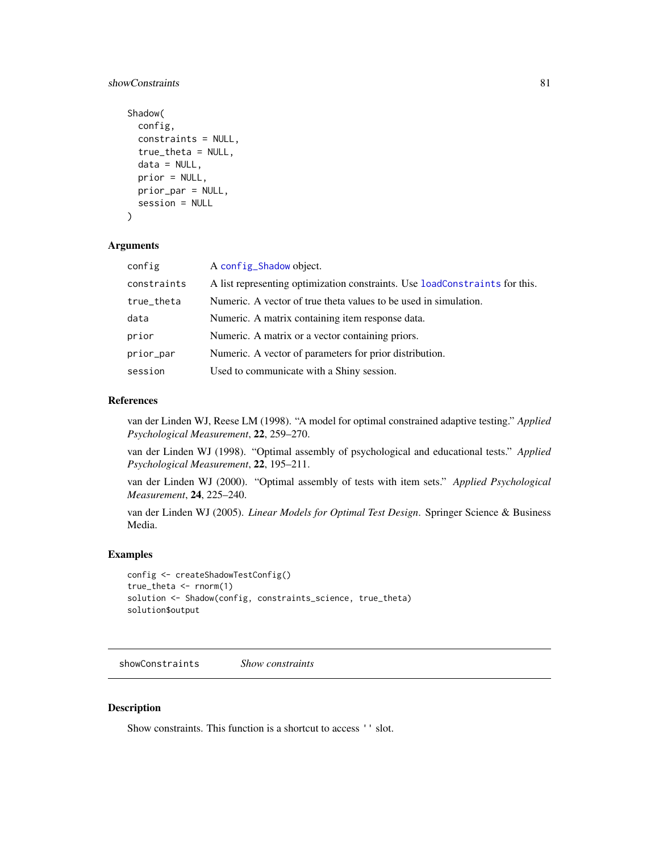# <span id="page-80-0"></span>showConstraints 81

```
Shadow(
  config,
  constraints = NULL,
  true_theta = NULL,
  data = NULL,prior = NULL,
 prior_par = NULL,
  session = NULL
\lambda
```
#### Arguments

| config      | A config_Shadow object.                                                     |
|-------------|-----------------------------------------------------------------------------|
| constraints | A list representing optimization constraints. Use loadConstraints for this. |
| true_theta  | Numeric. A vector of true theta values to be used in simulation.            |
| data        | Numeric. A matrix containing item response data.                            |
| prior       | Numeric. A matrix or a vector containing priors.                            |
| prior_par   | Numeric. A vector of parameters for prior distribution.                     |
| session     | Used to communicate with a Shiny session.                                   |

#### References

van der Linden WJ, Reese LM (1998). "A model for optimal constrained adaptive testing." *Applied Psychological Measurement*, 22, 259–270.

van der Linden WJ (1998). "Optimal assembly of psychological and educational tests." *Applied Psychological Measurement*, 22, 195–211.

van der Linden WJ (2000). "Optimal assembly of tests with item sets." *Applied Psychological Measurement*, 24, 225–240.

van der Linden WJ (2005). *Linear Models for Optimal Test Design*. Springer Science & Business Media.

#### Examples

```
config <- createShadowTestConfig()
true_theta <- rnorm(1)
solution <- Shadow(config, constraints_science, true_theta)
solution$output
```
showConstraints *Show constraints*

#### Description

Show constraints. This function is a shortcut to access '' slot.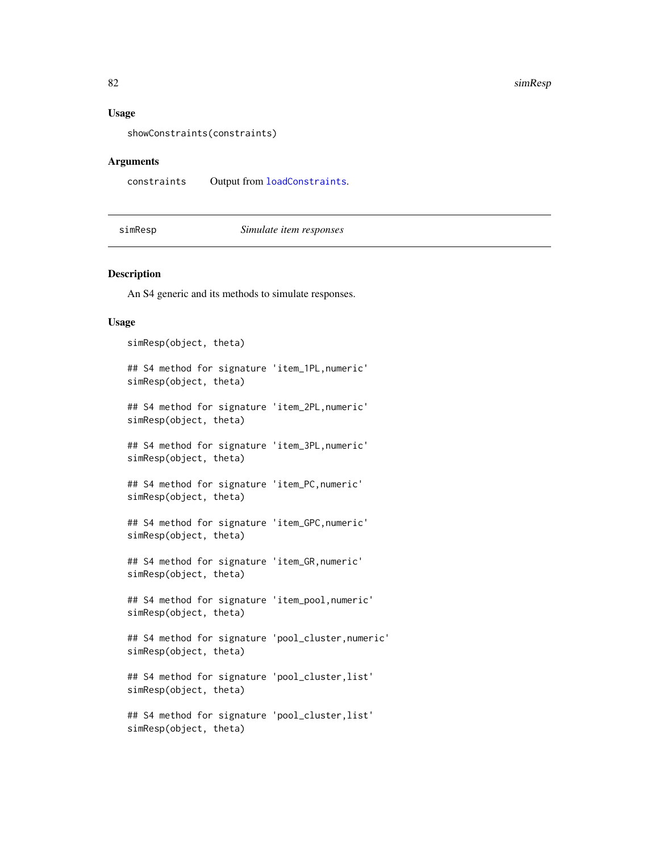#### Usage

```
showConstraints(constraints)
```
#### Arguments

constraints Output from [loadConstraints](#page-53-0).

simResp *Simulate item responses*

#### Description

An S4 generic and its methods to simulate responses.

#### Usage

```
simResp(object, theta)
## S4 method for signature 'item_1PL,numeric'
simResp(object, theta)
## S4 method for signature 'item_2PL,numeric'
simResp(object, theta)
## S4 method for signature 'item_3PL,numeric'
simResp(object, theta)
## S4 method for signature 'item_PC,numeric'
simResp(object, theta)
## S4 method for signature 'item_GPC,numeric'
simResp(object, theta)
## S4 method for signature 'item_GR,numeric'
simResp(object, theta)
## S4 method for signature 'item_pool,numeric'
simResp(object, theta)
## S4 method for signature 'pool_cluster,numeric'
simResp(object, theta)
## S4 method for signature 'pool_cluster, list'
simResp(object, theta)
## S4 method for signature 'pool_cluster,list'
simResp(object, theta)
```
<span id="page-81-0"></span>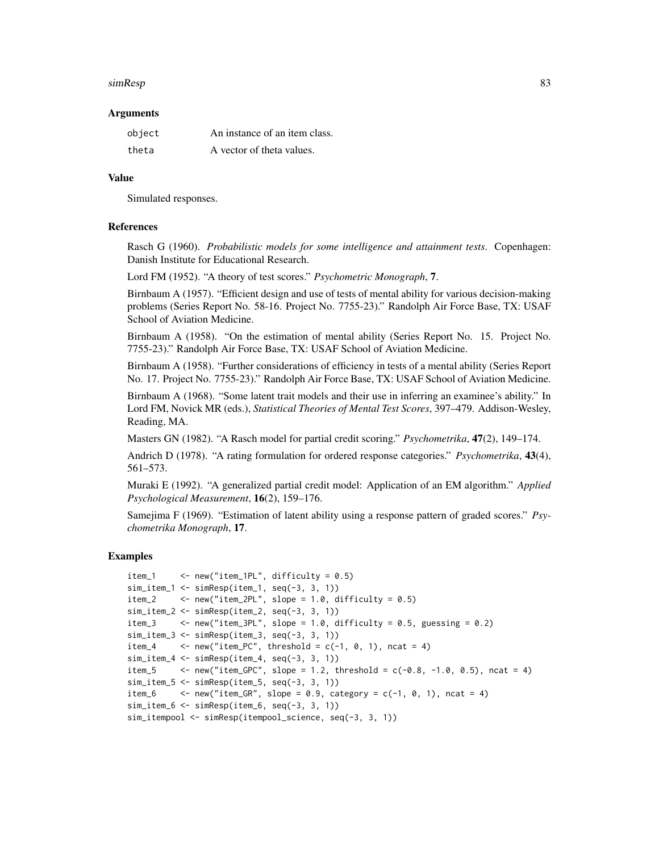#### simResp 83

#### Arguments

| object | An instance of an item class. |
|--------|-------------------------------|
| theta  | A vector of theta values.     |

#### Value

Simulated responses.

#### References

Rasch G (1960). *Probabilistic models for some intelligence and attainment tests*. Copenhagen: Danish Institute for Educational Research.

Lord FM (1952). "A theory of test scores." *Psychometric Monograph*, 7.

Birnbaum A (1957). "Efficient design and use of tests of mental ability for various decision-making problems (Series Report No. 58-16. Project No. 7755-23)." Randolph Air Force Base, TX: USAF School of Aviation Medicine.

Birnbaum A (1958). "On the estimation of mental ability (Series Report No. 15. Project No. 7755-23)." Randolph Air Force Base, TX: USAF School of Aviation Medicine.

Birnbaum A (1958). "Further considerations of efficiency in tests of a mental ability (Series Report No. 17. Project No. 7755-23)." Randolph Air Force Base, TX: USAF School of Aviation Medicine.

Birnbaum A (1968). "Some latent trait models and their use in inferring an examinee's ability." In Lord FM, Novick MR (eds.), *Statistical Theories of Mental Test Scores*, 397–479. Addison-Wesley, Reading, MA.

Masters GN (1982). "A Rasch model for partial credit scoring." *Psychometrika*, 47(2), 149–174.

Andrich D (1978). "A rating formulation for ordered response categories." *Psychometrika*, 43(4), 561–573.

Muraki E (1992). "A generalized partial credit model: Application of an EM algorithm." *Applied Psychological Measurement*, 16(2), 159–176.

Samejima F (1969). "Estimation of latent ability using a response pattern of graded scores." *Psychometrika Monograph*, 17.

```
item_1 <- new("item_1PL", difficulty = 0.5)
sim_i item_1 <- sim_iResp(item_1, seq(-3, 3, 1))
item_2 \le - new("item_2PL", slope = 1.0, difficulty = 0.5)
sim_iitem_2 <- simResp(item_2, seq(-3, 3, 1))
item_3 \le - new("item_3PL", slope = 1.0, difficulty = 0.5, guessing = 0.2)
sim_item_3 <- simResp(item_3, seq(-3, 3, 1))
item_4 \leftarrow new("item_PC", threshold = c(-1, 0, 1), ncat = 4)
sim_iitem-4 \leq -sim simResp(item_i, seq(-3, 3, 1))item_5 \leq new("item_GPC", slope = 1.2, threshold = c(-0.8, -1.0, 0.5), ncat = 4)
sim_item_5 <- simResp(item_5, seq(-3, 3, 1))
item_6 \leq new("item_GR", slope = 0.9, category = c(-1, 0, 1), ncat = 4)
sim_iitem6 \leq -sim simResp(item_6, seq(-3, 3, 1))sim_itempool <- simResp(itempool_science, seq(-3, 3, 1))
```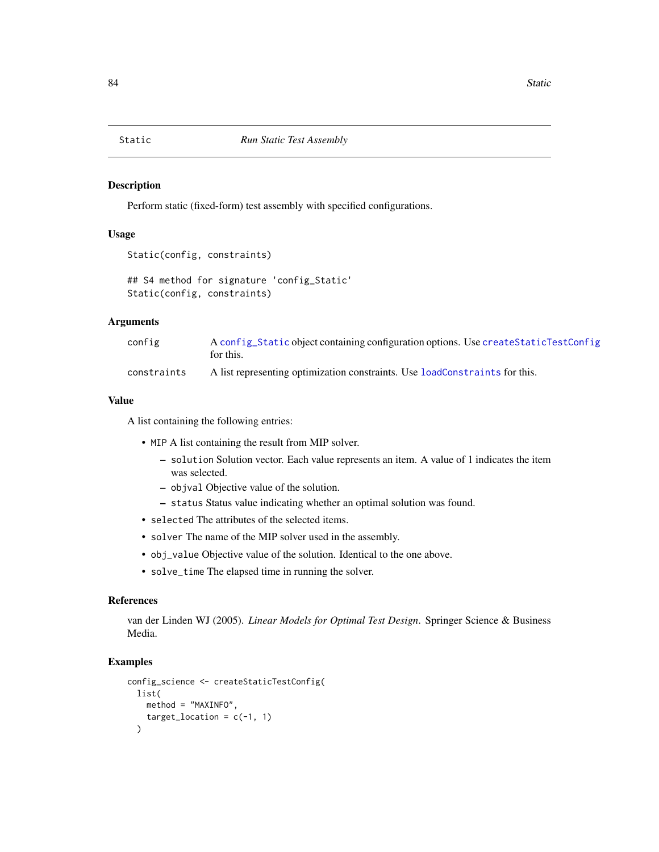<span id="page-83-1"></span><span id="page-83-0"></span>

Perform static (fixed-form) test assembly with specified configurations.

#### Usage

```
Static(config, constraints)
```
## S4 method for signature 'config\_Static' Static(config, constraints)

### Arguments

| config      | A config_Static object containing configuration options. Use create Static TestConfig<br>for this. |
|-------------|----------------------------------------------------------------------------------------------------|
| constraints | A list representing optimization constraints. Use loadConstraints for this.                        |

#### Value

A list containing the following entries:

- MIP A list containing the result from MIP solver.
	- solution Solution vector. Each value represents an item. A value of 1 indicates the item was selected.
	- objval Objective value of the solution.
	- status Status value indicating whether an optimal solution was found.
- selected The attributes of the selected items.
- solver The name of the MIP solver used in the assembly.
- obj\_value Objective value of the solution. Identical to the one above.
- solve\_time The elapsed time in running the solver.

### References

van der Linden WJ (2005). *Linear Models for Optimal Test Design*. Springer Science & Business Media.

```
config_science <- createStaticTestConfig(
  list(
   method = "MAXINFO",
    target\_location = c(-1, 1))
```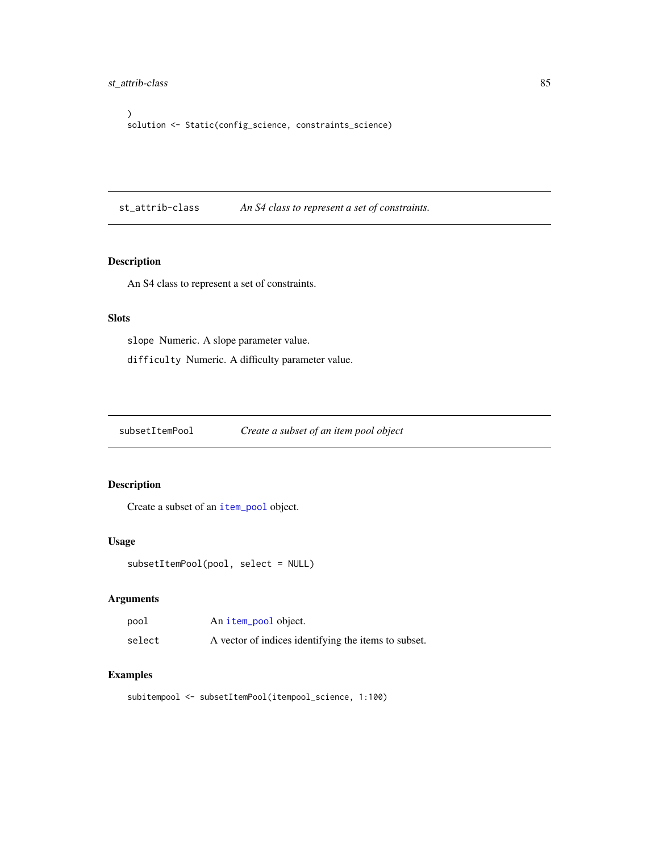```
)
solution <- Static(config_science, constraints_science)
```
st\_attrib-class *An S4 class to represent a set of constraints.*

# Description

An S4 class to represent a set of constraints.

### Slots

slope Numeric. A slope parameter value. difficulty Numeric. A difficulty parameter value.

subsetItemPool *Create a subset of an item pool object*

# Description

Create a subset of an [item\\_pool](#page-51-0) object.

#### Usage

```
subsetItemPool(pool, select = NULL)
```
# Arguments

| pool   | An item_pool object.                                 |
|--------|------------------------------------------------------|
| select | A vector of indices identifying the items to subset. |

```
subitempool <- subsetItemPool(itempool_science, 1:100)
```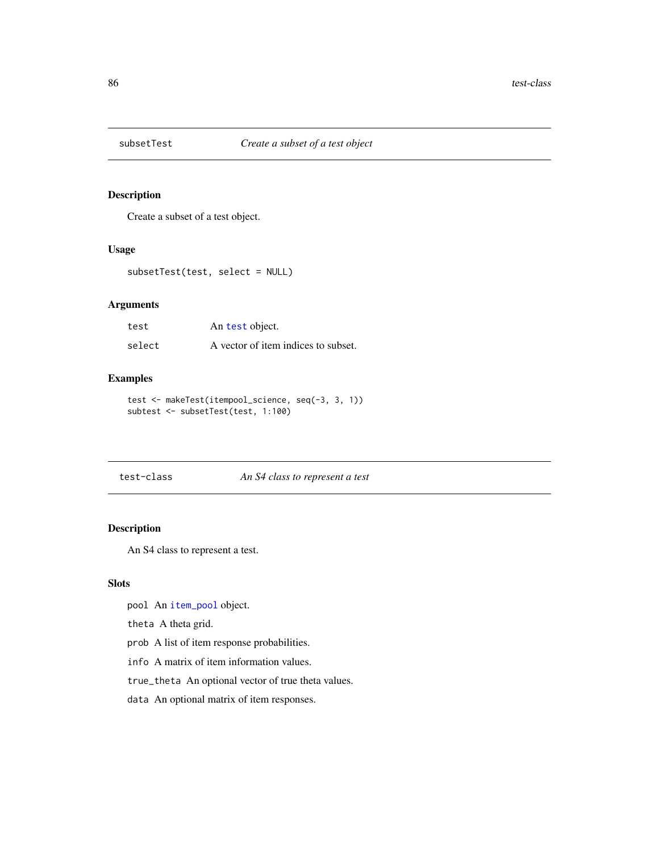<span id="page-85-1"></span>

Create a subset of a test object.

#### Usage

```
subsetTest(test, select = NULL)
```
# Arguments

| test   | An test object.                     |
|--------|-------------------------------------|
| select | A vector of item indices to subset. |

# Examples

```
test <- makeTest(itempool_science, seq(-3, 3, 1))
subtest <- subsetTest(test, 1:100)
```
#### <span id="page-85-0"></span>test-class *An S4 class to represent a test*

# Description

An S4 class to represent a test.

### **Slots**

pool An [item\\_pool](#page-51-0) object.

theta A theta grid.

prob A list of item response probabilities.

info A matrix of item information values.

true\_theta An optional vector of true theta values.

data An optional matrix of item responses.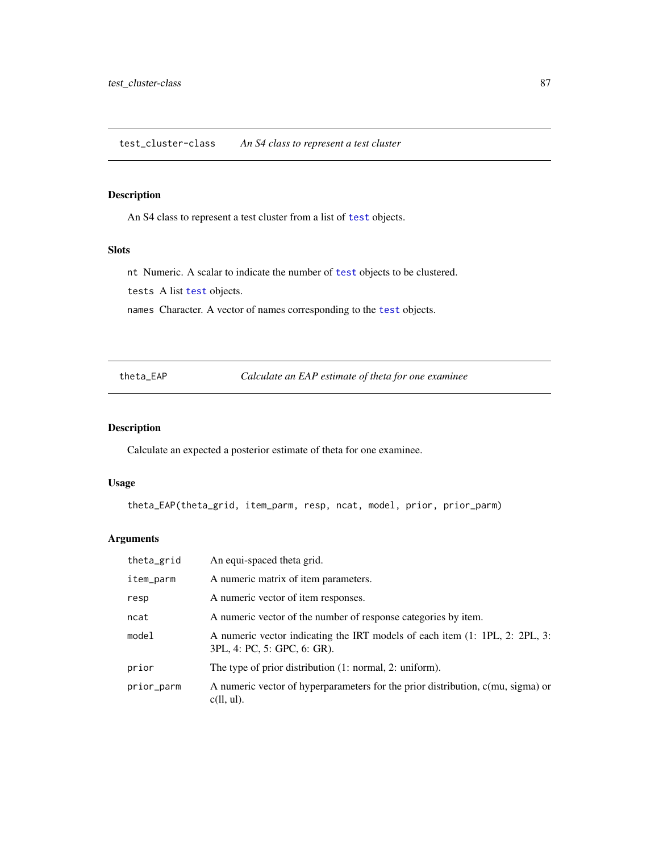<span id="page-86-0"></span>An S4 class to represent a test cluster from a list of [test](#page-85-0) objects.

### Slots

nt Numeric. A scalar to indicate the number of [test](#page-85-0) objects to be clustered.

[test](#page-85-0)s A list test objects.

names Character. A vector of names corresponding to the [test](#page-85-0) objects.

theta\_EAP *Calculate an EAP estimate of theta for one examinee*

# Description

Calculate an expected a posterior estimate of theta for one examinee.

# Usage

theta\_EAP(theta\_grid, item\_parm, resp, ncat, model, prior, prior\_parm)

| theta_grid | An equi-spaced theta grid.                                                                                 |
|------------|------------------------------------------------------------------------------------------------------------|
| item_parm  | A numeric matrix of item parameters.                                                                       |
| resp       | A numeric vector of item responses.                                                                        |
| ncat       | A numeric vector of the number of response categories by item.                                             |
| model      | A numeric vector indicating the IRT models of each item (1: 1PL, 2: 2PL, 3:<br>3PL, 4: PC, 5: GPC, 6: GR). |
| prior      | The type of prior distribution $(1: normal, 2: uniform)$ .                                                 |
| prior_parm | A numeric vector of hyperparameters for the prior distribution, c(mu, sigma) or<br>$c(1, ul)$ .            |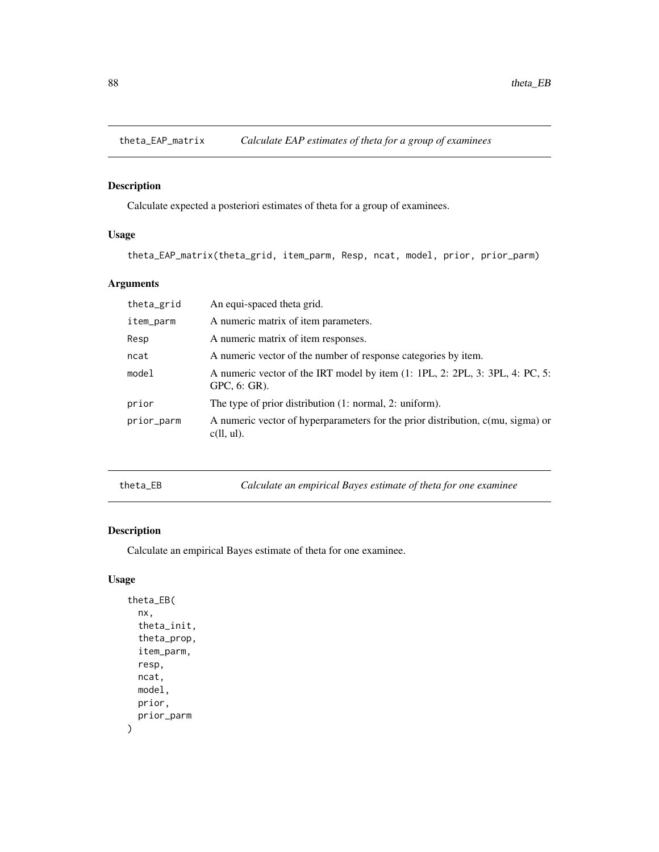<span id="page-87-0"></span>

Calculate expected a posteriori estimates of theta for a group of examinees.

# Usage

theta\_EAP\_matrix(theta\_grid, item\_parm, Resp, ncat, model, prior, prior\_parm)

# Arguments

| theta_grid | An equi-spaced theta grid.                                                                         |
|------------|----------------------------------------------------------------------------------------------------|
| item_parm  | A numeric matrix of item parameters.                                                               |
| Resp       | A numeric matrix of item responses.                                                                |
| ncat       | A numeric vector of the number of response categories by item.                                     |
| model      | A numeric vector of the IRT model by item (1: 1PL, 2: 2PL, 3: 3PL, 4: PC, 5:<br>$GPC$ , 6: $GR$ ). |
| prior      | The type of prior distribution $(1: normal, 2: uniform)$ .                                         |
| prior_parm | A numeric vector of hyperparameters for the prior distribution, c(mu, sigma) or<br>$c(11, ul)$ .   |

theta\_EB *Calculate an empirical Bayes estimate of theta for one examinee*

# Description

Calculate an empirical Bayes estimate of theta for one examinee.

# Usage

```
theta_EB(
  nx,
  theta_init,
  theta_prop,
  item_parm,
  resp,
  ncat,
  model,
  prior,
  prior_parm
\mathcal{E}
```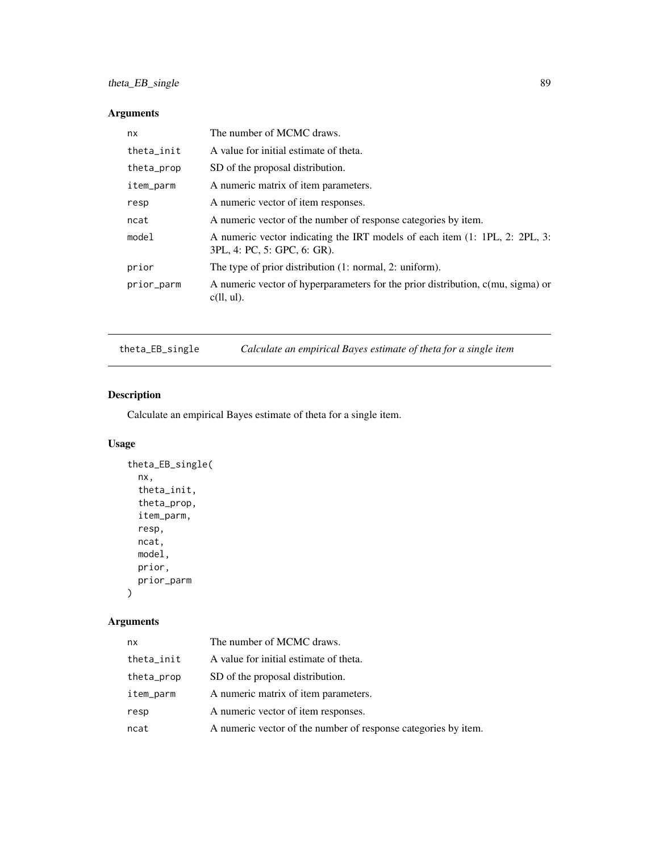# <span id="page-88-0"></span>Arguments

| nx         | The number of MCMC draws.                                                                                  |
|------------|------------------------------------------------------------------------------------------------------------|
| theta_init | A value for initial estimate of theta.                                                                     |
| theta_prop | SD of the proposal distribution.                                                                           |
| item_parm  | A numeric matrix of item parameters.                                                                       |
| resp       | A numeric vector of item responses.                                                                        |
| ncat       | A numeric vector of the number of response categories by item.                                             |
| model      | A numeric vector indicating the IRT models of each item (1: 1PL, 2: 2PL, 3:<br>3PL, 4: PC, 5: GPC, 6: GR). |
| prior      | The type of prior distribution (1: normal, 2: uniform).                                                    |
| prior_parm | A numeric vector of hyperparameters for the prior distribution, c(mu, sigma) or<br>$c(11, ul)$ .           |
|            |                                                                                                            |

theta\_EB\_single *Calculate an empirical Bayes estimate of theta for a single item*

# Description

Calculate an empirical Bayes estimate of theta for a single item.

# Usage

```
theta_EB_single(
  nx,
  theta_init,
  theta_prop,
  item_parm,
  resp,
  ncat,
  model,
  prior,
  prior_parm
\mathcal{L}
```

| nx         | The number of MCMC draws.                                      |
|------------|----------------------------------------------------------------|
| theta_init | A value for initial estimate of theta.                         |
| theta_prop | SD of the proposal distribution.                               |
| item_parm  | A numeric matrix of item parameters.                           |
| resp       | A numeric vector of item responses.                            |
| ncat       | A numeric vector of the number of response categories by item. |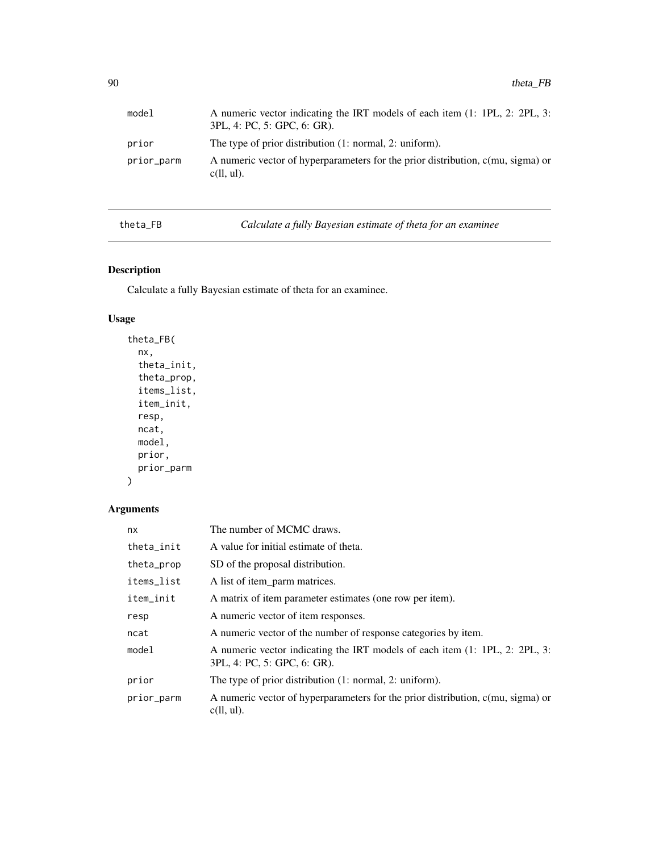<span id="page-89-0"></span>

| model      | A numeric vector indicating the IRT models of each item (1: 1PL, 2: 2PL, 3:<br>3PL, 4: PC, 5: GPC, 6: GR). |
|------------|------------------------------------------------------------------------------------------------------------|
| prior      | The type of prior distribution (1: normal, 2: uniform).                                                    |
| prior_parm | A numeric vector of hyperparameters for the prior distribution, c(mu, sigma) or<br>$c(11, ul)$ .           |

theta\_FB *Calculate a fully Bayesian estimate of theta for an examinee*

# Description

Calculate a fully Bayesian estimate of theta for an examinee.

# Usage

```
theta_FB(
  nx,
  theta_init,
  theta_prop,
  items_list,
  item_init,
  resp,
  ncat,
  model,
  prior,
  prior_parm
\mathcal{L}
```

| nx         | The number of MCMC draws.                                                                                  |
|------------|------------------------------------------------------------------------------------------------------------|
| theta_init | A value for initial estimate of theta.                                                                     |
| theta_prop | SD of the proposal distribution.                                                                           |
| items_list | A list of item parm matrices.                                                                              |
| item_init  | A matrix of item parameter estimates (one row per item).                                                   |
| resp       | A numeric vector of item responses.                                                                        |
| ncat       | A numeric vector of the number of response categories by item.                                             |
| model      | A numeric vector indicating the IRT models of each item (1: 1PL, 2: 2PL, 3:<br>3PL, 4: PC, 5: GPC, 6: GR). |
| prior      | The type of prior distribution $(1: normal, 2: uniform)$ .                                                 |
| prior_parm | A numeric vector of hyperparameters for the prior distribution, c(mu, sigma) or<br>$c(11, ul)$ .           |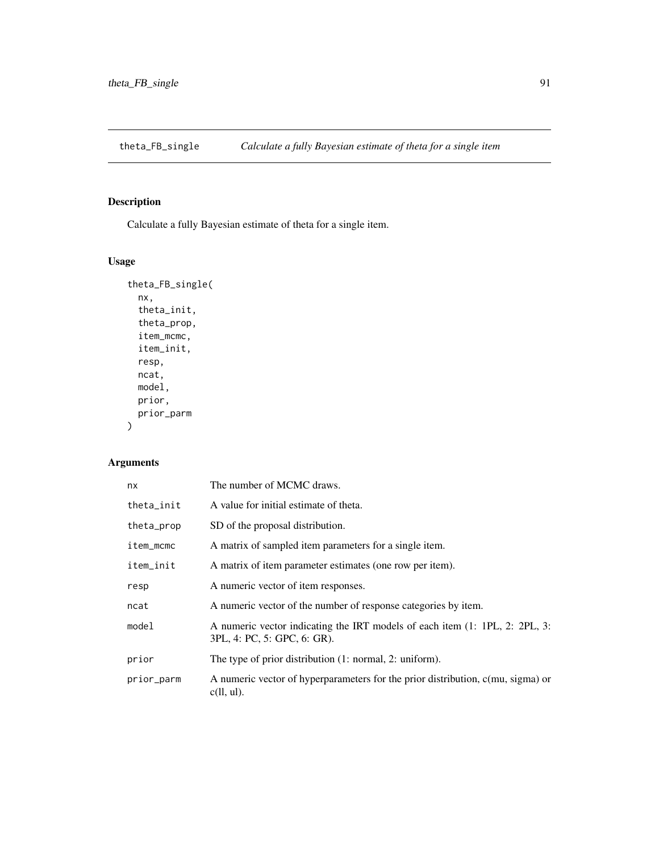<span id="page-90-0"></span>theta\_FB\_single *Calculate a fully Bayesian estimate of theta for a single item*

# Description

Calculate a fully Bayesian estimate of theta for a single item.

# Usage

```
theta_FB_single(
  nx,
  theta_init,
  theta_prop,
  item_mcmc,
  item_init,
  resp,
  ncat,
  model,
  prior,
  prior_parm
\overline{\phantom{a}}
```

| nx         | The number of MCMC draws.                                                                                  |
|------------|------------------------------------------------------------------------------------------------------------|
| theta_init | A value for initial estimate of theta.                                                                     |
| theta_prop | SD of the proposal distribution.                                                                           |
| item_mcmc  | A matrix of sampled item parameters for a single item.                                                     |
| item_init  | A matrix of item parameter estimates (one row per item).                                                   |
| resp       | A numeric vector of item responses.                                                                        |
| ncat       | A numeric vector of the number of response categories by item.                                             |
| model      | A numeric vector indicating the IRT models of each item (1: 1PL, 2: 2PL, 3:<br>3PL, 4: PC, 5: GPC, 6: GR). |
| prior      | The type of prior distribution (1: normal, 2: uniform).                                                    |
| prior_parm | A numeric vector of hyperparameters for the prior distribution, c(mu, sigma) or<br>$c(11, ul)$ .           |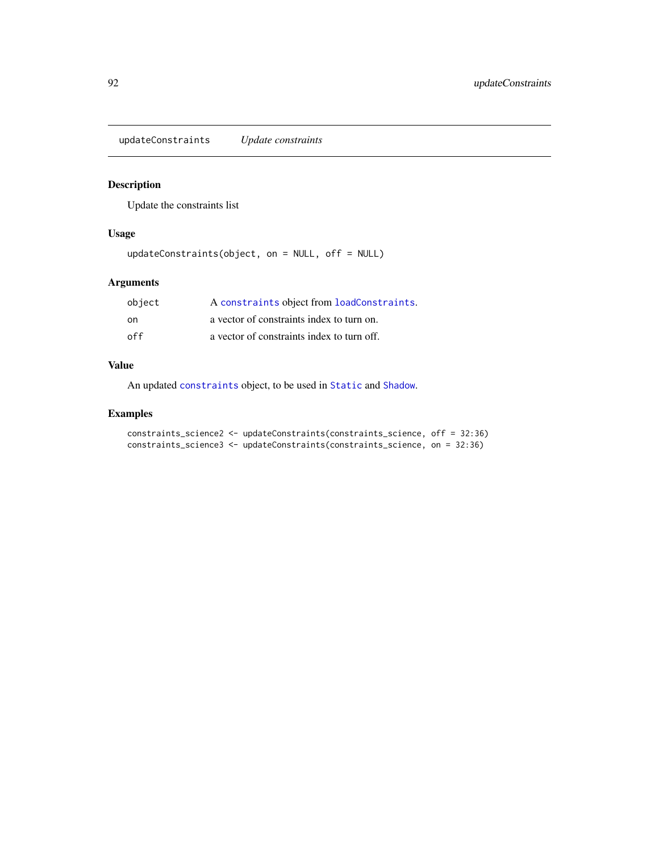<span id="page-91-0"></span>updateConstraints *Update constraints*

# Description

Update the constraints list

# Usage

updateConstraints(object, on = NULL, off = NULL)

# Arguments

| object | A constraints object from loadConstraints. |
|--------|--------------------------------------------|
| on     | a vector of constraints index to turn on.  |
| off    | a vector of constraints index to turn off. |

### Value

An updated [constraints](#page-38-0) object, to be used in [Static](#page-83-0) and [Shadow](#page-79-0).

```
constraints_science2 <- updateConstraints(constraints_science, off = 32:36)
constraints_science3 <- updateConstraints(constraints_science, on = 32:36)
```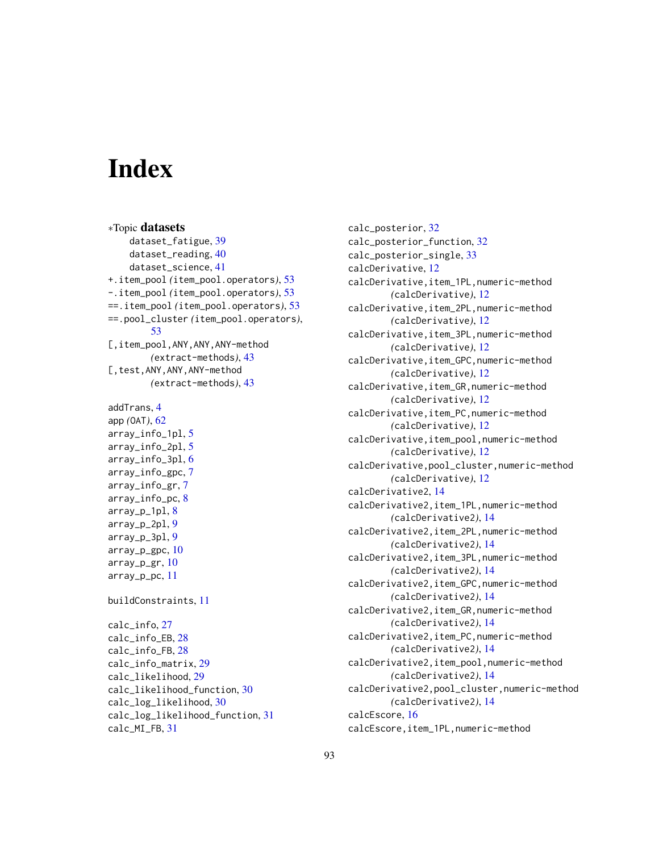# **Index**

∗Topic datasets dataset\_fatigue, [39](#page-38-1) dataset\_reading, [40](#page-39-0) dataset\_science, [41](#page-40-0) +.item\_pool *(*item\_pool.operators*)*, [53](#page-52-0) -.item\_pool *(*item\_pool.operators*)*, [53](#page-52-0) ==.item\_pool *(*item\_pool.operators*)*, [53](#page-52-0) ==.pool\_cluster *(*item\_pool.operators*)*, [53](#page-52-0) [,item\_pool,ANY,ANY,ANY-method *(*extract-methods*)*, [43](#page-42-0) [,test,ANY,ANY,ANY-method *(*extract-methods*)*, [43](#page-42-0)

```
addTrans, 4
app (OAT), 62
array_info_1pl, 5
array_info_2pl, 5
array_info_3pl, 6
array_info_gpc, 7
array_info_gr, 7
array_info_pc, 8
array_p_1pl, 8
array_p_2pl, 9
array_p_3pl, 9
array_p_gpc, 10
array_p_gr, 10
array_p_pc, 11
```
buildConstraints, [11](#page-10-0)

```
calc_info, 27
calc_info_EB, 28
calc_info_FB, 28
calc_info_matrix, 29
calc_likelihood, 29
calc_likelihood_function, 30
calc_log_likelihood, 30
calc_log_likelihood_function, 31
calc_MI_FB, 31
```
calc\_posterior, [32](#page-31-0) calc\_posterior\_function, [32](#page-31-0) calc\_posterior\_single, [33](#page-32-0) calcDerivative, [12](#page-11-0) calcDerivative,item\_1PL,numeric-method *(*calcDerivative*)*, [12](#page-11-0) calcDerivative,item\_2PL,numeric-method *(*calcDerivative*)*, [12](#page-11-0) calcDerivative,item\_3PL,numeric-method *(*calcDerivative*)*, [12](#page-11-0) calcDerivative,item\_GPC,numeric-method *(*calcDerivative*)*, [12](#page-11-0) calcDerivative,item\_GR,numeric-method *(*calcDerivative*)*, [12](#page-11-0) calcDerivative,item\_PC,numeric-method *(*calcDerivative*)*, [12](#page-11-0) calcDerivative,item\_pool,numeric-method *(*calcDerivative*)*, [12](#page-11-0) calcDerivative,pool\_cluster,numeric-method *(*calcDerivative*)*, [12](#page-11-0) calcDerivative2, [14](#page-13-0) calcDerivative2,item\_1PL,numeric-method *(*calcDerivative2*)*, [14](#page-13-0) calcDerivative2,item\_2PL,numeric-method *(*calcDerivative2*)*, [14](#page-13-0) calcDerivative2,item\_3PL,numeric-method *(*calcDerivative2*)*, [14](#page-13-0) calcDerivative2,item\_GPC,numeric-method *(*calcDerivative2*)*, [14](#page-13-0) calcDerivative2,item\_GR,numeric-method *(*calcDerivative2*)*, [14](#page-13-0) calcDerivative2,item\_PC,numeric-method *(*calcDerivative2*)*, [14](#page-13-0) calcDerivative2,item\_pool,numeric-method *(*calcDerivative2*)*, [14](#page-13-0) calcDerivative2,pool\_cluster,numeric-method *(*calcDerivative2*)*, [14](#page-13-0) calcEscore, [16](#page-15-0) calcEscore,item\_1PL,numeric-method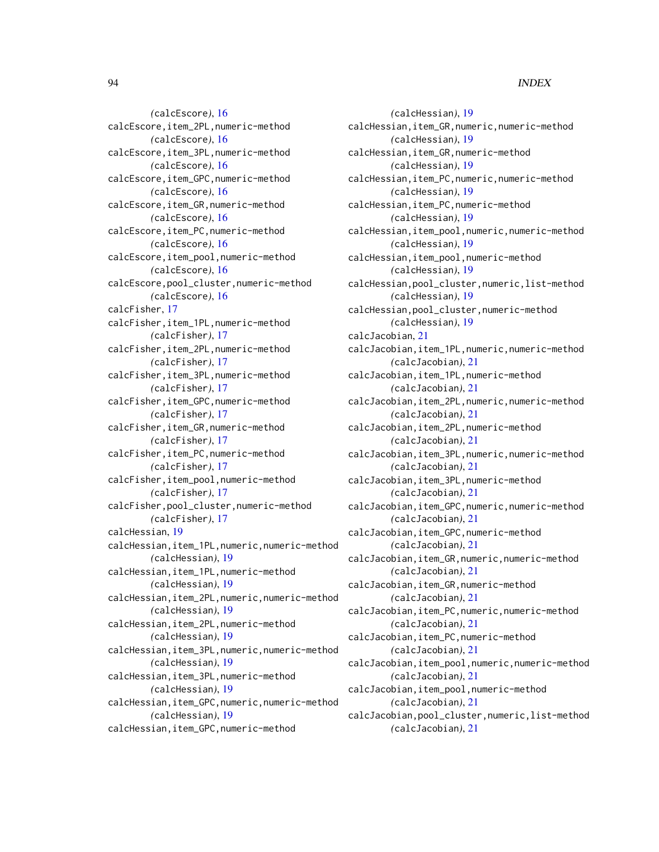*(*calcEscore*)*, [16](#page-15-0) calcEscore,item\_2PL,numeric-method *(*calcEscore*)*, [16](#page-15-0) calcEscore,item\_3PL,numeric-method *(*calcEscore*)*, [16](#page-15-0) calcEscore,item\_GPC,numeric-method *(*calcEscore*)*, [16](#page-15-0) calcEscore,item\_GR,numeric-method *(*calcEscore*)*, [16](#page-15-0) calcEscore,item\_PC,numeric-method *(*calcEscore*)*, [16](#page-15-0) calcEscore,item\_pool,numeric-method *(*calcEscore*)*, [16](#page-15-0) calcEscore,pool\_cluster,numeric-method *(*calcEscore*)*, [16](#page-15-0) calcFisher, [17](#page-16-0) calcFisher,item\_1PL,numeric-method *(*calcFisher*)*, [17](#page-16-0) calcFisher,item\_2PL,numeric-method *(*calcFisher*)*, [17](#page-16-0) calcFisher,item\_3PL,numeric-method *(*calcFisher*)*, [17](#page-16-0) calcFisher,item\_GPC,numeric-method *(*calcFisher*)*, [17](#page-16-0) calcFisher,item\_GR,numeric-method *(*calcFisher*)*, [17](#page-16-0) calcFisher,item\_PC,numeric-method *(*calcFisher*)*, [17](#page-16-0) calcFisher,item\_pool,numeric-method *(*calcFisher*)*, [17](#page-16-0) calcFisher,pool\_cluster,numeric-method *(*calcFisher*)*, [17](#page-16-0) calcHessian, [19](#page-18-0) calcHessian,item\_1PL,numeric,numeric-method *(*calcHessian*)*, [19](#page-18-0) calcHessian,item\_1PL,numeric-method *(*calcHessian*)*, [19](#page-18-0) calcHessian,item\_2PL,numeric,numeric-method *(*calcHessian*)*, [19](#page-18-0) calcHessian,item\_2PL,numeric-method *(*calcHessian*)*, [19](#page-18-0) calcHessian,item\_3PL,numeric,numeric-method *(*calcHessian*)*, [19](#page-18-0) calcHessian,item\_3PL,numeric-method *(*calcHessian*)*, [19](#page-18-0) calcHessian,item\_GPC,numeric,numeric-method *(*calcHessian*)*, [19](#page-18-0) calcHessian,item\_GPC,numeric-method

*(*calcHessian*)*, [19](#page-18-0) calcHessian,item\_GR,numeric,numeric-method *(*calcHessian*)*, [19](#page-18-0) calcHessian,item\_GR,numeric-method *(*calcHessian*)*, [19](#page-18-0) calcHessian,item\_PC,numeric,numeric-method *(*calcHessian*)*, [19](#page-18-0) calcHessian,item\_PC,numeric-method *(*calcHessian*)*, [19](#page-18-0) calcHessian,item\_pool,numeric,numeric-method *(*calcHessian*)*, [19](#page-18-0) calcHessian,item\_pool,numeric-method *(*calcHessian*)*, [19](#page-18-0) calcHessian,pool\_cluster,numeric,list-method *(*calcHessian*)*, [19](#page-18-0) calcHessian,pool\_cluster,numeric-method *(*calcHessian*)*, [19](#page-18-0) calcJacobian, [21](#page-20-0) calcJacobian,item\_1PL,numeric,numeric-method *(*calcJacobian*)*, [21](#page-20-0) calcJacobian,item\_1PL,numeric-method *(*calcJacobian*)*, [21](#page-20-0) calcJacobian,item\_2PL,numeric,numeric-method *(*calcJacobian*)*, [21](#page-20-0) calcJacobian,item\_2PL,numeric-method *(*calcJacobian*)*, [21](#page-20-0) calcJacobian,item\_3PL,numeric,numeric-method *(*calcJacobian*)*, [21](#page-20-0) calcJacobian,item\_3PL,numeric-method *(*calcJacobian*)*, [21](#page-20-0) calcJacobian,item\_GPC,numeric,numeric-method *(*calcJacobian*)*, [21](#page-20-0) calcJacobian,item\_GPC,numeric-method *(*calcJacobian*)*, [21](#page-20-0) calcJacobian,item\_GR,numeric,numeric-method *(*calcJacobian*)*, [21](#page-20-0) calcJacobian,item\_GR,numeric-method *(*calcJacobian*)*, [21](#page-20-0) calcJacobian,item\_PC,numeric,numeric-method *(*calcJacobian*)*, [21](#page-20-0) calcJacobian,item\_PC,numeric-method *(*calcJacobian*)*, [21](#page-20-0) calcJacobian,item\_pool,numeric,numeric-method *(*calcJacobian*)*, [21](#page-20-0) calcJacobian,item\_pool,numeric-method *(*calcJacobian*)*, [21](#page-20-0) calcJacobian,pool\_cluster,numeric,list-method *(*calcJacobian*)*, [21](#page-20-0)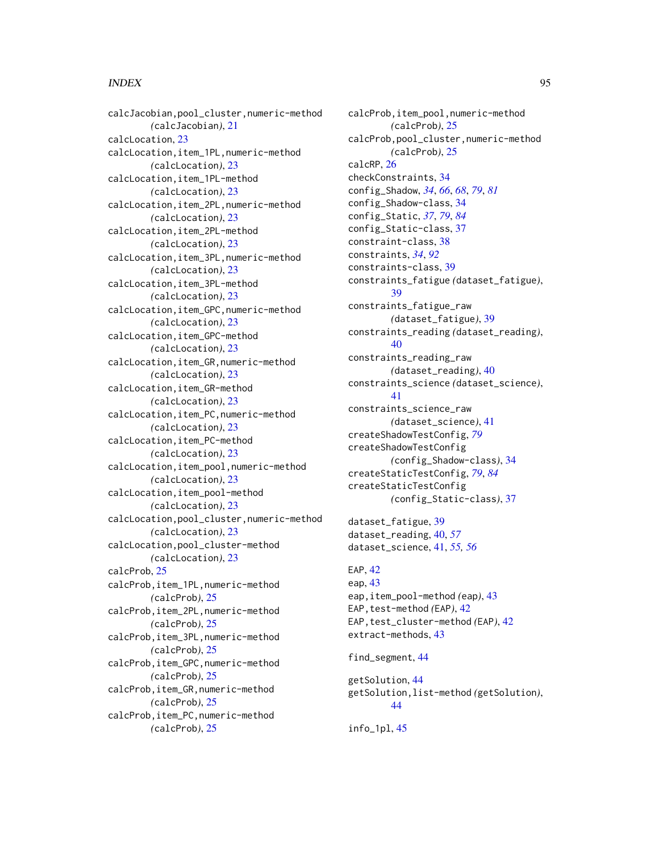### INDEX 95

calcJacobian,pool\_cluster,numeric-method *(*calcJacobian*)*, [21](#page-20-0) calcLocation, [23](#page-22-0) calcLocation,item\_1PL,numeric-method *(*calcLocation*)*, [23](#page-22-0) calcLocation,item\_1PL-method *(*calcLocation*)*, [23](#page-22-0) calcLocation,item\_2PL,numeric-method *(*calcLocation*)*, [23](#page-22-0) calcLocation,item\_2PL-method *(*calcLocation*)*, [23](#page-22-0) calcLocation,item\_3PL,numeric-method *(*calcLocation*)*, [23](#page-22-0) calcLocation,item\_3PL-method *(*calcLocation*)*, [23](#page-22-0) calcLocation,item\_GPC,numeric-method *(*calcLocation*)*, [23](#page-22-0) calcLocation,item\_GPC-method *(*calcLocation*)*, [23](#page-22-0) calcLocation,item\_GR,numeric-method *(*calcLocation*)*, [23](#page-22-0) calcLocation,item\_GR-method *(*calcLocation*)*, [23](#page-22-0) calcLocation,item\_PC,numeric-method *(*calcLocation*)*, [23](#page-22-0) calcLocation,item\_PC-method *(*calcLocation*)*, [23](#page-22-0) calcLocation,item\_pool,numeric-method *(*calcLocation*)*, [23](#page-22-0) calcLocation,item\_pool-method *(*calcLocation*)*, [23](#page-22-0) calcLocation,pool\_cluster,numeric-method *(*calcLocation*)*, [23](#page-22-0) calcLocation,pool\_cluster-method *(*calcLocation*)*, [23](#page-22-0) calcProb, [25](#page-24-0) calcProb,item\_1PL,numeric-method *(*calcProb*)*, [25](#page-24-0) calcProb,item\_2PL,numeric-method *(*calcProb*)*, [25](#page-24-0) calcProb,item\_3PL,numeric-method *(*calcProb*)*, [25](#page-24-0) calcProb,item\_GPC,numeric-method *(*calcProb*)*, [25](#page-24-0) calcProb,item\_GR,numeric-method *(*calcProb*)*, [25](#page-24-0) calcProb,item\_PC,numeric-method *(*calcProb*)*, [25](#page-24-0)

calcProb,item\_pool,numeric-method *(*calcProb*)*, [25](#page-24-0) calcProb,pool\_cluster,numeric-method *(*calcProb*)*, [25](#page-24-0) calcRP, [26](#page-25-0) checkConstraints, [34](#page-33-2) config\_Shadow, *[34](#page-33-2)*, *[66](#page-65-0)*, *[68](#page-67-0)*, *[79](#page-78-0)*, *[81](#page-80-0)* config\_Shadow-class, [34](#page-33-2) config\_Static, *[37](#page-36-2)*, *[79](#page-78-0)*, *[84](#page-83-1)* config\_Static-class, [37](#page-36-2) constraint-class, [38](#page-37-0) constraints, *[34](#page-33-2)*, *[92](#page-91-0)* constraints-class, [39](#page-38-1) constraints\_fatigue *(*dataset\_fatigue*)*, [39](#page-38-1) constraints\_fatigue\_raw *(*dataset\_fatigue*)*, [39](#page-38-1) constraints\_reading *(*dataset\_reading*)*, [40](#page-39-0) constraints\_reading\_raw *(*dataset\_reading*)*, [40](#page-39-0) constraints\_science *(*dataset\_science*)*, [41](#page-40-0) constraints\_science\_raw *(*dataset\_science*)*, [41](#page-40-0) createShadowTestConfig, *[79](#page-78-0)* createShadowTestConfig *(*config\_Shadow-class*)*, [34](#page-33-2) createStaticTestConfig, *[79](#page-78-0)*, *[84](#page-83-1)* createStaticTestConfig *(*config\_Static-class*)*, [37](#page-36-2) dataset\_fatigue, [39](#page-38-1) dataset\_reading, [40,](#page-39-0) *[57](#page-56-0)* dataset\_science, [41,](#page-40-0) *[55,](#page-54-0) [56](#page-55-0)*

```
EAP, 42
eap, 43
eap,item_pool-method (eap), 43
EAP, test-method (EAP)42
EAP,test_cluster-method (EAP), 42
extract-methods, 43
find_segment, 44
```

```
getSolution, 44
getSolution,list-method (getSolution),
        44
```

```
info_1pl, 45
```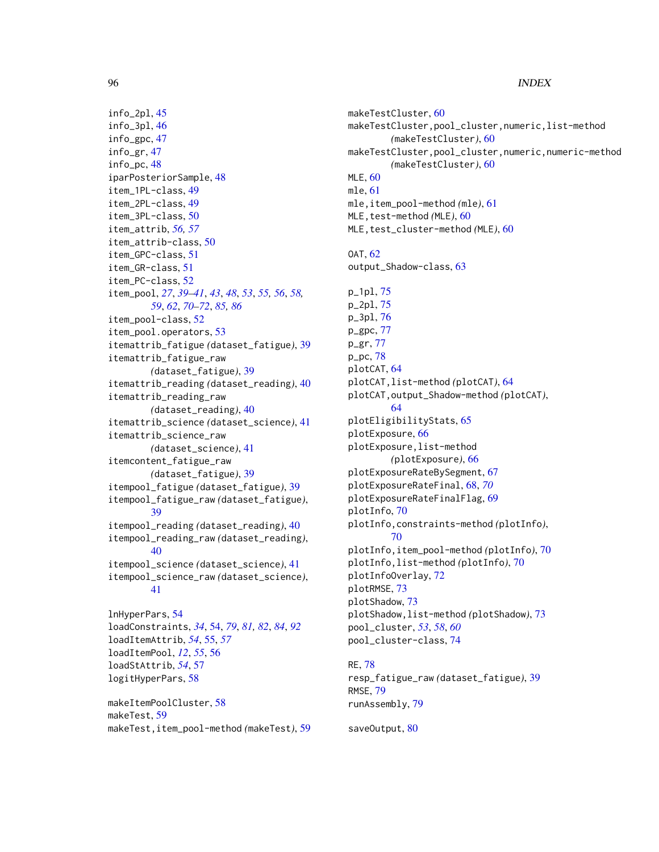### 96 **INDEX**

```
info_2pl, 45
info_3pl, 46
info_gpc, 47
info_gr, 47
info_pc, 48
iparPosteriorSample, 48
item_1PL-class, 49
item_2PL-class, 49
item_3PL-class, 50
item_attrib, 56, 57
item_attrib-class, 50
item_GPC-class, 51
item_GR-class, 51
item_PC-class, 52
item_pool, 27, 39–41, 43, 48, 53, 55, 56, 58,
        59, 62, 70–72, 85, 86
item_pool-class, 52
item_pool.operators, 53
itemattrib_fatigue (dataset_fatigue), 39
itemattrib_fatigue_raw
        (dataset_fatigue), 39
itemattrib_reading (dataset_reading), 40
itemattrib_reading_raw
        (dataset_reading), 40
itemattrib_science (dataset_science), 41
itemattrib_science_raw
        (dataset_science), 41
itemcontent_fatigue_raw
        (dataset_fatigue), 39
itempool_fatigue (dataset_fatigue), 39
itempool_fatigue_raw (dataset_fatigue),
        39
itempool_reading (dataset_reading), 40
itempool_reading_raw (dataset_reading),
        40
itempool_science (dataset_science), 41
itempool_science_raw (dataset_science),
        41
lnHyperPars, 54
loadConstraints, 34, 54, 79, 81, 82, 84, 92
loadItemAttrib, 54, 55, 57
loadItemPool, 12, 55, 56
loadStAttrib, 54, 57
logitHyperPars, 58
```
makeItemPoolCluster, [58](#page-57-0) makeTest, [59](#page-58-0) makeTest,item\_pool-method *(*makeTest*)*, [59](#page-58-0) makeTestCluster, [60](#page-59-0) makeTestCluster,pool\_cluster,numeric,list-method *(*makeTestCluster*)*, [60](#page-59-0) makeTestCluster,pool\_cluster,numeric,numeric-method *(*makeTestCluster*)*, [60](#page-59-0) MLE, [60](#page-59-0) mle, [61](#page-60-0) mle,item\_pool-method *(*mle*)*, [61](#page-60-0) MLE,test-method *(*MLE*)*, [60](#page-59-0) MLE, test\_cluster-method *(MLE)*, [60](#page-59-0) OAT, [62](#page-61-0) output\_Shadow-class, [63](#page-62-0) p\_1pl, [75](#page-74-0) p\_2pl, [75](#page-74-0) p\_3pl, [76](#page-75-0) p\_gpc, [77](#page-76-0) p\_gr, [77](#page-76-0) p\_pc, [78](#page-77-0) plotCAT, [64](#page-63-0) plotCAT,list-method *(*plotCAT*)*, [64](#page-63-0) plotCAT,output\_Shadow-method *(*plotCAT*)*, [64](#page-63-0) plotEligibilityStats, [65](#page-64-0) plotExposure, [66](#page-65-0) plotExposure,list-method *(*plotExposure*)*, [66](#page-65-0) plotExposureRateBySegment, [67](#page-66-0) plotExposureRateFinal, [68,](#page-67-0) *[70](#page-69-0)* plotExposureRateFinalFlag, [69](#page-68-0) plotInfo, [70](#page-69-0) plotInfo,constraints-method *(*plotInfo*)*, [70](#page-69-0) plotInfo,item\_pool-method *(*plotInfo*)*, [70](#page-69-0) plotInfo,list-method *(*plotInfo*)*, [70](#page-69-0) plotInfoOverlay, [72](#page-71-0) plotRMSE, [73](#page-72-0) plotShadow, [73](#page-72-0) plotShadow,list-method *(*plotShadow*)*, [73](#page-72-0) pool\_cluster, *[53](#page-52-0)*, *[58](#page-57-0)*, *[60](#page-59-0)* pool\_cluster-class, [74](#page-73-0)

#### RE, [78](#page-77-0)

```
resp_fatigue_raw (dataset_fatigue), 39
RMSE, 79
runAssembly, 79
```
saveOutput, [80](#page-79-1)